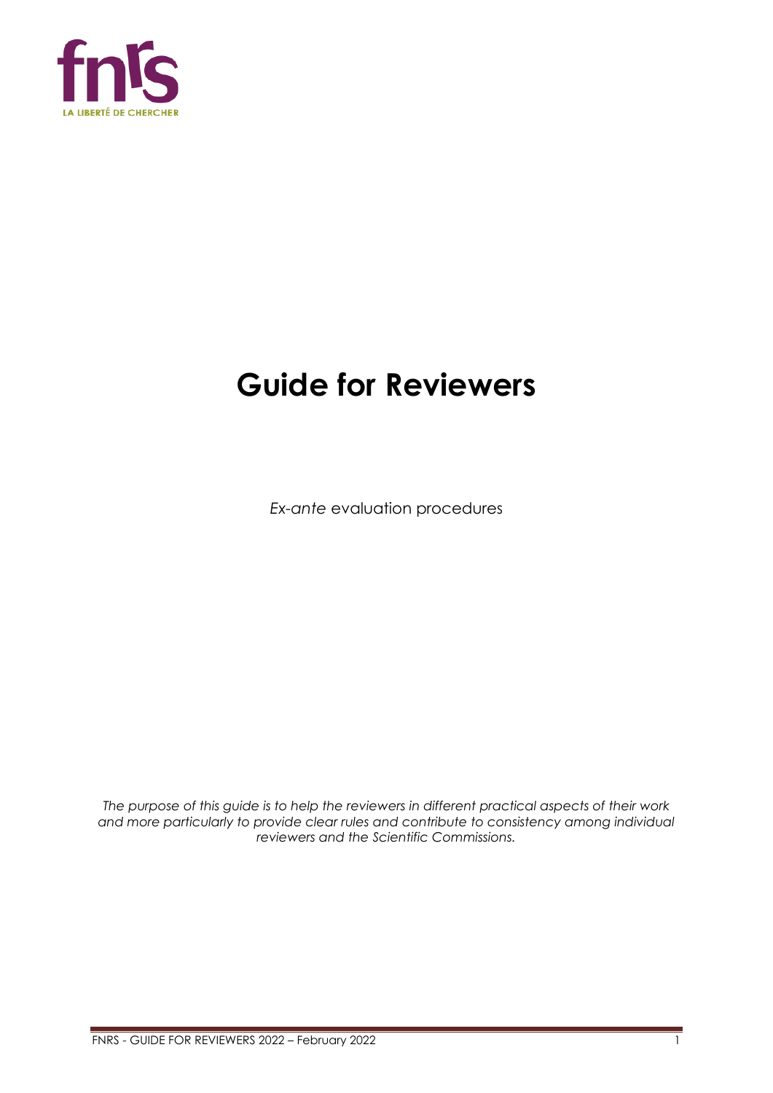

# **Guide for Reviewers**

*Ex-ante* evaluation procedures

*The purpose of this guide is to help the reviewers in different practical aspects of their work and more particularly to provide clear rules and contribute to consistency among individual reviewers and the Scientific Commissions.*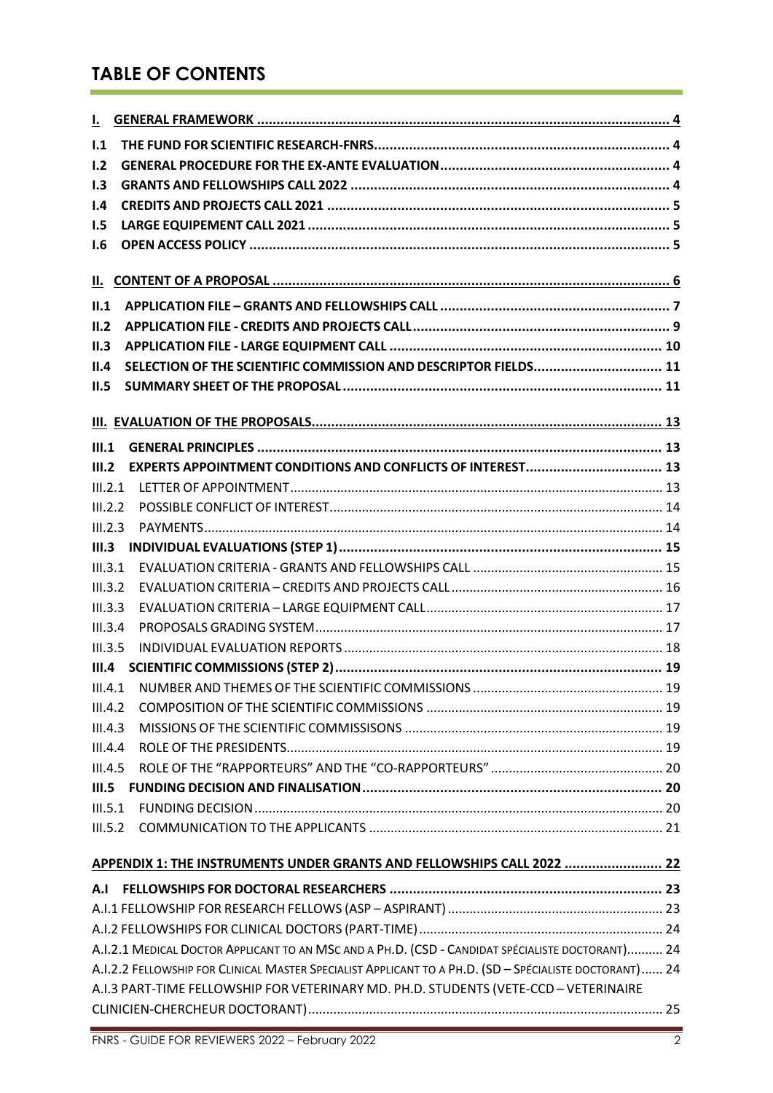# **TABLE OF CONTENTS**

| 1.1     |                                                                                                        |  |
|---------|--------------------------------------------------------------------------------------------------------|--|
| 1.2     |                                                                                                        |  |
| 1.3     |                                                                                                        |  |
| 1.4     |                                                                                                        |  |
| 1.5     |                                                                                                        |  |
| 1.6     |                                                                                                        |  |
|         |                                                                                                        |  |
| II.1    |                                                                                                        |  |
| II.2    |                                                                                                        |  |
| II.3    |                                                                                                        |  |
| II.4    | SELECTION OF THE SCIENTIFIC COMMISSION AND DESCRIPTOR FIELDS 11                                        |  |
| II.5    |                                                                                                        |  |
|         |                                                                                                        |  |
|         |                                                                                                        |  |
| III.1   |                                                                                                        |  |
| III.2   |                                                                                                        |  |
| III.2.1 |                                                                                                        |  |
| III.2.2 |                                                                                                        |  |
| III.2.3 |                                                                                                        |  |
| III.3   |                                                                                                        |  |
| III.3.1 |                                                                                                        |  |
| III.3.2 |                                                                                                        |  |
| III.3.3 |                                                                                                        |  |
| III.3.4 |                                                                                                        |  |
| III.3.5 |                                                                                                        |  |
| III.4   |                                                                                                        |  |
|         |                                                                                                        |  |
| III.4.2 |                                                                                                        |  |
| III.4.3 |                                                                                                        |  |
| III.4.4 |                                                                                                        |  |
| III.4.5 |                                                                                                        |  |
| III.5   |                                                                                                        |  |
| III.5.1 |                                                                                                        |  |
|         |                                                                                                        |  |
|         | APPENDIX 1: THE INSTRUMENTS UNDER GRANTS AND FELLOWSHIPS CALL 2022  22                                 |  |
|         |                                                                                                        |  |
|         |                                                                                                        |  |
|         |                                                                                                        |  |
|         | A.I.2.1 MEDICAL DOCTOR APPLICANT TO AN MSC AND A PH.D. (CSD - CANDIDAT SPÉCIALISTE DOCTORANT) 24       |  |
|         | A.I.2.2 FELLOWSHIP FOR CLINICAL MASTER SPECIALIST APPLICANT TO A PH.D. (SD - SPÉCIALISTE DOCTORANT) 24 |  |
|         | A.I.3 PART-TIME FELLOWSHIP FOR VETERINARY MD. PH.D. STUDENTS (VETE-CCD - VETERINAIRE                   |  |
|         |                                                                                                        |  |
|         |                                                                                                        |  |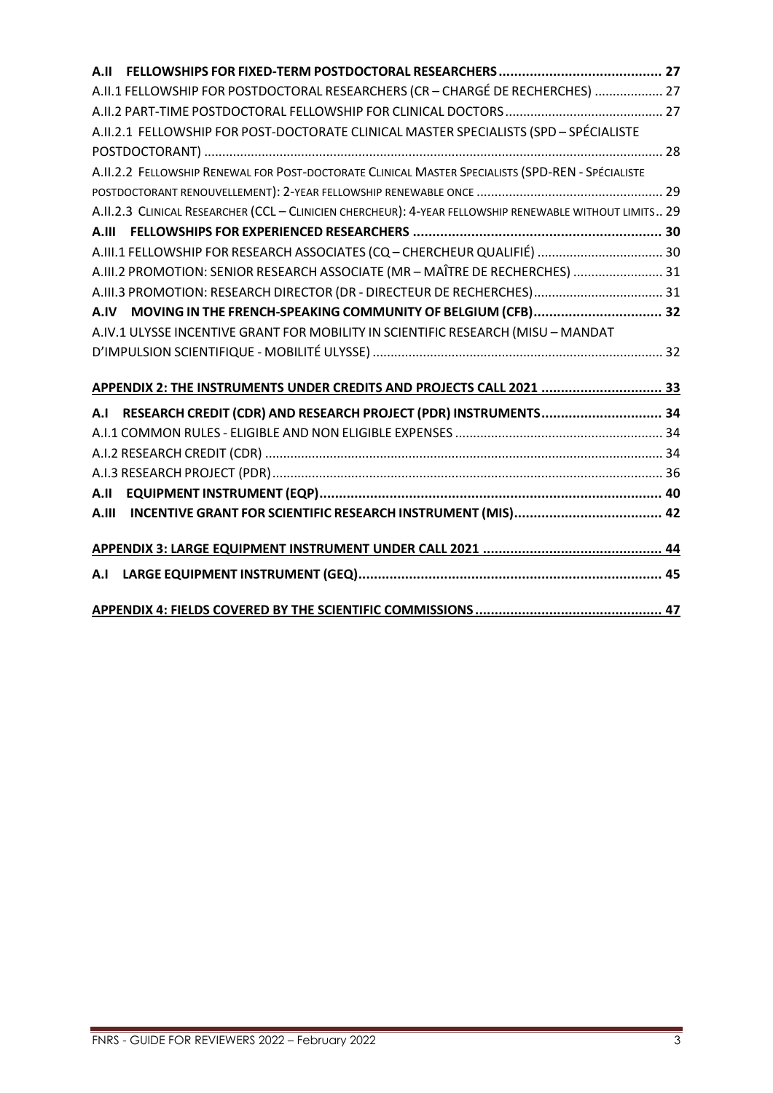| A.II  |                                                                                                         |  |
|-------|---------------------------------------------------------------------------------------------------------|--|
|       | A.II.1 FELLOWSHIP FOR POSTDOCTORAL RESEARCHERS (CR - CHARGÉ DE RECHERCHES)  27                          |  |
|       |                                                                                                         |  |
|       | A.II.2.1 FELLOWSHIP FOR POST-DOCTORATE CLINICAL MASTER SPECIALISTS (SPD - SPÉCIALISTE                   |  |
|       |                                                                                                         |  |
|       | A.II.2.2 FELLOWSHIP RENEWAL FOR POST-DOCTORATE CLINICAL MASTER SPECIALISTS (SPD-REN - SPÉCIALISTE       |  |
|       |                                                                                                         |  |
|       | A.II.2.3 CLINICAL RESEARCHER (CCL - CLINICIEN CHERCHEUR): 4-YEAR FELLOWSHIP RENEWABLE WITHOUT LIMITS 29 |  |
|       |                                                                                                         |  |
|       | A.III.1 FELLOWSHIP FOR RESEARCH ASSOCIATES (CQ - CHERCHEUR QUALIFIÉ)  30                                |  |
|       | A.III.2 PROMOTION: SENIOR RESEARCH ASSOCIATE (MR - MAÎTRE DE RECHERCHES)  31                            |  |
|       | A.III.3 PROMOTION: RESEARCH DIRECTOR (DR - DIRECTEUR DE RECHERCHES) 31                                  |  |
| A.IV  | MOVING IN THE FRENCH-SPEAKING COMMUNITY OF BELGIUM (CFB) 32                                             |  |
|       | A.IV.1 ULYSSE INCENTIVE GRANT FOR MOBILITY IN SCIENTIFIC RESEARCH (MISU - MANDAT                        |  |
|       |                                                                                                         |  |
|       |                                                                                                         |  |
|       | APPENDIX 2: THE INSTRUMENTS UNDER CREDITS AND PROJECTS CALL 2021  33                                    |  |
| A.I   | RESEARCH CREDIT (CDR) AND RESEARCH PROJECT (PDR) INSTRUMENTS 34                                         |  |
|       |                                                                                                         |  |
|       |                                                                                                         |  |
|       |                                                                                                         |  |
|       |                                                                                                         |  |
| A.III |                                                                                                         |  |
|       |                                                                                                         |  |
|       |                                                                                                         |  |
| A.I   |                                                                                                         |  |
|       |                                                                                                         |  |
|       |                                                                                                         |  |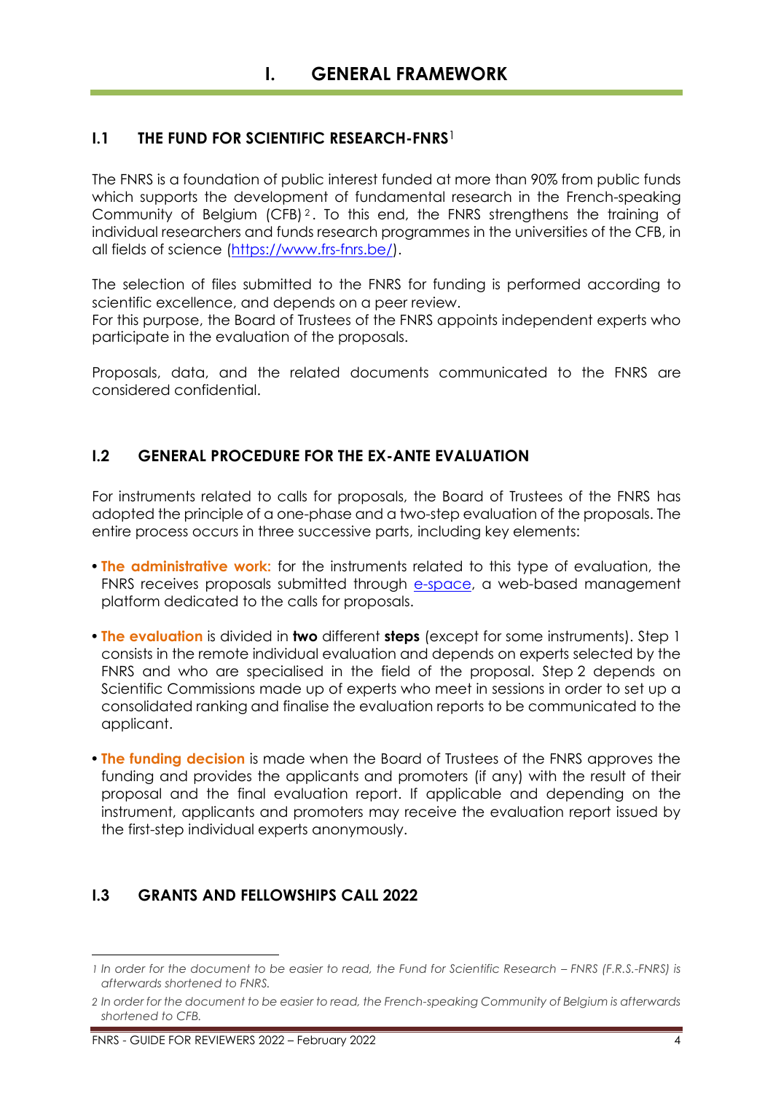# <span id="page-3-1"></span><span id="page-3-0"></span>**I.1 THE FUND FOR SCIENTIFIC RESEARCH-FNRS**<sup>1</sup>

The FNRS is a foundation of public interest funded at more than 90% from public funds which supports the development of fundamental research in the French-speaking Community of Belgium (CFB)<sup>2</sup>. To this end, the FNRS strengthens the training of individual researchers and funds research programmes in the universities of the CFB, in all fields of science [\(https://www.frs-fnrs.be/\)](https://www.frs-fnrs.be/).

The selection of files submitted to the FNRS for funding is performed according to scientific excellence, and depends on a peer review.

For this purpose, the Board of Trustees of the FNRS appoints independent experts who participate in the evaluation of the proposals.

Proposals, data, and the related documents communicated to the FNRS are considered confidential.

# <span id="page-3-2"></span>**I.2 GENERAL PROCEDURE FOR THE EX-ANTE EVALUATION**

For instruments related to calls for proposals, the Board of Trustees of the FNRS has adopted the principle of a one-phase and a two-step evaluation of the proposals. The entire process occurs in three successive parts, including key elements:

- **The administrative work:** for the instruments related to this type of evaluation, the FNRS receives proposals submitted through [e-space,](https://e-space.frs-fnrs.be/) a web-based management platform dedicated to the calls for proposals.
- **The evaluation** is divided in **two** different **steps** (except for some instruments). Step 1 consists in the remote individual evaluation and depends on experts selected by the FNRS and who are specialised in the field of the proposal. Step 2 depends on Scientific Commissions made up of experts who meet in sessions in order to set up a consolidated ranking and finalise the evaluation reports to be communicated to the applicant.
- **The funding decision** is made when the Board of Trustees of the FNRS approves the funding and provides the applicants and promoters (if any) with the result of their proposal and the final evaluation report. If applicable and depending on the instrument, applicants and promoters may receive the evaluation report issued by the first-step individual experts anonymously.

# <span id="page-3-3"></span>**I.3 GRANTS AND FELLOWSHIPS CALL 2022**

*<sup>1</sup>* In order for the document to be easier to read, the Fund for Scientific Research – FNRS (F.R.S.-FNRS) is *afterwards shortened to FNRS.*

*<sup>2</sup> In order for the document to be easier to read, the French-speaking Community of Belgium is afterwards shortened to CFB.*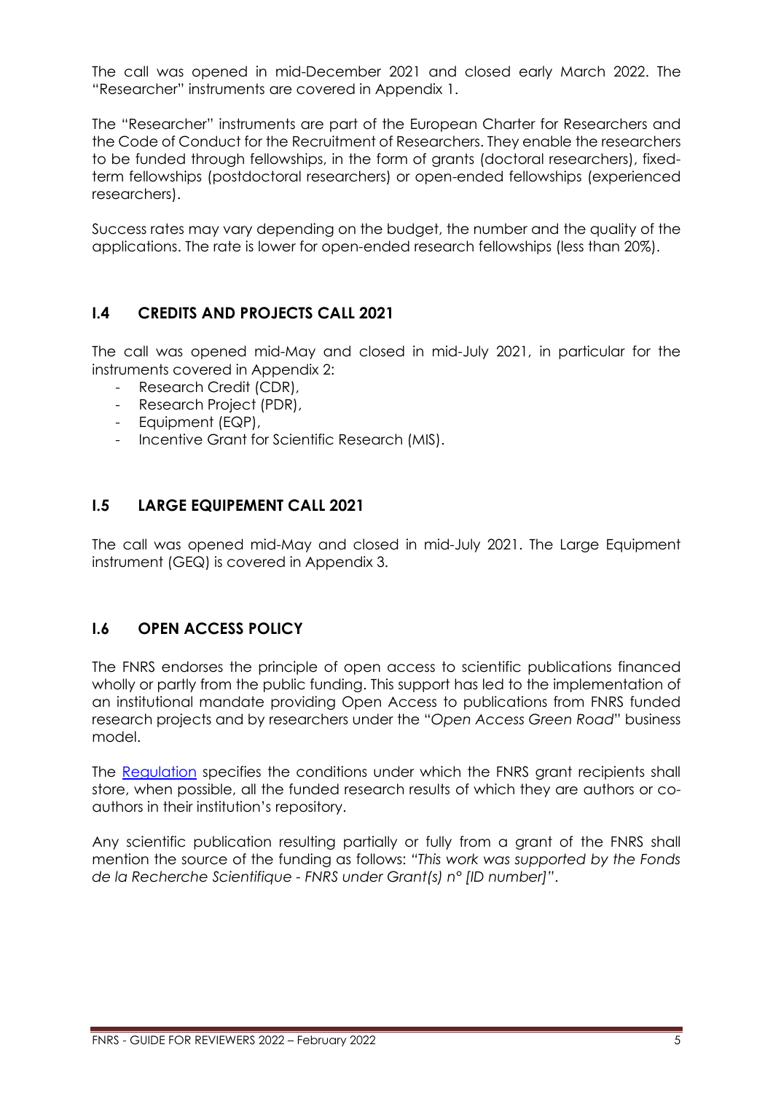The call was opened in mid-December 2021 and closed early March 2022. The "Researcher" instruments are covered in Appendix 1.

The "Researcher" instruments are part of the European Charter for Researchers and the Code of Conduct for the Recruitment of Researchers. They enable the researchers to be funded through fellowships, in the form of grants (doctoral researchers), fixedterm fellowships (postdoctoral researchers) or open-ended fellowships (experienced researchers).

Success rates may vary depending on the budget, the number and the quality of the applications. The rate is lower for open-ended research fellowships (less than 20%).

# <span id="page-4-0"></span>**I.4 CREDITS AND PROJECTS CALL 2021**

The call was opened mid-May and closed in mid-July 2021, in particular for the instruments covered in Appendix 2:

- Research Credit (CDR),
- Research Project (PDR),
- Equipment (EQP),
- Incentive Grant for Scientific Research (MIS).

# <span id="page-4-1"></span>**I.5 LARGE EQUIPEMENT CALL 2021**

The call was opened mid-May and closed in mid-July 2021. The Large Equipment instrument (GEQ) is covered in Appendix 3.

# <span id="page-4-2"></span>**I.6 OPEN ACCESS POLICY**

The FNRS endorses the principle of open access to scientific publications financed wholly or partly from the public funding. This support has led to the implementation of an institutional mandate providing Open Access to publications from FNRS funded research projects and by researchers under the "*Open Access Green Road*" business model.

The [Regulation](https://www.frs-fnrs.be/docs/Reglement_OPEN_ACCESS_EN.pdf) specifies the conditions under which the FNRS grant recipients shall store, when possible, all the funded research results of which they are authors or coauthors in their institution's repository.

Any scientific publication resulting partially or fully from a grant of the FNRS shall mention the source of the funding as follows: *"This work was supported by the Fonds de la Recherche Scientifique - FNRS under Grant(s) n° [ID number]"*.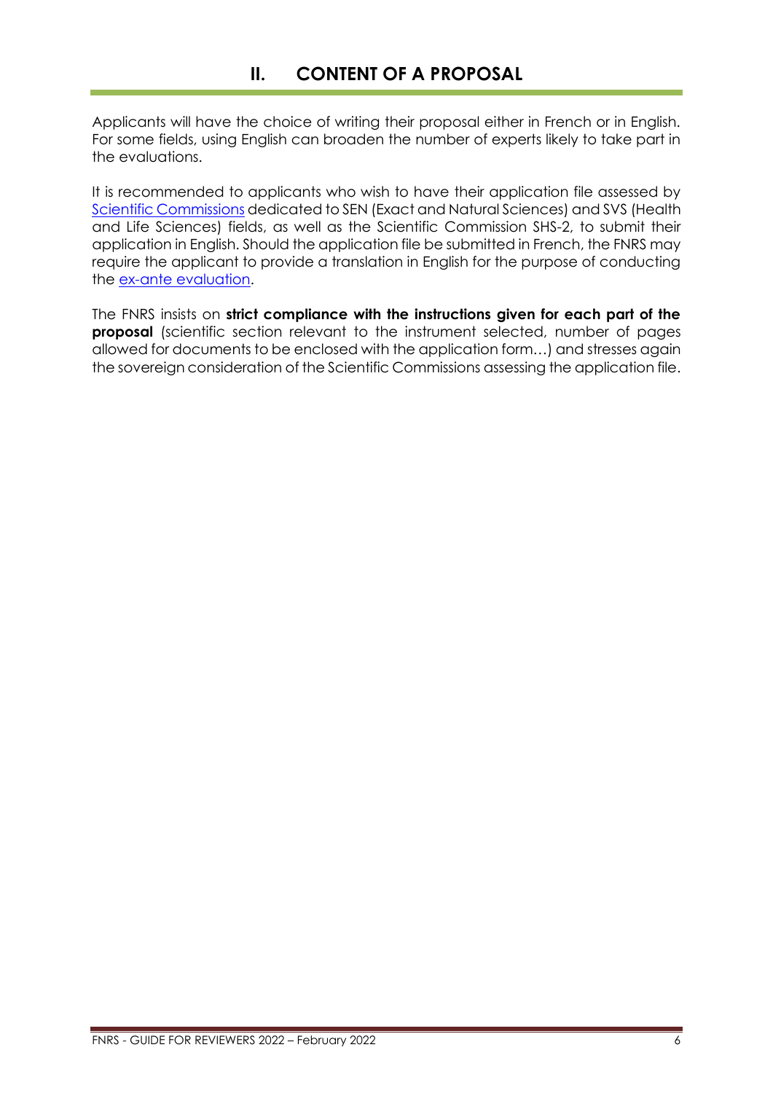<span id="page-5-0"></span>Applicants will have the choice of writing their proposal either in French or in English. For some fields, using English can broaden the number of experts likely to take part in the evaluations.

It is recommended to applicants who wish to have their application file assessed by [Scientific Commissions](https://www.frs-fnrs.be/docs/Reglement-et-documents/FRS-FNRS_Champs_descripteurs.pdf) dedicated to SEN (Exact and Natural Sciences) and SVS (Health and Life Sciences) fields, as well as the Scientific Commission SHS-2, to submit their application in English. Should the application file be submitted in French, the FNRS may require the applicant to provide a translation in English for the purpose of conducting the [ex-ante evaluation.](https://www.frs-fnrs.be/docs/Reglement-et-documents/FRS-FNRS_Guide_Evaluation_EN.pdf)

The FNRS insists on **strict compliance with the instructions given for each part of the proposal** (scientific section relevant to the instrument selected, number of pages allowed for documents to be enclosed with the application form…) and stresses again the sovereign consideration of the Scientific Commissions assessing the application file.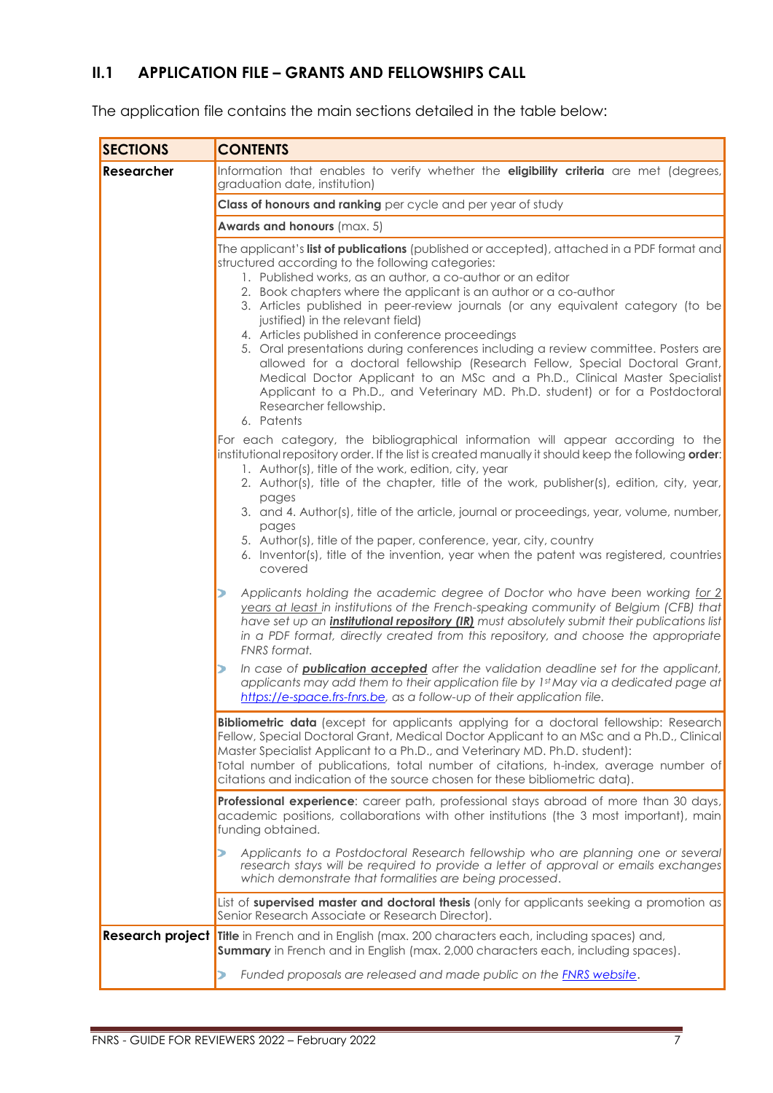# <span id="page-6-0"></span>**II.1 APPLICATION FILE – GRANTS AND FELLOWSHIPS CALL**

The application file contains the main sections detailed in the table below:

| <b>SECTIONS</b>   | <b>CONTENTS</b>                                                                                                                                                                                                                                                                                                                                                                                                                                                                                                                                                                                                                                                                                                                                                                                                                           |  |  |  |  |  |
|-------------------|-------------------------------------------------------------------------------------------------------------------------------------------------------------------------------------------------------------------------------------------------------------------------------------------------------------------------------------------------------------------------------------------------------------------------------------------------------------------------------------------------------------------------------------------------------------------------------------------------------------------------------------------------------------------------------------------------------------------------------------------------------------------------------------------------------------------------------------------|--|--|--|--|--|
| <b>Researcher</b> | Information that enables to verify whether the eligibility criteria are met (degrees,<br>graduation date, institution)                                                                                                                                                                                                                                                                                                                                                                                                                                                                                                                                                                                                                                                                                                                    |  |  |  |  |  |
|                   | Class of honours and ranking per cycle and per year of study                                                                                                                                                                                                                                                                                                                                                                                                                                                                                                                                                                                                                                                                                                                                                                              |  |  |  |  |  |
|                   | Awards and honours (max. 5)                                                                                                                                                                                                                                                                                                                                                                                                                                                                                                                                                                                                                                                                                                                                                                                                               |  |  |  |  |  |
|                   | The applicant's list of publications (published or accepted), attached in a PDF format and<br>structured according to the following categories:<br>1. Published works, as an author, a co-author or an editor<br>2. Book chapters where the applicant is an author or a co-author<br>3. Articles published in peer-review journals (or any equivalent category (to be<br>justified) in the relevant field)<br>4. Articles published in conference proceedings<br>5. Oral presentations during conferences including a review committee. Posters are<br>allowed for a doctoral fellowship (Research Fellow, Special Doctoral Grant,<br>Medical Doctor Applicant to an MSc and a Ph.D., Clinical Master Specialist<br>Applicant to a Ph.D., and Veterinary MD. Ph.D. student) or for a Postdoctoral<br>Researcher fellowship.<br>6. Patents |  |  |  |  |  |
|                   | For each category, the bibliographical information will appear according to the<br>institutional repository order. If the list is created manually it should keep the following order:<br>1. Author(s), title of the work, edition, city, year<br>2. Author(s), title of the chapter, title of the work, publisher(s), edition, city, year,<br>pages<br>3. and 4. Author(s), title of the article, journal or proceedings, year, volume, number,<br>pages<br>5. Author(s), title of the paper, conference, year, city, country<br>6. Inventor(s), title of the invention, year when the patent was registered, countries<br>covered                                                                                                                                                                                                       |  |  |  |  |  |
|                   | Applicants holding the academic degree of Doctor who have been working for 2<br>years at least in institutions of the French-speaking community of Belgium (CFB) that<br>have set up an <i>institutional repository (IR)</i> must absolutely submit their publications list<br>in a PDF format, directly created from this repository, and choose the appropriate<br>FNRS format.<br>In case of <b>publication accepted</b> after the validation deadline set for the applicant,                                                                                                                                                                                                                                                                                                                                                          |  |  |  |  |  |
|                   | applicants may add them to their application file by 1st May via a dedicated page at<br>https://e-space.frs-fnrs.be, as a follow-up of their application file.                                                                                                                                                                                                                                                                                                                                                                                                                                                                                                                                                                                                                                                                            |  |  |  |  |  |
|                   | <b>Bibliometric data</b> (except for applicants applying for a doctoral fellowship: Research<br>Fellow, Special Doctoral Grant, Medical Doctor Applicant to an MSc and a Ph.D., Clinical<br>Master Specialist Applicant to a Ph.D., and Veterinary MD. Ph.D. student):<br>Total number of publications, total number of citations, h-index, average number of<br>citations and indication of the source chosen for these bibliometric data).                                                                                                                                                                                                                                                                                                                                                                                              |  |  |  |  |  |
|                   | Professional experience: career path, professional stays abroad of more than 30 days,<br>academic positions, collaborations with other institutions (the 3 most important), main<br>funding obtained.                                                                                                                                                                                                                                                                                                                                                                                                                                                                                                                                                                                                                                     |  |  |  |  |  |
|                   | Applicants to a Postdoctoral Research fellowship who are planning one or several<br>research stays will be required to provide a letter of approval or emails exchanges<br>which demonstrate that formalities are being processed.                                                                                                                                                                                                                                                                                                                                                                                                                                                                                                                                                                                                        |  |  |  |  |  |
|                   | List of supervised master and doctoral thesis (only for applicants seeking a promotion as<br>Senior Research Associate or Research Director).                                                                                                                                                                                                                                                                                                                                                                                                                                                                                                                                                                                                                                                                                             |  |  |  |  |  |
|                   | Research project Title in French and in English (max. 200 characters each, including spaces) and,<br><b>Summary</b> in French and in English (max. 2,000 characters each, including spaces).                                                                                                                                                                                                                                                                                                                                                                                                                                                                                                                                                                                                                                              |  |  |  |  |  |
|                   | Funded proposals are released and made public on the <b>FNRS website.</b>                                                                                                                                                                                                                                                                                                                                                                                                                                                                                                                                                                                                                                                                                                                                                                 |  |  |  |  |  |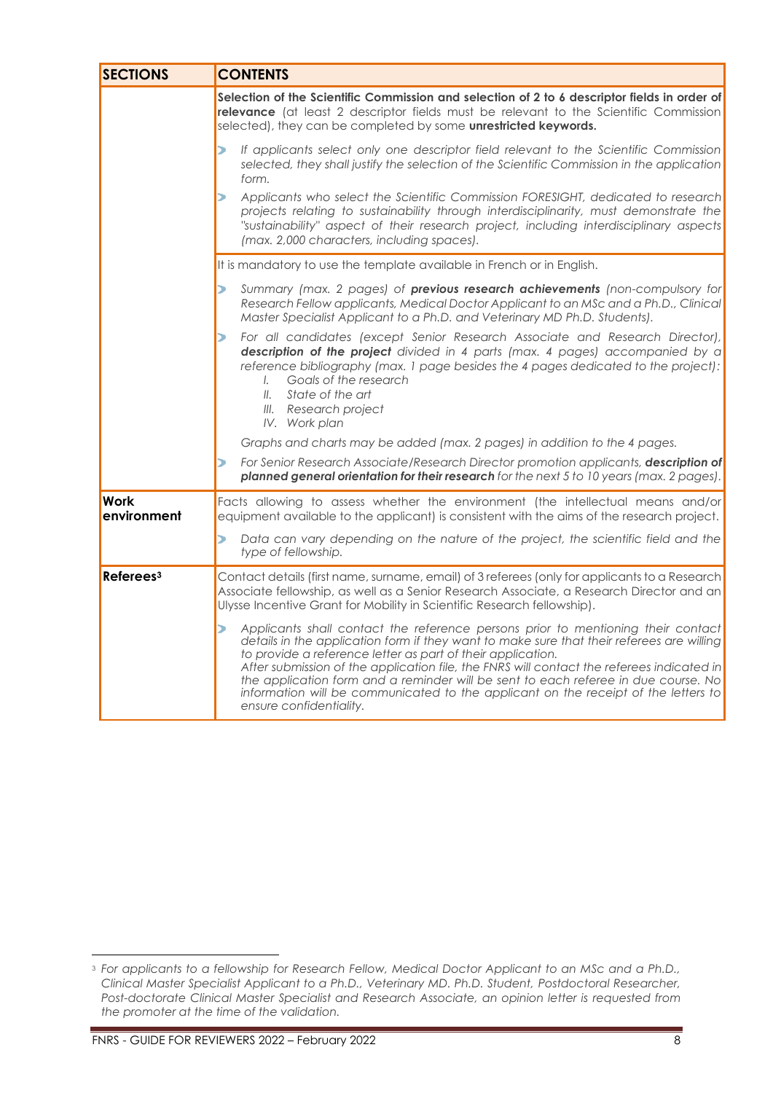| <b>SECTIONS</b>            | <b>CONTENTS</b>                                                                                                                                                                                                                                                                                                                                                                                                                                                                                                                                       |
|----------------------------|-------------------------------------------------------------------------------------------------------------------------------------------------------------------------------------------------------------------------------------------------------------------------------------------------------------------------------------------------------------------------------------------------------------------------------------------------------------------------------------------------------------------------------------------------------|
|                            | Selection of the Scientific Commission and selection of 2 to 6 descriptor fields in order of<br>relevance (at least 2 descriptor fields must be relevant to the Scientific Commission<br>selected), they can be completed by some unrestricted keywords.                                                                                                                                                                                                                                                                                              |
|                            | If applicants select only one descriptor field relevant to the Scientific Commission<br>⋗<br>selected, they shall justify the selection of the Scientific Commission in the application<br>form.                                                                                                                                                                                                                                                                                                                                                      |
|                            | Applicants who select the Scientific Commission FORESIGHT, dedicated to research<br>⋗<br>projects relating to sustainability through interdisciplinarity, must demonstrate the<br>"sustainability" aspect of their research project, including interdisciplinary aspects<br>(max. 2,000 characters, including spaces).                                                                                                                                                                                                                                |
|                            | It is mandatory to use the template available in French or in English.                                                                                                                                                                                                                                                                                                                                                                                                                                                                                |
|                            | Summary (max. 2 pages) of previous research achievements (non-compulsory for<br>⋗<br>Research Fellow applicants, Medical Doctor Applicant to an MSc and a Ph.D., Clinical<br>Master Specialist Applicant to a Ph.D. and Veterinary MD Ph.D. Students).                                                                                                                                                                                                                                                                                                |
|                            | For all candidates (except Senior Research Associate and Research Director),<br>⋗<br>description of the project divided in 4 parts (max. 4 pages) accompanied by a<br>reference bibliography (max. 1 page besides the 4 pages dedicated to the project):<br>Goals of the research<br>$\mathcal{L}$<br>State of the art<br>$II$ .<br>III. Research project<br>IV. Work plan                                                                                                                                                                            |
|                            | Graphs and charts may be added (max. 2 pages) in addition to the 4 pages.                                                                                                                                                                                                                                                                                                                                                                                                                                                                             |
|                            | For Senior Research Associate/Research Director promotion applicants, description of<br>⋗<br>planned general orientation for their research for the next 5 to 10 years (max. 2 pages).                                                                                                                                                                                                                                                                                                                                                                |
| <b>Work</b><br>environment | Facts allowing to assess whether the environment (the intellectual means and/or<br>equipment available to the applicant) is consistent with the aims of the research project.                                                                                                                                                                                                                                                                                                                                                                         |
|                            | Ь<br>Data can vary depending on the nature of the project, the scientific field and the<br>type of fellowship.                                                                                                                                                                                                                                                                                                                                                                                                                                        |
| Referees <sup>3</sup>      | Contact details (first name, surname, email) of 3 referees (only for applicants to a Research<br>Associate fellowship, as well as a Senior Research Associate, a Research Director and an<br>Ulysse Incentive Grant for Mobility in Scientific Research fellowship).                                                                                                                                                                                                                                                                                  |
|                            | Applicants shall contact the reference persons prior to mentioning their contact<br>⋗<br>details in the application form if they want to make sure that their referees are willing<br>to provide a reference letter as part of their application.<br>After submission of the application file, the FNRS will contact the referees indicated in<br>the application form and a reminder will be sent to each referee in due course. No<br>information will be communicated to the applicant on the receipt of the letters to<br>ensure confidentiality. |

<sup>3</sup> *For applicants to a fellowship for Research Fellow, Medical Doctor Applicant to an MSc and a Ph.D., Clinical Master Specialist Applicant to a Ph.D., Veterinary MD. Ph.D. Student, Postdoctoral Researcher, Post-doctorate Clinical Master Specialist and Research Associate, an opinion letter is requested from the promoter at the time of the validation.*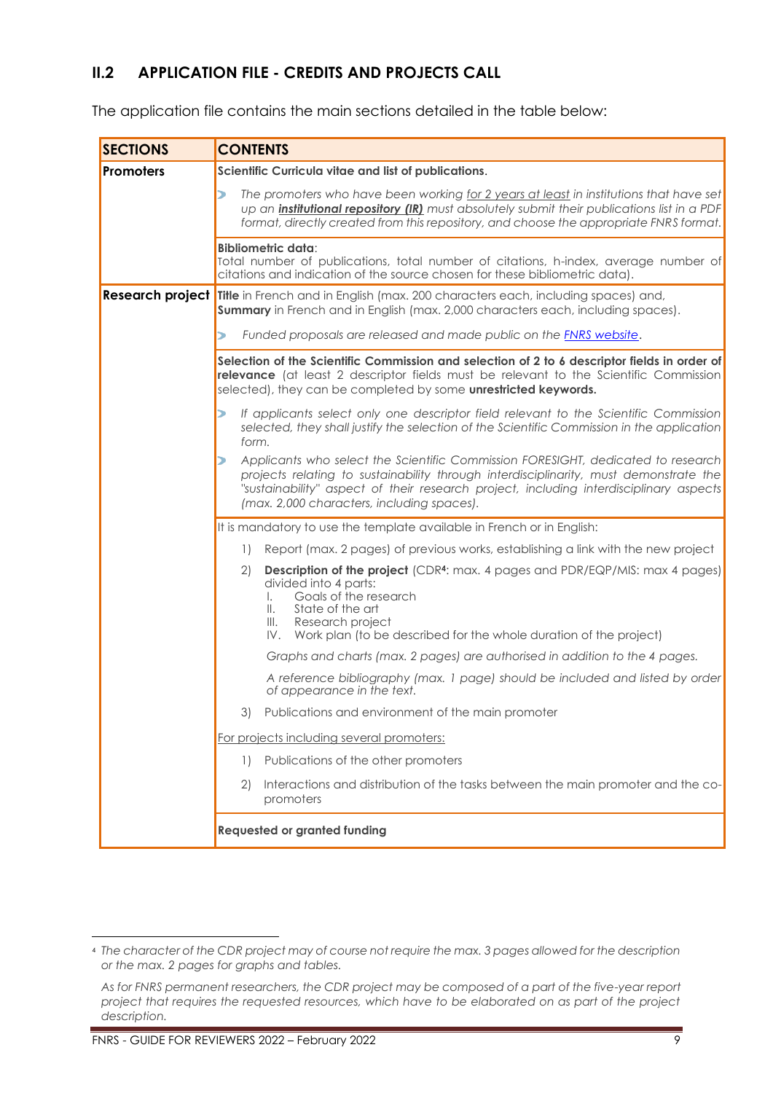# <span id="page-8-0"></span>**II.2 APPLICATION FILE - CREDITS AND PROJECTS CALL**

The application file contains the main sections detailed in the table below:

| <b>SECTIONS</b>  | <b>CONTENTS</b>                                                                                                                                                                                                                                                                                                   |  |  |  |  |
|------------------|-------------------------------------------------------------------------------------------------------------------------------------------------------------------------------------------------------------------------------------------------------------------------------------------------------------------|--|--|--|--|
| <b>Promoters</b> | Scientific Curricula vitae and list of publications.                                                                                                                                                                                                                                                              |  |  |  |  |
|                  | The promoters who have been working for 2 years at least in institutions that have set<br>⋗<br>up an <i>institutional repository (IR)</i> must absolutely submit their publications list in a PDF<br>format, directly created from this repository, and choose the appropriate FNRS format.                       |  |  |  |  |
|                  | <b>Bibliometric data:</b><br>Total number of publications, total number of citations, h-index, average number of<br>citations and indication of the source chosen for these bibliometric data).                                                                                                                   |  |  |  |  |
|                  | Research project Title in French and in English (max. 200 characters each, including spaces) and,<br><b>Summary</b> in French and in English (max. 2,000 characters each, including spaces).                                                                                                                      |  |  |  |  |
|                  | Funded proposals are released and made public on the <b>FNRS website.</b><br>⋗                                                                                                                                                                                                                                    |  |  |  |  |
|                  | Selection of the Scientific Commission and selection of 2 to 6 descriptor fields in order of<br>relevance (at least 2 descriptor fields must be relevant to the Scientific Commission<br>selected), they can be completed by some unrestricted keywords.                                                          |  |  |  |  |
|                  | If applicants select only one descriptor field relevant to the Scientific Commission<br>selected, they shall justify the selection of the Scientific Commission in the application<br>form.                                                                                                                       |  |  |  |  |
|                  | Applicants who select the Scientific Commission FORESIGHT, dedicated to research<br>projects relating to sustainability through interdisciplinarity, must demonstrate the<br>"sustainability" aspect of their research project, including interdisciplinary aspects<br>(max. 2,000 characters, including spaces). |  |  |  |  |
|                  | It is mandatory to use the template available in French or in English:                                                                                                                                                                                                                                            |  |  |  |  |
|                  | Report (max. 2 pages) of previous works, establishing a link with the new project<br>$\left  \cdot \right $                                                                                                                                                                                                       |  |  |  |  |
|                  | <b>Description of the project</b> (CDR <sup>4</sup> : max. 4 pages and PDR/EQP/MIS: max 4 pages)<br>2)<br>divided into 4 parts:<br>Goals of the research<br>L.<br>State of the art<br>$\mathbb{I}$ .<br>III.<br>Research project<br>IV. Work plan (to be described for the whole duration of the project)         |  |  |  |  |
|                  | Graphs and charts (max. 2 pages) are authorised in addition to the 4 pages.                                                                                                                                                                                                                                       |  |  |  |  |
|                  | A reference bibliography (max. 1 page) should be included and listed by order<br>of appearance in the text.                                                                                                                                                                                                       |  |  |  |  |
|                  | Publications and environment of the main promoter<br>3)                                                                                                                                                                                                                                                           |  |  |  |  |
|                  | For projects including several promoters:                                                                                                                                                                                                                                                                         |  |  |  |  |
|                  | Publications of the other promoters<br>$\left  \ \right $                                                                                                                                                                                                                                                         |  |  |  |  |
|                  | Interactions and distribution of the tasks between the main promoter and the co-<br>2)<br>promoters                                                                                                                                                                                                               |  |  |  |  |
|                  | <b>Requested or granted funding</b>                                                                                                                                                                                                                                                                               |  |  |  |  |

<sup>4</sup> *The character of the CDR project may of course not require the max. 3 pages allowed for the description or the max. 2 pages for graphs and tables.*

*As for FNRS permanent researchers, the CDR project may be composed of a part of the five-year report project that requires the requested resources, which have to be elaborated on as part of the project description.*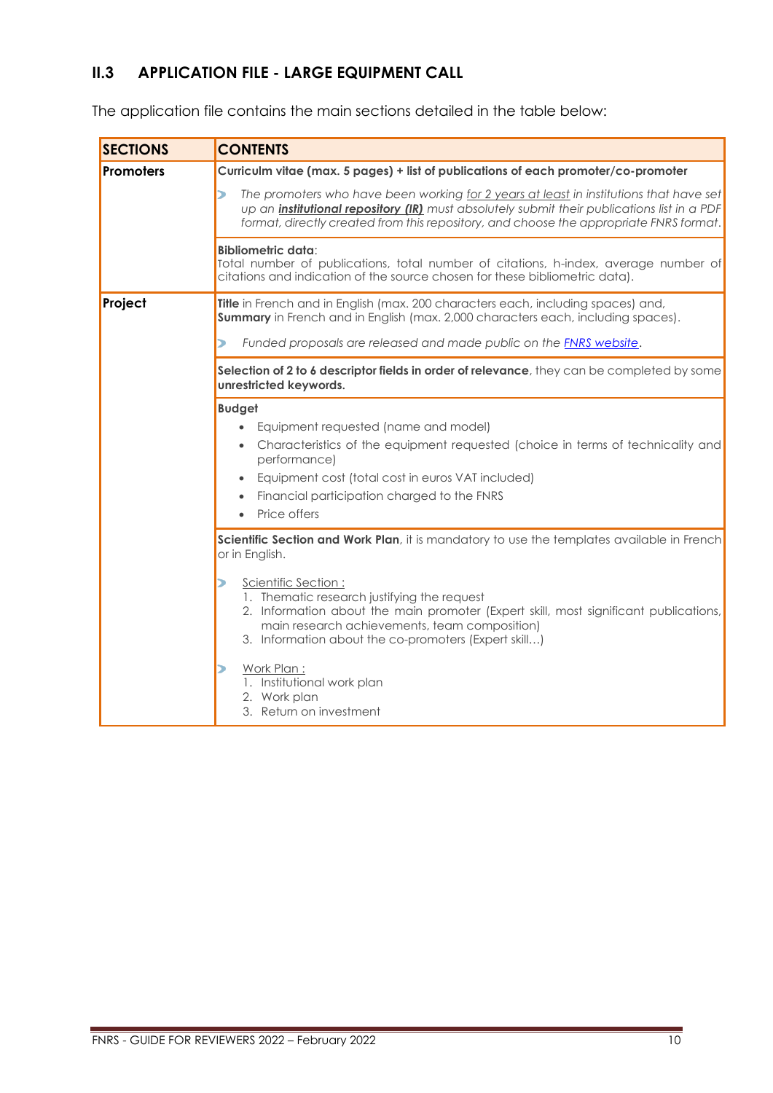# <span id="page-9-0"></span>**II.3 APPLICATION FILE - LARGE EQUIPMENT CALL**

The application file contains the main sections detailed in the table below:

| <b>SECTIONS</b>  | <b>CONTENTS</b>                                                                                                                                                                                                                                                                                                                                                                                                                                                                                                                                                                                                                                                                                            |  |  |  |  |
|------------------|------------------------------------------------------------------------------------------------------------------------------------------------------------------------------------------------------------------------------------------------------------------------------------------------------------------------------------------------------------------------------------------------------------------------------------------------------------------------------------------------------------------------------------------------------------------------------------------------------------------------------------------------------------------------------------------------------------|--|--|--|--|
| <b>Promoters</b> | Curriculm vitae (max. 5 pages) + list of publications of each promoter/co-promoter                                                                                                                                                                                                                                                                                                                                                                                                                                                                                                                                                                                                                         |  |  |  |  |
|                  | The promoters who have been working for 2 years at least in institutions that have set<br>כ<br>up an <i>institutional repository (IR)</i> must absolutely submit their publications list in a PDF<br>format, directly created from this repository, and choose the appropriate FNRS format.                                                                                                                                                                                                                                                                                                                                                                                                                |  |  |  |  |
|                  | <b>Bibliometric data:</b><br>Total number of publications, total number of citations, h-index, average number of<br>citations and indication of the source chosen for these bibliometric data).                                                                                                                                                                                                                                                                                                                                                                                                                                                                                                            |  |  |  |  |
| Project          | Title in French and in English (max. 200 characters each, including spaces) and,<br>Summary in French and in English (max. 2,000 characters each, including spaces).                                                                                                                                                                                                                                                                                                                                                                                                                                                                                                                                       |  |  |  |  |
|                  | Funded proposals are released and made public on the <b>FNRS website.</b><br>⋗                                                                                                                                                                                                                                                                                                                                                                                                                                                                                                                                                                                                                             |  |  |  |  |
|                  | Selection of 2 to 6 descriptor fields in order of relevance, they can be completed by some<br>unrestricted keywords.                                                                                                                                                                                                                                                                                                                                                                                                                                                                                                                                                                                       |  |  |  |  |
|                  | <b>Budget</b><br>Equipment requested (name and model)<br>$\bullet$<br>Characteristics of the equipment requested (choice in terms of technicality and<br>performance)<br>Equipment cost (total cost in euros VAT included)<br>$\bullet$<br>Financial participation charged to the FNRS<br>Price offers<br>$\bullet$<br>Scientific Section and Work Plan, it is mandatory to use the templates available in French<br>or in English.<br>Scientific Section:<br>1. Thematic research justifying the request<br>2. Information about the main promoter (Expert skill, most significant publications,<br>main research achievements, team composition)<br>3. Information about the co-promoters (Expert skill) |  |  |  |  |
|                  | Work Plan:<br>1. Institutional work plan<br>2. Work plan<br>3. Return on investment                                                                                                                                                                                                                                                                                                                                                                                                                                                                                                                                                                                                                        |  |  |  |  |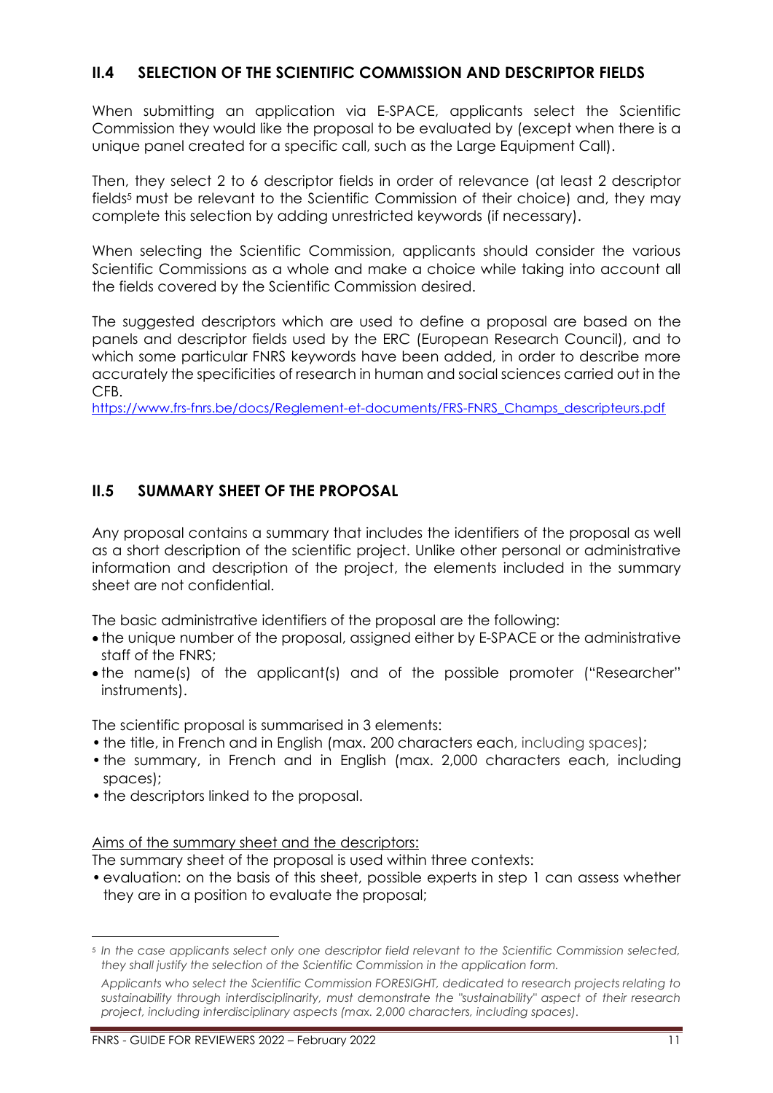# <span id="page-10-0"></span>**II.4 SELECTION OF THE SCIENTIFIC COMMISSION AND DESCRIPTOR FIELDS**

When submitting an application via E-SPACE, applicants select the Scientific Commission they would like the proposal to be evaluated by (except when there is a unique panel created for a specific call, such as the Large Equipment Call).

Then, they select 2 to 6 descriptor fields in order of relevance (at least 2 descriptor fields<sup>5</sup> must be relevant to the Scientific Commission of their choice) and, they may complete this selection by adding unrestricted keywords (if necessary).

When selecting the Scientific Commission, applicants should consider the various Scientific Commissions as a whole and make a choice while taking into account all the fields covered by the Scientific Commission desired.

The suggested descriptors which are used to define a proposal are based on the panels and descriptor fields used by the ERC (European Research Council), and to which some particular FNRS keywords have been added, in order to describe more accurately the specificities of research in human and social sciences carried out in the CFB.

https://www.frs-fnrs.be/docs/Reglement-et-documents/FRS-FNRS\_Champs\_descripteurs.pdf

# <span id="page-10-1"></span>**II.5 SUMMARY SHEET OF THE PROPOSAL**

Any proposal contains a summary that includes the identifiers of the proposal as well as a short description of the scientific project. Unlike other personal or administrative information and description of the project, the elements included in the summary sheet are not confidential.

The basic administrative identifiers of the proposal are the following:

- the unique number of the proposal, assigned either by E-SPACE or the administrative staff of the FNRS;
- the name(s) of the applicant(s) and of the possible promoter ("Researcher" instruments).

The scientific proposal is summarised in 3 elements:

- the title, in French and in English (max. 200 characters each, including spaces);
- the summary, in French and in English (max. 2,000 characters each, including spaces);
- the descriptors linked to the proposal.

Aims of the summary sheet and the descriptors:

The summary sheet of the proposal is used within three contexts:

• evaluation: on the basis of this sheet, possible experts in step 1 can assess whether they are in a position to evaluate the proposal;

<sup>5</sup> *In the case applicants select only one descriptor field relevant to the Scientific Commission selected, they shall justify the selection of the Scientific Commission in the application form.*

*Applicants who select the Scientific Commission FORESIGHT, dedicated to research projects relating to sustainability through interdisciplinarity, must demonstrate the "sustainability" aspect of their research project, including interdisciplinary aspects (max. 2,000 characters, including spaces).*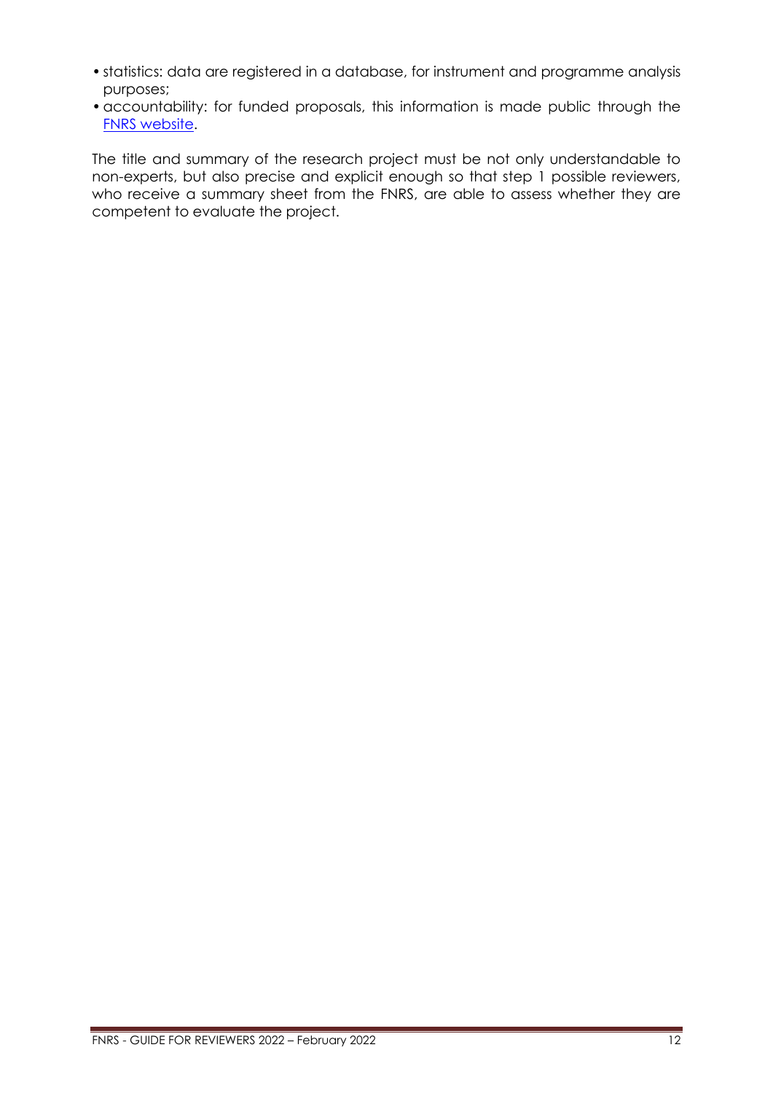- statistics: data are registered in a database, for instrument and programme analysis purposes;
- •accountability: for funded proposals, this information is made public through the [FNRS website.](https://admin.frs-fnrs.be/SITE2/Search/Recherche.cfm)

The title and summary of the research project must be not only understandable to non-experts, but also precise and explicit enough so that step 1 possible reviewers, who receive a summary sheet from the FNRS, are able to assess whether they are competent to evaluate the project.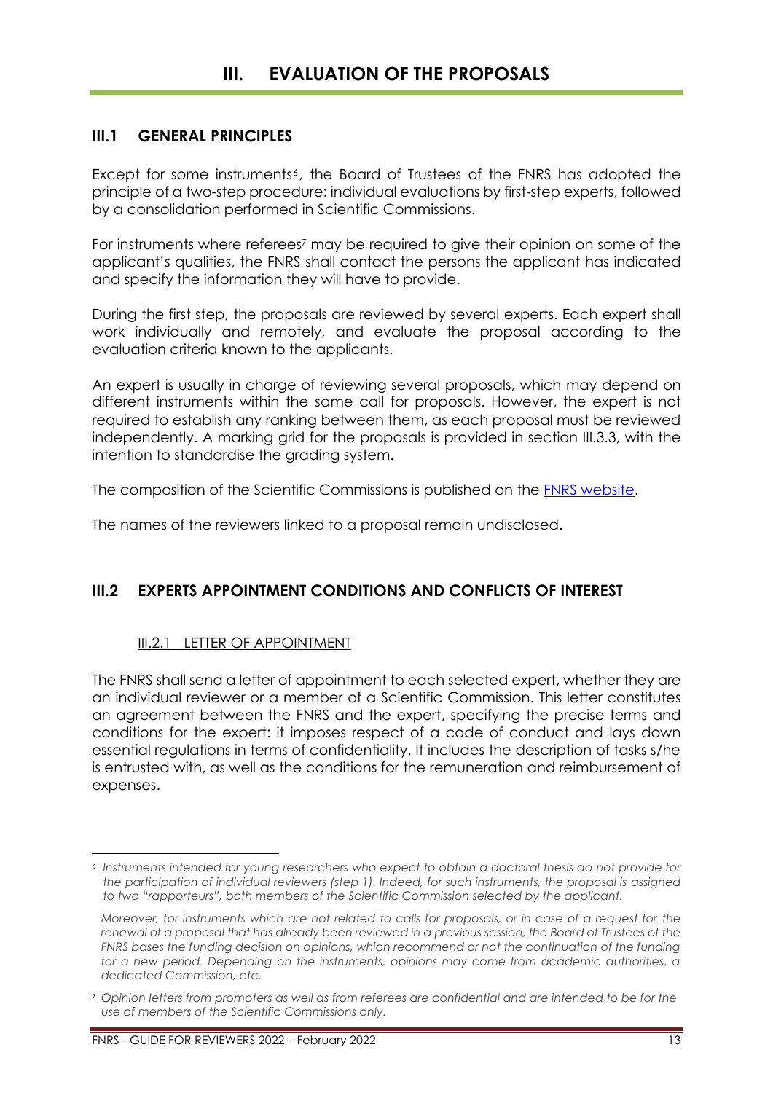# <span id="page-12-1"></span><span id="page-12-0"></span>**III.1 GENERAL PRINCIPLES**

Except for some instruments<sup>6</sup>, the Board of Trustees of the FNRS has adopted the principle of a two-step procedure: individual evaluations by first-step experts, followed by a consolidation performed in Scientific Commissions.

For instruments where referees<sup>7</sup> may be required to give their opinion on some of the applicant's qualities, the FNRS shall contact the persons the applicant has indicated and specify the information they will have to provide.

During the first step, the proposals are reviewed by several experts. Each expert shall work individually and remotely, and evaluate the proposal according to the evaluation criteria known to the applicants.

An expert is usually in charge of reviewing several proposals, which may depend on different instruments within the same call for proposals. However, the expert is not required to establish any ranking between them, as each proposal must be reviewed independently. A marking grid for the proposals is provided in section III.3.3, with the intention to standardise the grading system.

The composition of the Scientific Commissions is published on the [FNRS website.](https://www.frs-fnrs.be/commissions-scientifiques)

The names of the reviewers linked to a proposal remain undisclosed.

# <span id="page-12-3"></span><span id="page-12-2"></span>**III.2 EXPERTS APPOINTMENT CONDITIONS AND CONFLICTS OF INTEREST**

# III.2.1 LETTER OF APPOINTMENT

The FNRS shall send a letter of appointment to each selected expert, whether they are an individual reviewer or a member of a Scientific Commission. This letter constitutes an agreement between the FNRS and the expert, specifying the precise terms and conditions for the expert: it imposes respect of a code of conduct and lays down essential regulations in terms of confidentiality. It includes the description of tasks s/he is entrusted with, as well as the conditions for the remuneration and reimbursement of expenses.

<sup>6</sup> *Instruments intended for young researchers who expect to obtain a doctoral thesis do not provide for the participation of individual reviewers (step 1). Indeed, for such instruments, the proposal is assigned to two "rapporteurs", both members of the Scientific Commission selected by the applicant.*

*Moreover, for instruments which are not related to calls for proposals, or in case of a request for the renewal of a proposal that has already been reviewed in a previous session, the Board of Trustees of the FNRS bases the funding decision on opinions, which recommend or not the continuation of the funding for a new period. Depending on the instruments, opinions may come from academic authorities, a dedicated Commission, etc.*

<sup>7</sup> *Opinion letters from promoters as well as from referees are confidential and are intended to be for the use of members of the Scientific Commissions only.*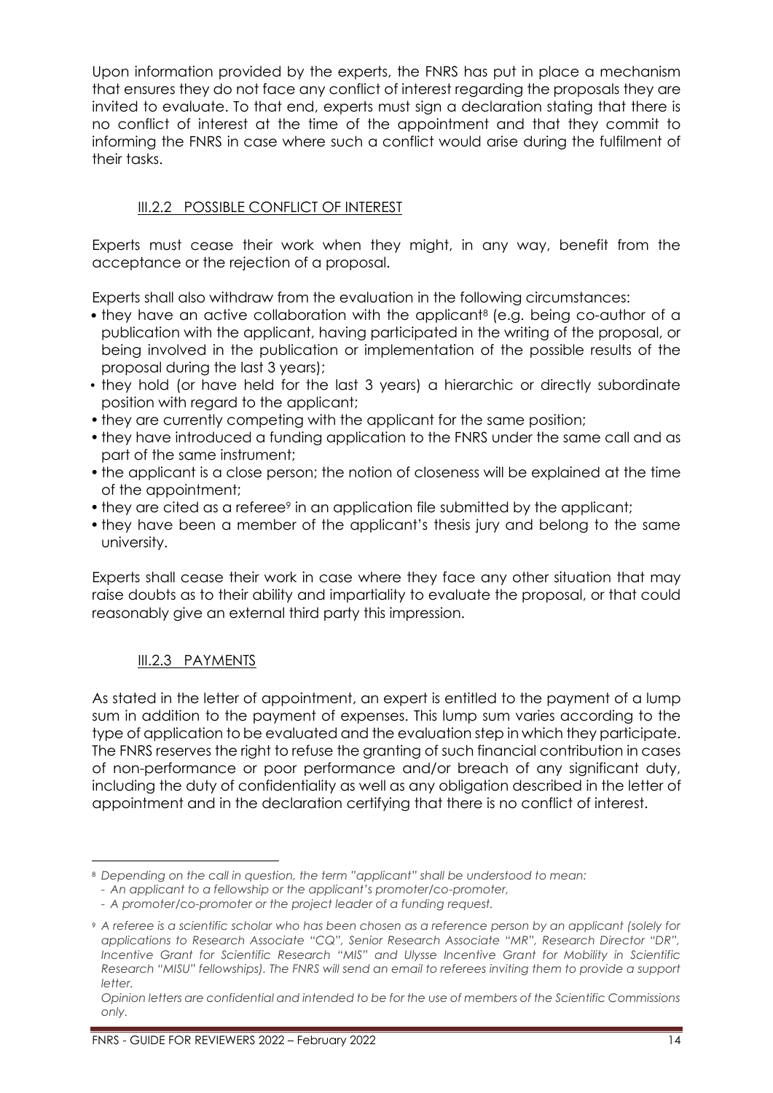Upon information provided by the experts, the FNRS has put in place a mechanism that ensures they do not face any conflict of interest regarding the proposals they are invited to evaluate. To that end, experts must sign a declaration stating that there is no conflict of interest at the time of the appointment and that they commit to informing the FNRS in case where such a conflict would arise during the fulfilment of their tasks.

# <span id="page-13-0"></span>III.2.2 POSSIBLE CONFLICT OF INTEREST

Experts must cease their work when they might, in any way, benefit from the acceptance or the rejection of a proposal.

Experts shall also withdraw from the evaluation in the following circumstances:

- they have an active collaboration with the applicant<sup>8</sup> (e.g. being co-author of a publication with the applicant, having participated in the writing of the proposal, or being involved in the publication or implementation of the possible results of the proposal during the last 3 years);
- they hold (or have held for the last 3 years) a hierarchic or directly subordinate position with regard to the applicant;
- they are currently competing with the applicant for the same position;
- they have introduced a funding application to the FNRS under the same call and as part of the same instrument;
- the applicant is a close person; the notion of closeness will be explained at the time of the appointment;
- they are cited as a referee<sup>9</sup> in an application file submitted by the applicant;
- they have been a member of the applicant's thesis jury and belong to the same university.

Experts shall cease their work in case where they face any other situation that may raise doubts as to their ability and impartiality to evaluate the proposal, or that could reasonably give an external third party this impression.

# <span id="page-13-1"></span>III.2.3 PAYMENTS

As stated in the letter of appointment, an expert is entitled to the payment of a lump sum in addition to the payment of expenses. This lump sum varies according to the type of application to be evaluated and the evaluation step in which they participate. The FNRS reserves the right to refuse the granting of such financial contribution in cases of non-performance or poor performance and/or breach of any significant duty, including the duty of confidentiality as well as any obligation described in the letter of appointment and in the declaration certifying that there is no conflict of interest.

<sup>8</sup> *Depending on the call in question, the term "applicant" shall be understood to mean:*

*<sup>-</sup> An applicant to a fellowship or the applicant's promoter/co-promoter,*

*<sup>-</sup> A promoter/co-promoter or the project leader of a funding request.*

<sup>9</sup> *A referee is a scientific scholar who has been chosen as a reference person by an applicant (solely for applications to Research Associate "CQ", Senior Research Associate "MR", Research Director "DR", Incentive Grant for Scientific Research "MIS" and Ulysse Incentive Grant for Mobility in Scientific Research "MISU" fellowships). The FNRS will send an email to referees inviting them to provide a support letter.*

*Opinion letters are confidential and intended to be for the use of members of the Scientific Commissions only.*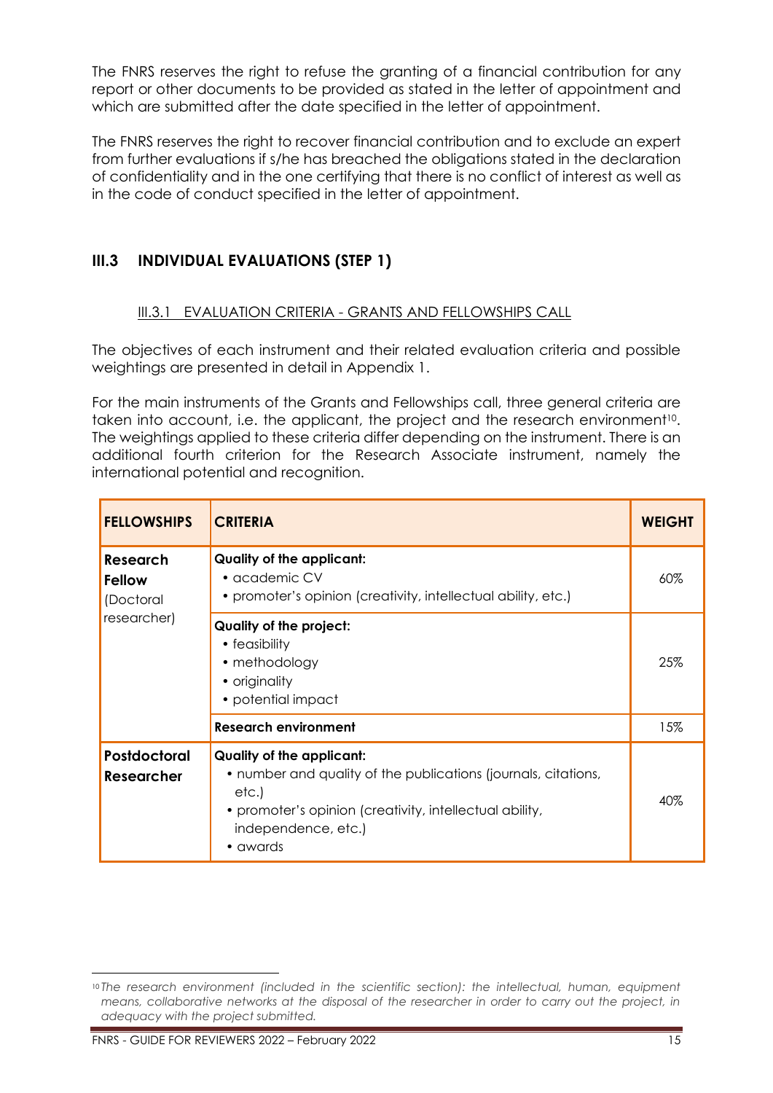The FNRS reserves the right to refuse the granting of a financial contribution for any report or other documents to be provided as stated in the letter of appointment and which are submitted after the date specified in the letter of appointment.

The FNRS reserves the right to recover financial contribution and to exclude an expert from further evaluations if s/he has breached the obligations stated in the declaration of confidentiality and in the one certifying that there is no conflict of interest as well as in the code of conduct specified in the letter of appointment.

# <span id="page-14-1"></span><span id="page-14-0"></span>**III.3 INDIVIDUAL EVALUATIONS (STEP 1)**

# III.3.1 EVALUATION CRITERIA - GRANTS AND FELLOWSHIPS CALL

The objectives of each instrument and their related evaluation criteria and possible weightings are presented in detail in Appendix 1.

For the main instruments of the Grants and Fellowships call, three general criteria are taken into account, i.e. the applicant, the project and the research environment<sup>10</sup>. The weightings applied to these criteria differ depending on the instrument. There is an additional fourth criterion for the Research Associate instrument, namely the international potential and recognition.

| <b>FELLOWSHIPS</b>                                                                                                                                                                                                                                    | <b>CRITERIA</b>                                                                                                    |        |  |
|-------------------------------------------------------------------------------------------------------------------------------------------------------------------------------------------------------------------------------------------------------|--------------------------------------------------------------------------------------------------------------------|--------|--|
| Research<br><b>Fellow</b><br>(Doctoral                                                                                                                                                                                                                | <b>Quality of the applicant:</b><br>• academic CV<br>• promoter's opinion (creativity, intellectual ability, etc.) | $60\%$ |  |
| researcher)                                                                                                                                                                                                                                           | Quality of the project:<br>• feasibility<br>• methodology<br>• originality<br>• potential impact                   | 25%    |  |
|                                                                                                                                                                                                                                                       | <b>Research environment</b>                                                                                        | 15%    |  |
| <b>Postdoctoral</b><br><b>Quality of the applicant:</b><br>• number and quality of the publications (journals, citations,<br><b>Researcher</b><br>etc.)<br>• promoter's opinion (creativity, intellectual ability,<br>independence, etc.)<br>• awards |                                                                                                                    | 40%    |  |

<sup>10</sup> *The research environment (included in the scientific section): the intellectual, human, equipment means, collaborative networks at the disposal of the researcher in order to carry out the project, in adequacy with the project submitted.*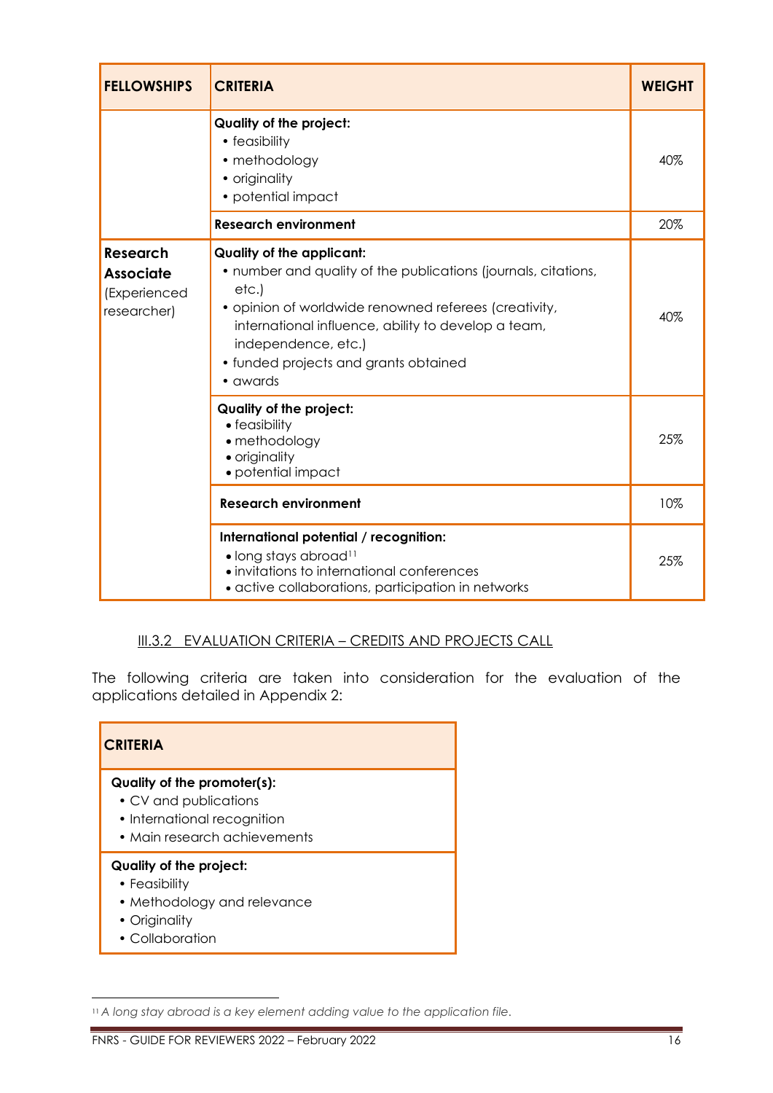| <b>FELLOWSHIPS</b>                                                 | <b>CRITERIA</b>                                                                                                                                                                                                                                                                                         |     |  |  |  |
|--------------------------------------------------------------------|---------------------------------------------------------------------------------------------------------------------------------------------------------------------------------------------------------------------------------------------------------------------------------------------------------|-----|--|--|--|
|                                                                    | Quality of the project:<br>• feasibility<br>• methodology<br>• originality<br>• potential impact                                                                                                                                                                                                        | 40% |  |  |  |
|                                                                    | <b>Research environment</b>                                                                                                                                                                                                                                                                             | 20% |  |  |  |
| <b>Research</b><br><b>Associate</b><br>(Experienced<br>researcher) | <b>Quality of the applicant:</b><br>• number and quality of the publications (journals, citations,<br>etc.)<br>· opinion of worldwide renowned referees (creativity,<br>international influence, ability to develop a team,<br>independence, etc.)<br>• funded projects and grants obtained<br>• awards | 40% |  |  |  |
|                                                                    | <b>Quality of the project:</b><br>• feasibility<br>• methodology<br>• originality<br>• potential impact                                                                                                                                                                                                 | 25% |  |  |  |
|                                                                    | <b>Research environment</b>                                                                                                                                                                                                                                                                             | 10% |  |  |  |
|                                                                    | International potential / recognition:<br>• long stays abroad <sup>11</sup><br>· invitations to international conferences<br>· active collaborations, participation in networks                                                                                                                         | 25% |  |  |  |

# <span id="page-15-0"></span>III.3.2 EVALUATION CRITERIA - CREDITS AND PROJECTS CALL

The following criteria are taken into consideration for the evaluation of the applications detailed in Appendix 2:

| <b>CRITERIA</b>                                                                                                     |  |  |  |
|---------------------------------------------------------------------------------------------------------------------|--|--|--|
| Quality of the promoter(s):<br>• CV and publications<br>• International recognition<br>• Main research achievements |  |  |  |
| Quality of the project:<br>• Feasibility<br>• Methodology and relevance<br>• Originality<br>• Collaboration         |  |  |  |

<sup>11</sup> *A long stay abroad is a key element adding value to the application file.*

FNRS - GUIDE FOR REVIEWERS 2022 – February 2022 16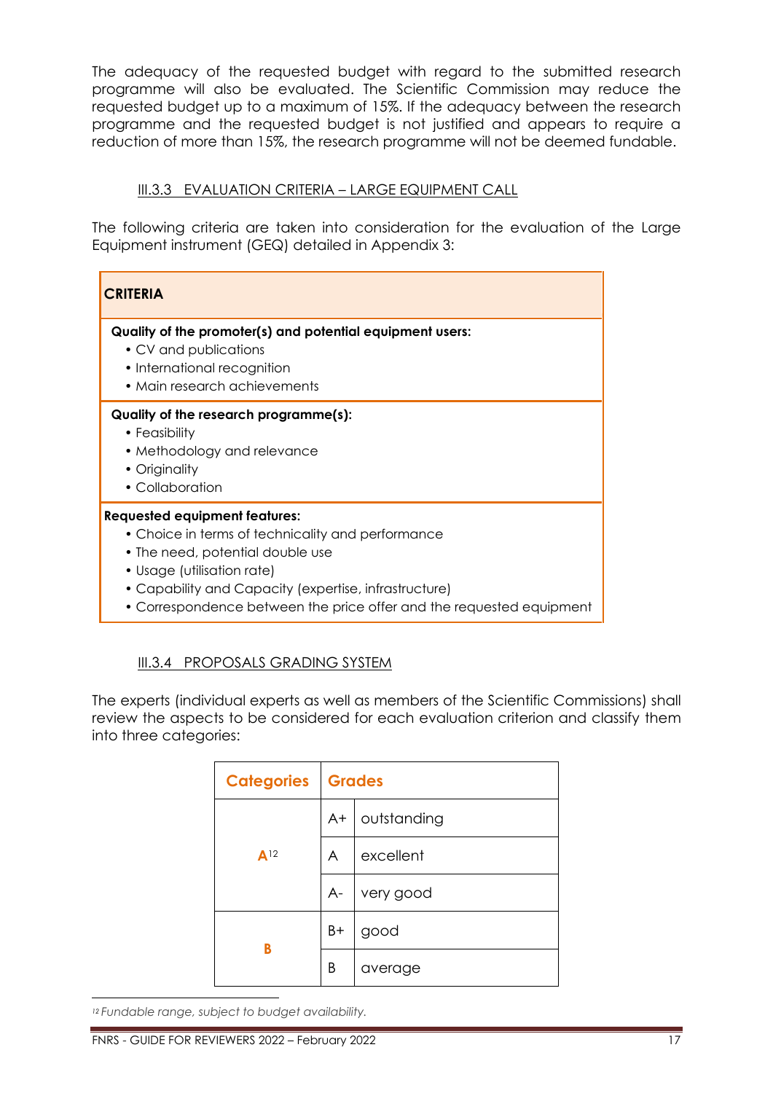The adequacy of the requested budget with regard to the submitted research programme will also be evaluated. The Scientific Commission may reduce the requested budget up to a maximum of 15%. If the adequacy between the research programme and the requested budget is not justified and appears to require a reduction of more than 15%, the research programme will not be deemed fundable.

# <span id="page-16-0"></span>III.3.3 EVALUATION CRITERIA - LARGE EQUIPMENT CALL

The following criteria are taken into consideration for the evaluation of the Large Equipment instrument (GEQ) detailed in Appendix 3:

| <b>CRITERIA</b>                                                                                                                                                                                                                                                                              |  |  |
|----------------------------------------------------------------------------------------------------------------------------------------------------------------------------------------------------------------------------------------------------------------------------------------------|--|--|
| Quality of the promoter(s) and potential equipment users:<br>• CV and publications<br>• International recognition<br>• Main research achievements                                                                                                                                            |  |  |
| Quality of the research programme(s):<br>• Feasibility<br>• Methodology and relevance<br>• Originality<br>• Collaboration                                                                                                                                                                    |  |  |
| <b>Requested equipment features:</b><br>• Choice in terms of technicality and performance<br>• The need, potential double use<br>• Usage (utilisation rate)<br>• Capability and Capacity (expertise, infrastructure)<br>• Correspondence between the price offer and the requested equipment |  |  |

# <span id="page-16-1"></span>III.3.4 PROPOSALS GRADING SYSTEM

The experts (individual experts as well as members of the Scientific Commissions) shall review the aspects to be considered for each evaluation criterion and classify them into three categories:

| <b>Categories</b> | Grades |             |
|-------------------|--------|-------------|
|                   | A+     | outstanding |
| A <sup>12</sup>   | A      | excellent   |
|                   | $A -$  | very good   |
|                   | B+     | good        |
| B                 | Β      | average     |

*<sup>12</sup> Fundable range, subject to budget availability.*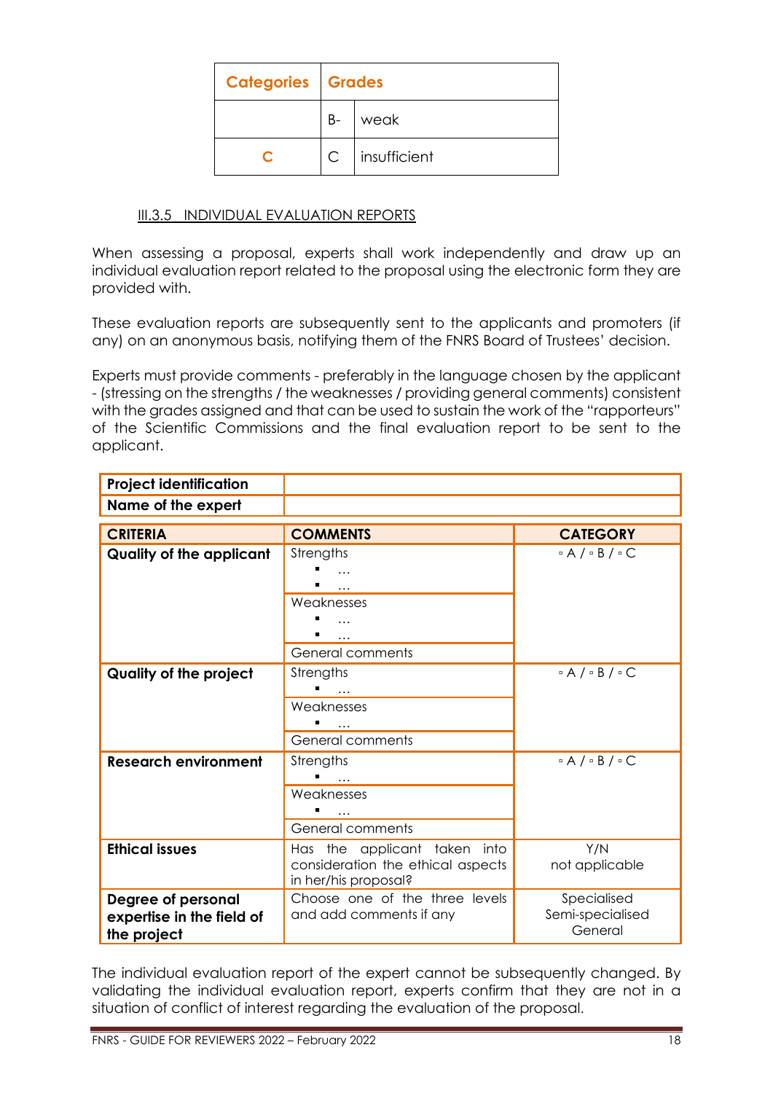| <b>Categories Grades</b> |              |              |
|--------------------------|--------------|--------------|
|                          | $B -$        | weak         |
|                          | $\mathsf{C}$ | insufficient |

# <span id="page-17-0"></span>III.3.5 INDIVIDUAL EVALUATION REPORTS

When assessing a proposal, experts shall work independently and draw up an individual evaluation report related to the proposal using the electronic form they are provided with.

These evaluation reports are subsequently sent to the applicants and promoters (if any) on an anonymous basis, notifying them of the FNRS Board of Trustees' decision.

Experts must provide comments - preferably in the language chosen by the applicant - (stressing on the strengths / the weaknesses / providing general comments) consistent with the grades assigned and that can be used to sustain the work of the "rapporteurs" of the Scientific Commissions and the final evaluation report to be sent to the applicant.

| <b>Project identification</b>   |                                   |                                   |
|---------------------------------|-----------------------------------|-----------------------------------|
| Name of the expert              |                                   |                                   |
| <b>CRITERIA</b>                 | <b>COMMENTS</b>                   | <b>CATEGORY</b>                   |
|                                 |                                   |                                   |
| <b>Quality of the applicant</b> | Strengths                         | $\circ$ A $/ \circ$ B $/ \circ$ C |
|                                 | $\cdots$                          |                                   |
|                                 |                                   |                                   |
|                                 | Weaknesses                        |                                   |
|                                 | $\cdots$                          |                                   |
|                                 |                                   |                                   |
|                                 | <b>General comments</b>           |                                   |
| Quality of the project          | Strengths                         | $\circ$ A $/ \circ$ B $/ \circ$ C |
|                                 | $\cdots$                          |                                   |
|                                 | Weaknesses                        |                                   |
|                                 |                                   |                                   |
|                                 | General comments                  |                                   |
| <b>Research environment</b>     | Strengths                         | $\circ$ A $/ \circ$ B $/ \circ$ C |
|                                 |                                   |                                   |
|                                 | Weaknesses                        |                                   |
|                                 |                                   |                                   |
|                                 | General comments                  |                                   |
| <b>Ethical issues</b>           | Has the applicant taken into      | Y/N                               |
|                                 | consideration the ethical aspects | not applicable                    |
|                                 | in her/his proposal?              |                                   |
| Degree of personal              | Choose one of the three levels    | Specialised                       |
| expertise in the field of       | and add comments if any           | Semi-specialised                  |
| the project                     |                                   | General                           |

The individual evaluation report of the expert cannot be subsequently changed. By validating the individual evaluation report, experts confirm that they are not in a situation of conflict of interest regarding the evaluation of the proposal.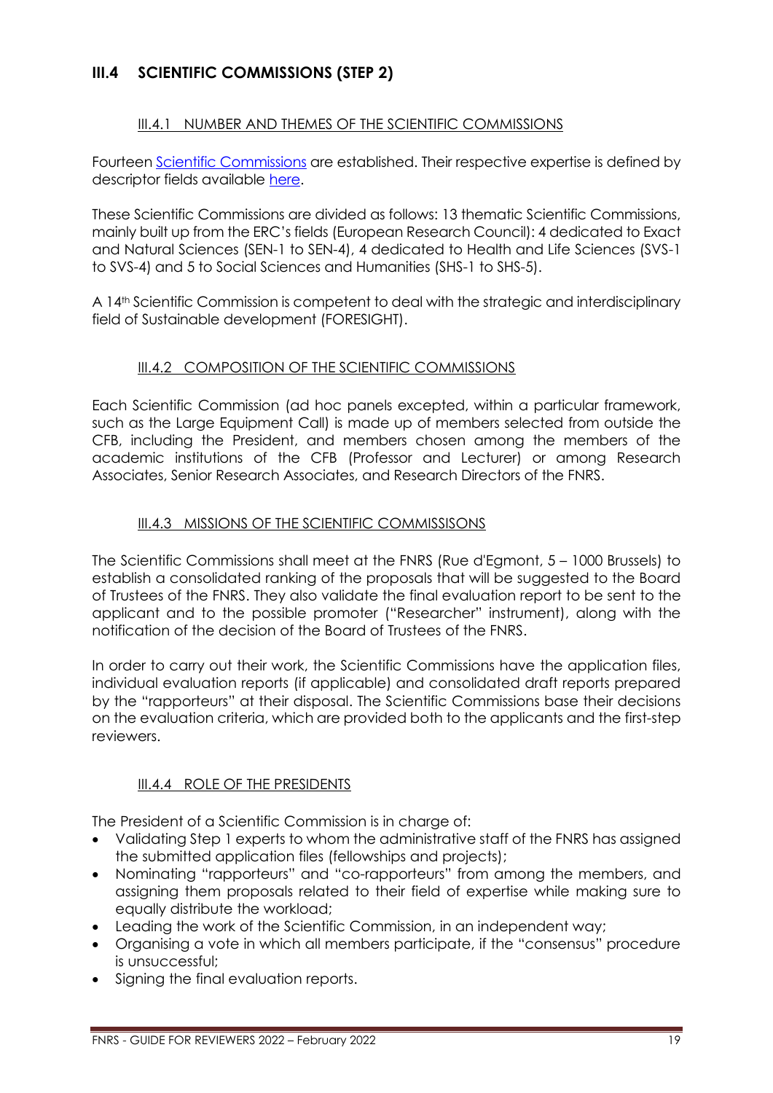# <span id="page-18-1"></span><span id="page-18-0"></span>**III.4 SCIENTIFIC COMMISSIONS (STEP 2)**

# III.4.1 NUMBER AND THEMES OF THE SCIENTIFIC COMMISSIONS

Fourteen [Scientific Commissions](https://www.frs-fnrs.be/docs/Reglement-et-documents/FRS-FNRS_REGL_CS_EN.pdf) are established. Their respective expertise is defined by descriptor fields available [here.](https://www.frs-fnrs.be/docs/Reglement-et-documents/FRS-FNRS_Champs_descripteurs.pdf)

These Scientific Commissions are divided as follows: 13 thematic Scientific Commissions, mainly built up from the ERC's fields (European Research Council): 4 dedicated to Exact and Natural Sciences (SEN-1 to SEN-4), 4 dedicated to Health and Life Sciences (SVS-1 to SVS-4) and 5 to Social Sciences and Humanities (SHS-1 to SHS-5).

A 14th Scientific Commission is competent to deal with the strategic and interdisciplinary field of Sustainable development (FORESIGHT).

# III.4.2 COMPOSITION OF THE SCIENTIFIC COMMISSIONS

<span id="page-18-2"></span>Each Scientific Commission (ad hoc panels excepted, within a particular framework, such as the Large Equipment Call) is made up of members selected from outside the CFB, including the President, and members chosen among the members of the academic institutions of the CFB (Professor and Lecturer) or among Research Associates, Senior Research Associates, and Research Directors of the FNRS.

# <span id="page-18-3"></span>III.4.3 MISSIONS OF THE SCIENTIFIC COMMISSISONS

The Scientific Commissions shall meet at the FNRS (Rue d'Egmont, 5 – 1000 Brussels) to establish a consolidated ranking of the proposals that will be suggested to the Board of Trustees of the FNRS. They also validate the final evaluation report to be sent to the applicant and to the possible promoter ("Researcher" instrument), along with the notification of the decision of the Board of Trustees of the FNRS.

In order to carry out their work, the Scientific Commissions have the application files, individual evaluation reports (if applicable) and consolidated draft reports prepared by the "rapporteurs" at their disposal. The Scientific Commissions base their decisions on the evaluation criteria, which are provided both to the applicants and the first-step reviewers.

# <span id="page-18-4"></span>III.4.4 ROLE OF THE PRESIDENTS

The President of a Scientific Commission is in charge of:

- Validating Step 1 experts to whom the administrative staff of the FNRS has assigned the submitted application files (fellowships and projects);
- Nominating "rapporteurs" and "co-rapporteurs" from among the members, and assigning them proposals related to their field of expertise while making sure to equally distribute the workload;
- Leading the work of the Scientific Commission, in an independent way;
- Organising a vote in which all members participate, if the "consensus" procedure is unsuccessful;
- Signing the final evaluation reports.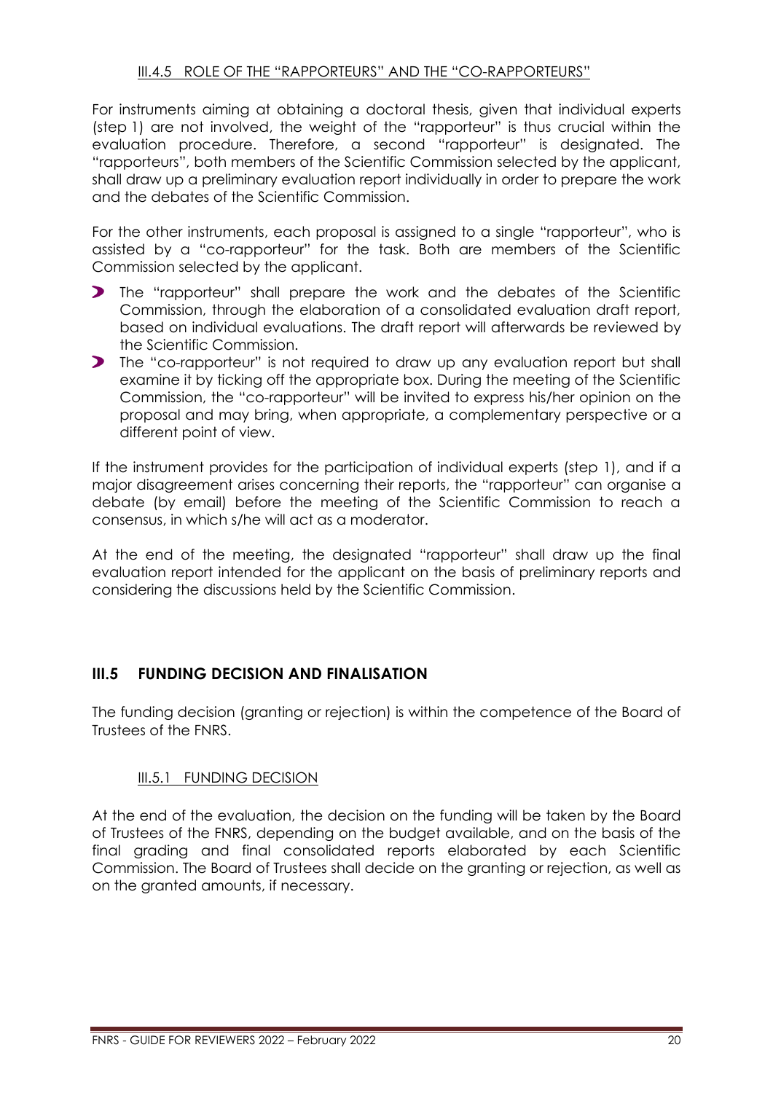# III.4.5 ROLE OF THE "RAPPORTEURS" AND THE "CO-RAPPORTEURS"

<span id="page-19-0"></span>For instruments aiming at obtaining a doctoral thesis, given that individual experts (step 1) are not involved, the weight of the "rapporteur" is thus crucial within the evaluation procedure. Therefore, a second "rapporteur" is designated. The "rapporteurs", both members of the Scientific Commission selected by the applicant, shall draw up a preliminary evaluation report individually in order to prepare the work and the debates of the Scientific Commission.

For the other instruments, each proposal is assigned to a single "rapporteur", who is assisted by a "co-rapporteur" for the task. Both are members of the Scientific Commission selected by the applicant.

- $\blacktriangleright$ The "rapporteur" shall prepare the work and the debates of the Scientific Commission, through the elaboration of a consolidated evaluation draft report, based on individual evaluations. The draft report will afterwards be reviewed by the Scientific Commission.
- The "co-rapporteur" is not required to draw up any evaluation report but shall examine it by ticking off the appropriate box. During the meeting of the Scientific Commission, the "co-rapporteur" will be invited to express his/her opinion on the proposal and may bring, when appropriate, a complementary perspective or a different point of view.

If the instrument provides for the participation of individual experts (step 1), and if a major disagreement arises concerning their reports, the "rapporteur" can organise a debate (by email) before the meeting of the Scientific Commission to reach a consensus, in which s/he will act as a moderator.

At the end of the meeting, the designated "rapporteur" shall draw up the final evaluation report intended for the applicant on the basis of preliminary reports and considering the discussions held by the Scientific Commission.

# <span id="page-19-1"></span>**III.5 FUNDING DECISION AND FINALISATION**

The funding decision (granting or rejection) is within the competence of the Board of Trustees of the FNRS.

### <span id="page-19-2"></span>III.5.1 FUNDING DECISION

At the end of the evaluation, the decision on the funding will be taken by the Board of Trustees of the FNRS, depending on the budget available, and on the basis of the final grading and final consolidated reports elaborated by each Scientific Commission. The Board of Trustees shall decide on the granting or rejection, as well as on the granted amounts, if necessary.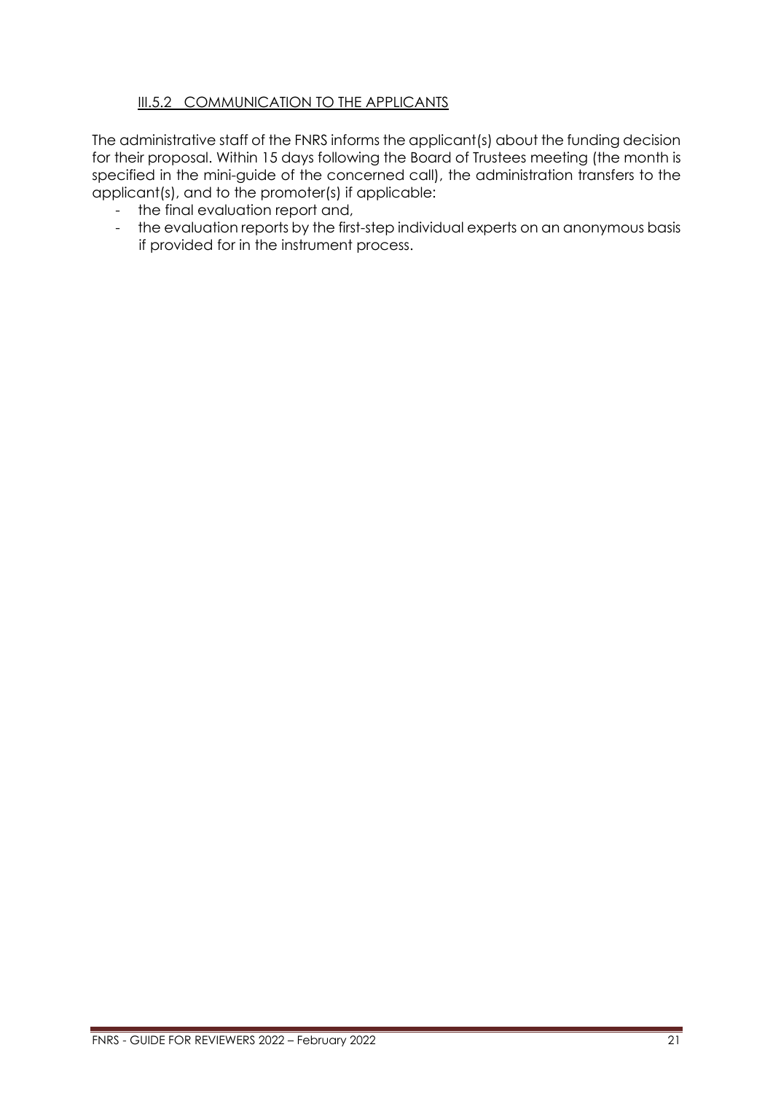# <span id="page-20-0"></span>III.5.2 COMMUNICATION TO THE APPLICANTS

The administrative staff of the FNRS informs the applicant(s) about the funding decision for their proposal. Within 15 days following the Board of Trustees meeting (the month is specified in the mini-guide of the concerned call), the administration transfers to the applicant(s), and to the promoter(s) if applicable:

- the final evaluation report and,
- the evaluation reports by the first-step individual experts on an anonymous basis if provided for in the instrument process.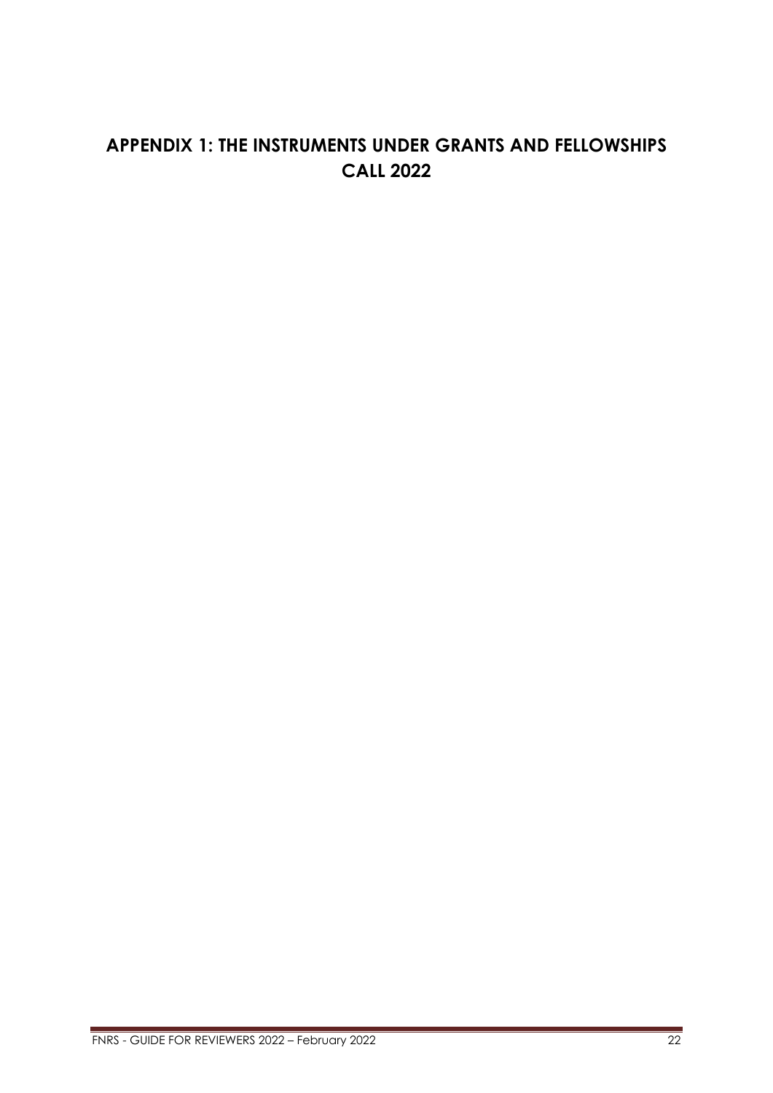# <span id="page-21-0"></span>**APPENDIX 1: THE INSTRUMENTS UNDER GRANTS AND FELLOWSHIPS CALL 2022**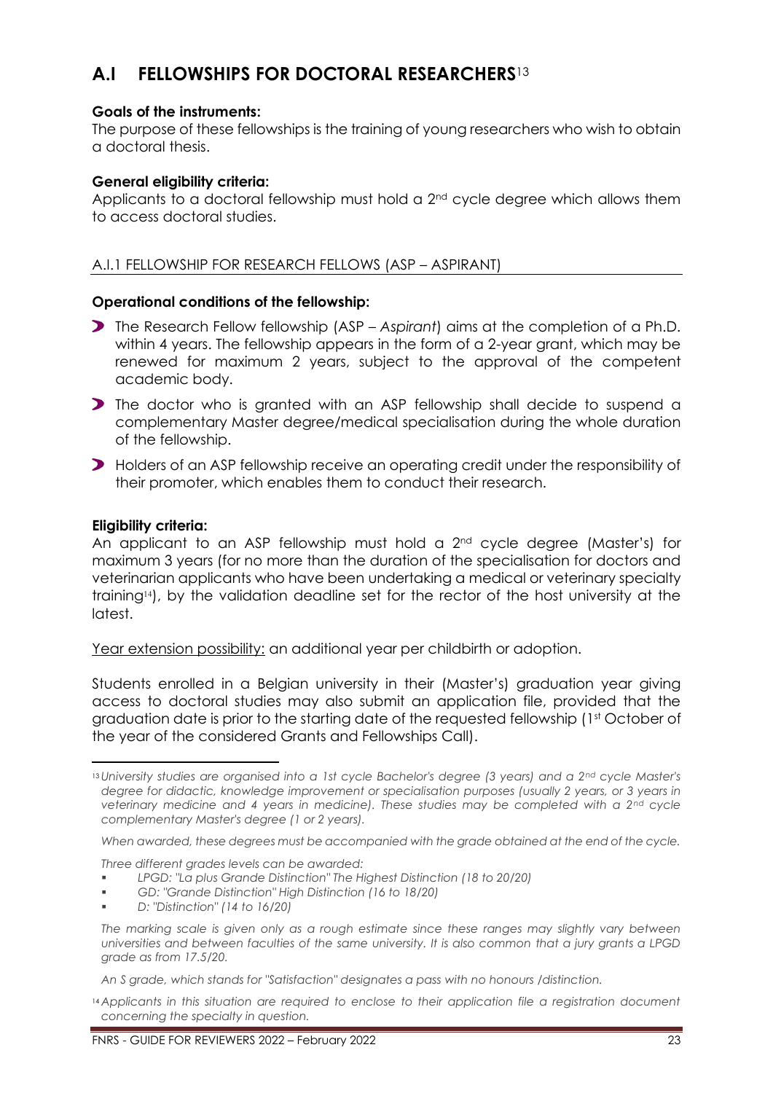# <span id="page-22-0"></span>**A.I FELLOWSHIPS FOR DOCTORAL RESEARCHERS**<sup>13</sup>

# **Goals of the instruments:**

The purpose of these fellowships is the training of young researchers who wish to obtain a doctoral thesis.

# **General eligibility criteria:**

Applicants to a doctoral fellowship must hold a  $2<sup>nd</sup>$  cycle degree which allows them to access doctoral studies.

# <span id="page-22-1"></span>A.I.1 FELLOWSHIP FOR RESEARCH FELLOWS (ASP – ASPIRANT)

# **Operational conditions of the fellowship:**

- The Research Fellow fellowship (ASP *Aspirant*) aims at the completion of a Ph.D. within 4 years. The fellowship appears in the form of a 2-year grant, which may be renewed for maximum 2 years, subject to the approval of the competent academic body.
- **The doctor who is granted with an ASP fellowship shall decide to suspend a** complementary Master degree/medical specialisation during the whole duration of the fellowship.
- Holders of an ASP fellowship receive an operating credit under the responsibility of their promoter, which enables them to conduct their research.

# **Eligibility criteria:**

An applicant to an ASP fellowship must hold a  $2<sup>nd</sup>$  cycle degree (Master's) for maximum 3 years (for no more than the duration of the specialisation for doctors and veterinarian applicants who have been undertaking a medical or veterinary specialty training14), by the validation deadline set for the rector of the host university at the latest.

Year extension possibility: an additional year per childbirth or adoption.

Students enrolled in a Belgian university in their (Master's) graduation year giving access to doctoral studies may also submit an application file, provided that the graduation date is prior to the starting date of the requested fellowship (1st October of the year of the considered Grants and Fellowships Call).

*When awarded, these degrees must be accompanied with the grade obtained at the end of the cycle.* 

*Three different grades levels can be awarded:*

- *LPGD: "La plus Grande Distinction" The Highest Distinction (18 to 20/20)*
- GD: "Grande Distinction" High Distinction (16 to 18/20)
- *D: "Distinction" (14 to 16/20)*

*An S grade, which stands for "Satisfaction" designates a pass with no honours /distinction.*

<sup>13</sup> *University studies are organised into a 1st cycle Bachelor's degree (3 years) and a 2nd cycle Master's degree for didactic, knowledge improvement or specialisation purposes (usually 2 years, or 3 years in veterinary medicine and 4 years in medicine). These studies may be completed with a 2nd cycle complementary Master's degree (1 or 2 years).*

*The marking scale is given only as a rough estimate since these ranges may slightly vary between universities and between faculties of the same university. It is also common that a jury grants a LPGD grade as from 17.5/20.*

<sup>14</sup> *Applicants in this situation are required to enclose to their application file a registration document concerning the specialty in question.*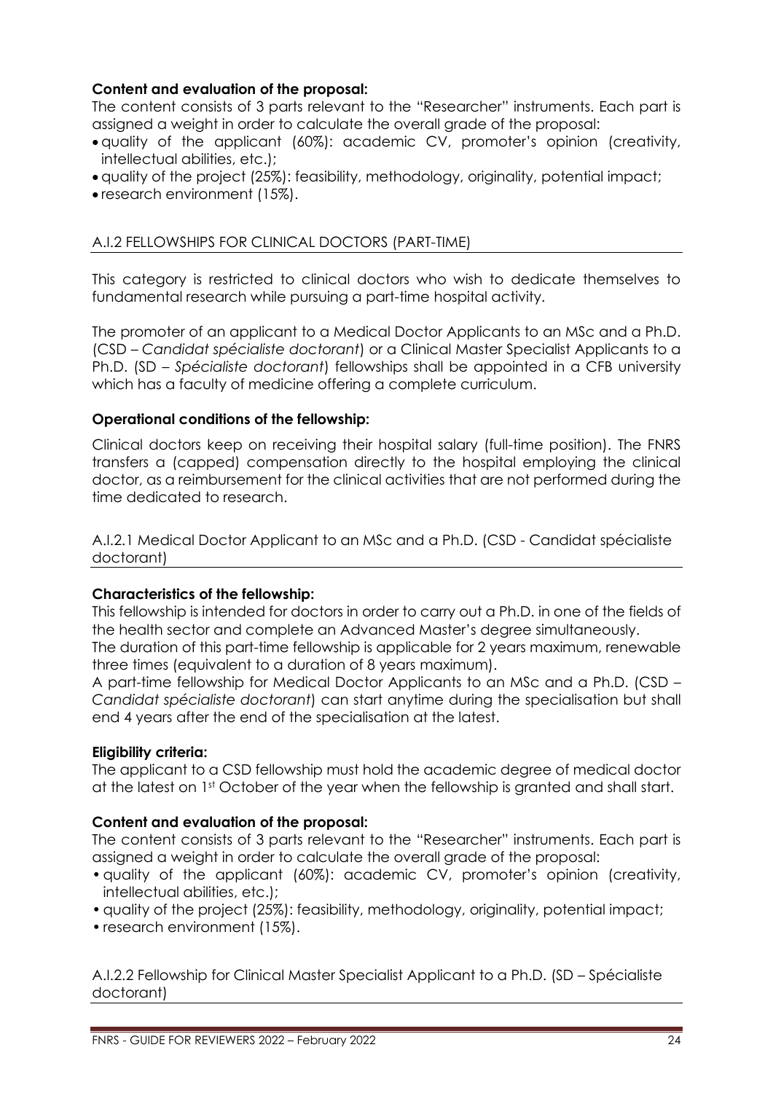# **Content and evaluation of the proposal:**

The content consists of 3 parts relevant to the "Researcher" instruments. Each part is assigned a weight in order to calculate the overall grade of the proposal:

- quality of the applicant (60%): academic CV, promoter's opinion (creativity, intellectual abilities, etc.);
- quality of the project (25%): feasibility, methodology, originality, potential impact;
- research environment (15%).

# <span id="page-23-0"></span>A.I.2 FELLOWSHIPS FOR CLINICAL DOCTORS (PART-TIME)

This category is restricted to clinical doctors who wish to dedicate themselves to fundamental research while pursuing a part-time hospital activity.

The promoter of an applicant to a Medical Doctor Applicants to an MSc and a Ph.D. (CSD – *Candidat spécialiste doctorant*) or a Clinical Master Specialist Applicants to a Ph.D. (SD – *Spécialiste doctorant*) fellowships shall be appointed in a CFB university which has a faculty of medicine offering a complete curriculum.

### **Operational conditions of the fellowship:**

Clinical doctors keep on receiving their hospital salary (full-time position). The FNRS transfers a (capped) compensation directly to the hospital employing the clinical doctor, as a reimbursement for the clinical activities that are not performed during the time dedicated to research.

<span id="page-23-1"></span>A.I.2.1 Medical Doctor Applicant to an MSc and a Ph.D. (CSD - Candidat spécialiste doctorant)

### **Characteristics of the fellowship:**

This fellowship is intended for doctors in order to carry out a Ph.D. in one of the fields of the health sector and complete an Advanced Master's degree simultaneously.

The duration of this part-time fellowship is applicable for 2 years maximum, renewable three times (equivalent to a duration of 8 years maximum).

A part-time fellowship for Medical Doctor Applicants to an MSc and a Ph.D. (CSD – *Candidat spécialiste doctorant*) can start anytime during the specialisation but shall end 4 years after the end of the specialisation at the latest.

### **Eligibility criteria:**

The applicant to a CSD fellowship must hold the academic degree of medical doctor at the latest on 1st October of the year when the fellowship is granted and shall start.

### **Content and evaluation of the proposal:**

The content consists of 3 parts relevant to the "Researcher" instruments. Each part is assigned a weight in order to calculate the overall grade of the proposal:

- •quality of the applicant (60%): academic CV, promoter's opinion (creativity, intellectual abilities, etc.);
- •quality of the project (25%): feasibility, methodology, originality, potential impact;
- research environment (15%).

<span id="page-23-2"></span>A.I.2.2 Fellowship for Clinical Master Specialist Applicant to a Ph.D. (SD – Spécialiste doctorant)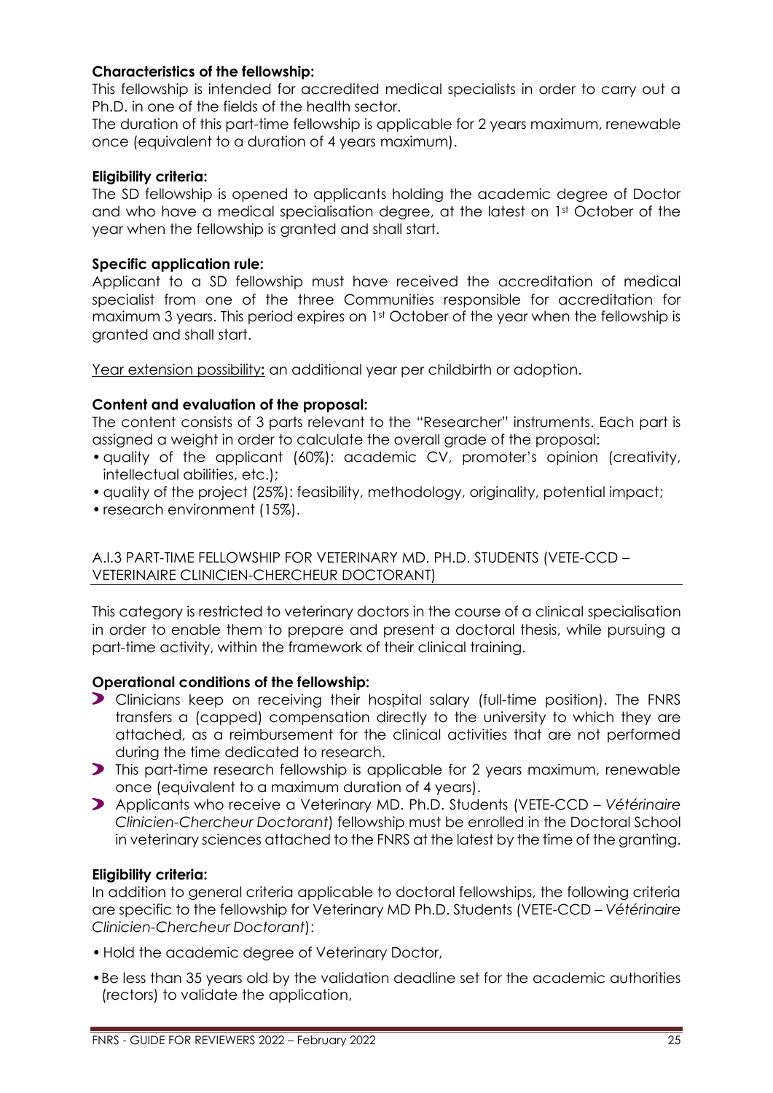# **Characteristics of the fellowship:**

This fellowship is intended for accredited medical specialists in order to carry out a Ph.D. in one of the fields of the health sector.

The duration of this part-time fellowship is applicable for 2 years maximum, renewable once (equivalent to a duration of 4 years maximum).

# **Eligibility criteria:**

The SD fellowship is opened to applicants holding the academic degree of Doctor and who have a medical specialisation degree, at the latest on 1st October of the year when the fellowship is granted and shall start.

# **Specific application rule:**

Applicant to a SD fellowship must have received the accreditation of medical specialist from one of the three Communities responsible for accreditation for maximum 3 years. This period expires on 1<sup>st</sup> October of the year when the fellowship is granted and shall start.

Year extension possibility**:** an additional year per childbirth or adoption.

# **Content and evaluation of the proposal:**

The content consists of 3 parts relevant to the "Researcher" instruments. Each part is assigned a weight in order to calculate the overall grade of the proposal:

- •quality of the applicant (60%): academic CV, promoter's opinion (creativity, intellectual abilities, etc.);
- quality of the project (25%): feasibility, methodology, originality, potential impact;
- research environment (15%).

<span id="page-24-0"></span>A.I.3 PART-TIME FELLOWSHIP FOR VETERINARY MD. PH.D. STUDENTS (VETE-CCD – VETERINAIRE CLINICIEN-CHERCHEUR DOCTORANT)

This category is restricted to veterinary doctors in the course of a clinical specialisation in order to enable them to prepare and present a doctoral thesis, while pursuing a part-time activity, within the framework of their clinical training.

### **Operational conditions of the fellowship:**

- Clinicians keep on receiving their hospital salary (full-time position). The FNRS transfers a (capped) compensation directly to the university to which they are attached, as a reimbursement for the clinical activities that are not performed during the time dedicated to research.
- **This part-time research fellowship is applicable for 2 years maximum, renewable** once (equivalent to a maximum duration of 4 years).
- Applicants who receive a Veterinary MD. Ph.D. Students (VETE-CCD *Vétérinaire Clinicien-Chercheur Doctorant*) fellowship must be enrolled in the Doctoral School in veterinary sciences attached to the FNRS at the latest by the time of the granting.

### **Eligibility criteria:**

In addition to general criteria applicable to doctoral fellowships, the following criteria are specific to the fellowship for Veterinary MD Ph.D. Students (VETE-CCD – *Vétérinaire Clinicien-Chercheur Doctorant*):

- •Hold the academic degree of Veterinary Doctor,
- •Be less than 35 years old by the validation deadline set for the academic authorities (rectors) to validate the application,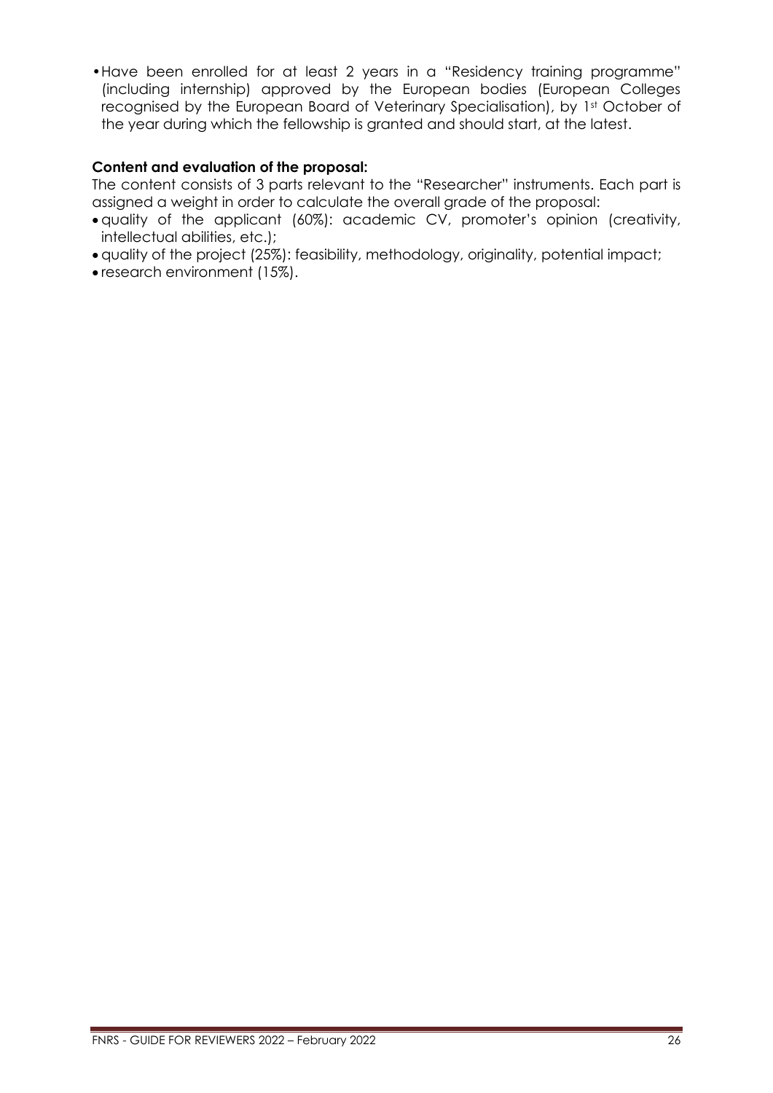•Have been enrolled for at least 2 years in a "Residency training programme" (including internship) approved by the European bodies (European Colleges recognised by the European Board of Veterinary Specialisation), by 1st October of the year during which the fellowship is granted and should start, at the latest.

# **Content and evaluation of the proposal:**

The content consists of 3 parts relevant to the "Researcher" instruments. Each part is assigned a weight in order to calculate the overall grade of the proposal:

- quality of the applicant (60%): academic CV, promoter's opinion (creativity, intellectual abilities, etc.);
- quality of the project (25%): feasibility, methodology, originality, potential impact;
- research environment (15%).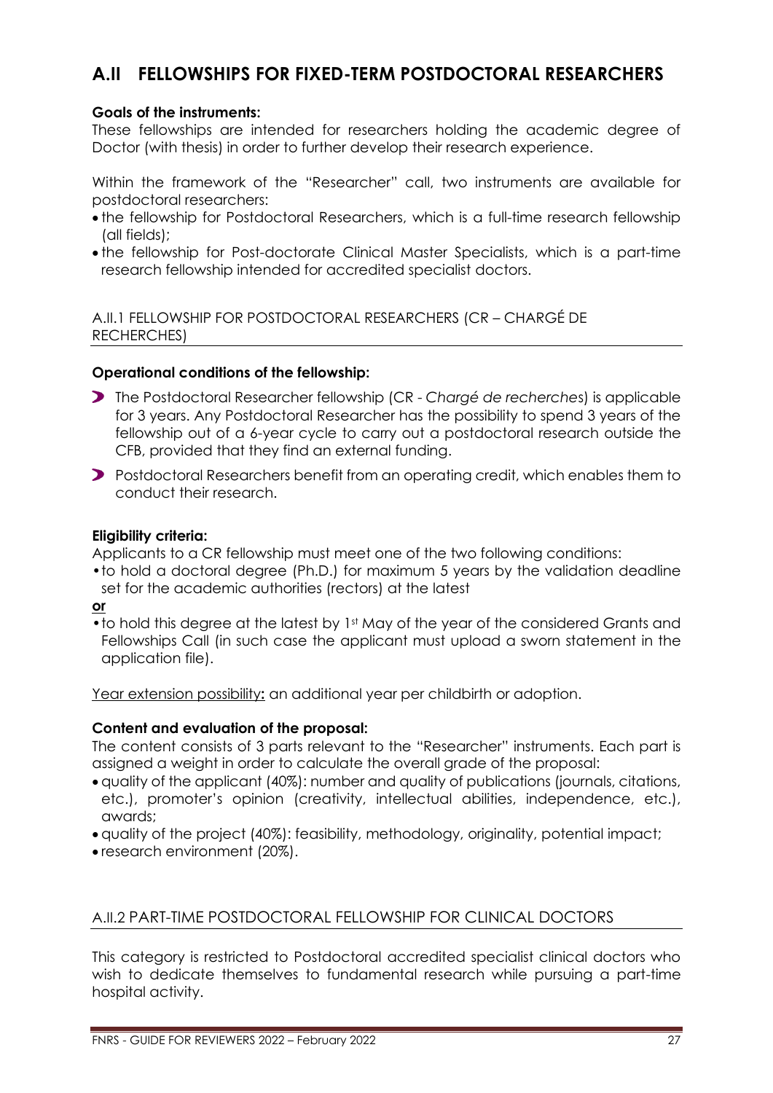# <span id="page-26-0"></span>**A.II FELLOWSHIPS FOR FIXED-TERM POSTDOCTORAL RESEARCHERS**

# **Goals of the instruments:**

These fellowships are intended for researchers holding the academic degree of Doctor (with thesis) in order to further develop their research experience.

Within the framework of the "Researcher" call, two instruments are available for postdoctoral researchers:

- the fellowship for Postdoctoral Researchers, which is a full-time research fellowship (all fields);
- the fellowship for Post-doctorate Clinical Master Specialists, which is a part-time research fellowship intended for accredited specialist doctors.

<span id="page-26-1"></span>A.II.1 FELLOWSHIP FOR POSTDOCTORAL RESEARCHERS (CR – CHARGÉ DE RECHERCHES)

# **Operational conditions of the fellowship:**

- The Postdoctoral Researcher fellowship (CR *Chargé de recherche*s) is applicable for 3 years. Any Postdoctoral Researcher has the possibility to spend 3 years of the fellowship out of a 6-year cycle to carry out a postdoctoral research outside the CFB, provided that they find an external funding.
- Postdoctoral Researchers benefit from an operating credit, which enables them to conduct their research.

# **Eligibility criteria:**

Applicants to a CR fellowship must meet one of the two following conditions:

•to hold a doctoral degree (Ph.D.) for maximum 5 years by the validation deadline set for the academic authorities (rectors) at the latest

**or** 

• to hold this degree at the latest by 1<sup>st</sup> May of the year of the considered Grants and Fellowships Call (in such case the applicant must upload a sworn statement in the application file).

Year extension possibility**:** an additional year per childbirth or adoption.

# **Content and evaluation of the proposal:**

The content consists of 3 parts relevant to the "Researcher" instruments. Each part is assigned a weight in order to calculate the overall grade of the proposal:

- quality of the applicant (40%): number and quality of publications (journals, citations, etc.), promoter's opinion (creativity, intellectual abilities, independence, etc.), awards;
- quality of the project (40%): feasibility, methodology, originality, potential impact;
- research environment (20%).

# <span id="page-26-2"></span>A.II.2 PART-TIME POSTDOCTORAL FELLOWSHIP FOR CLINICAL DOCTORS

This category is restricted to Postdoctoral accredited specialist clinical doctors who wish to dedicate themselves to fundamental research while pursuing a part-time hospital activity.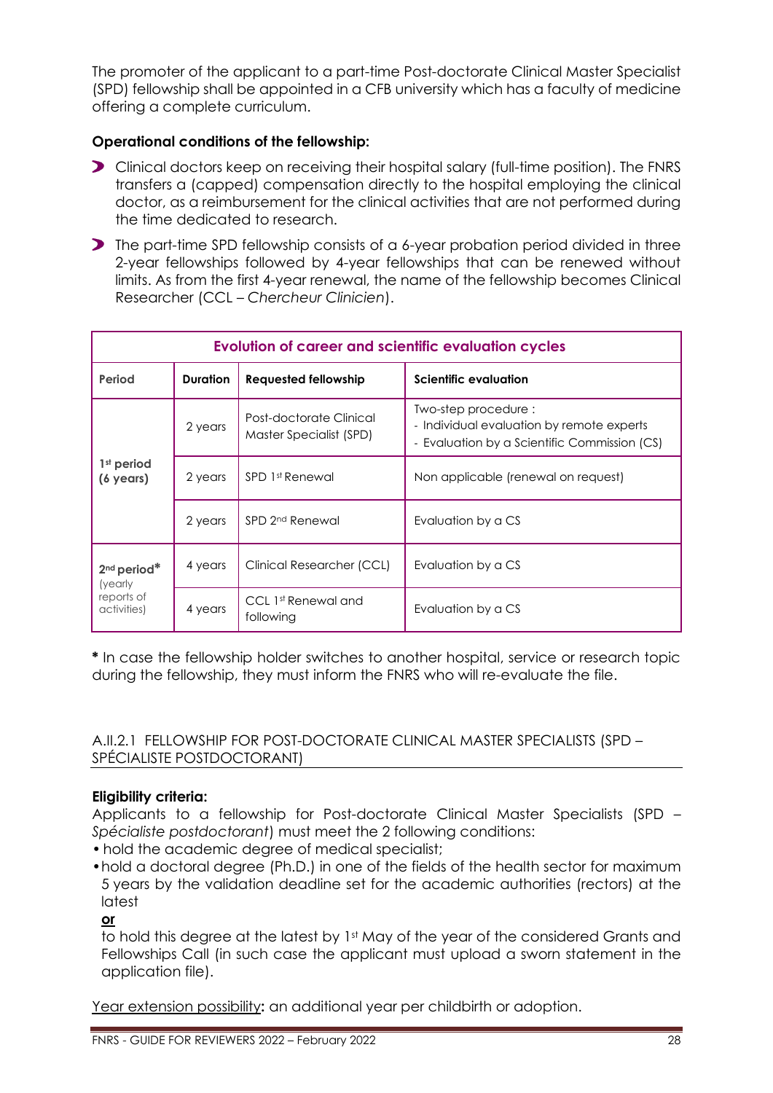The promoter of the applicant to a part-time Post-doctorate Clinical Master Specialist (SPD) fellowship shall be appointed in a CFB university which has a faculty of medicine offering a complete curriculum.

# **Operational conditions of the fellowship:**

- Clinical doctors keep on receiving their hospital salary (full-time position). The FNRS transfers a (capped) compensation directly to the hospital employing the clinical doctor, as a reimbursement for the clinical activities that are not performed during the time dedicated to research.
- The part-time SPD fellowship consists of a 6-year probation period divided in three 2-year fellowships followed by 4-year fellowships that can be renewed without limits. As from the first 4-year renewal, the name of the fellowship becomes Clinical Researcher (CCL – *Chercheur Clinicien*).

| <b>Evolution of career and scientific evaluation cycles</b>     |                 |                                                    |                                                                                                                  |
|-----------------------------------------------------------------|-----------------|----------------------------------------------------|------------------------------------------------------------------------------------------------------------------|
| Period                                                          | <b>Duration</b> | <b>Requested fellowship</b>                        | <b>Scientific evaluation</b>                                                                                     |
| $1st$ period<br>$(6 \text{ years})$                             | 2 years         | Post-doctorate Clinical<br>Master Specialist (SPD) | Two-step procedure:<br>- Individual evaluation by remote experts<br>- Evaluation by a Scientific Commission (CS) |
|                                                                 | 2 years         | SPD 1st Renewal                                    | Non applicable (renewal on request)                                                                              |
|                                                                 | 2 years         | SPD 2 <sup>nd</sup> Renewal                        | Evaluation by a CS                                                                                               |
| 2 <sup>nd</sup> period*<br>(yearly<br>reports of<br>activities) | 4 years         | Clinical Researcher (CCL)                          | Evaluation by a CS                                                                                               |
|                                                                 | 4 years         | CCL 1st Renewal and<br>following                   | Evaluation by a CS                                                                                               |

**\*** In case the fellowship holder switches to another hospital, service or research topic during the fellowship, they must inform the FNRS who will re-evaluate the file.

# <span id="page-27-0"></span>A.II.2.1 FELLOWSHIP FOR POST-DOCTORATE CLINICAL MASTER SPECIALISTS (SPD – SPÉCIALISTE POSTDOCTORANT)

# **Eligibility criteria:**

Applicants to a fellowship for Post-doctorate Clinical Master Specialists (SPD – *Spécialiste postdoctorant*) must meet the 2 following conditions:

- hold the academic degree of medical specialist;
- •hold a doctoral degree (Ph.D.) in one of the fields of the health sector for maximum 5 years by the validation deadline set for the academic authorities (rectors) at the latest

**or**

to hold this degree at the latest by 1<sup>st</sup> May of the year of the considered Grants and Fellowships Call (in such case the applicant must upload a sworn statement in the application file).

Year extension possibility**:** an additional year per childbirth or adoption.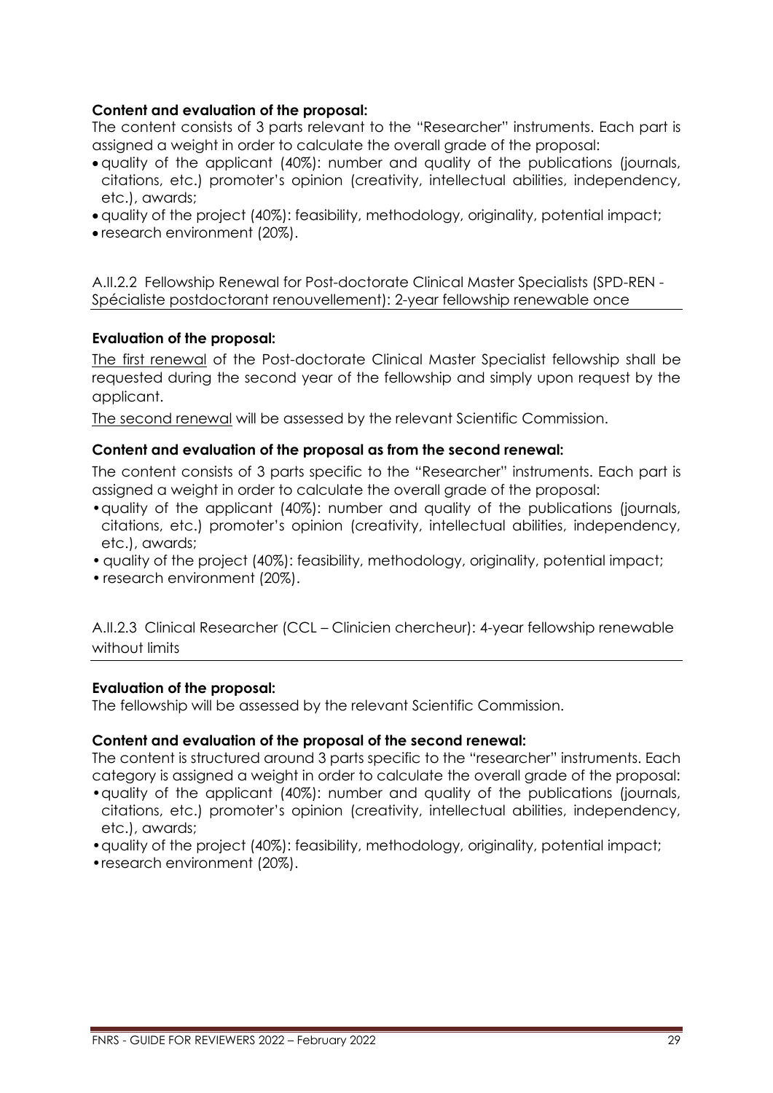# **Content and evaluation of the proposal:**

The content consists of 3 parts relevant to the "Researcher" instruments. Each part is assigned a weight in order to calculate the overall grade of the proposal:

- quality of the applicant (40%): number and quality of the publications (journals, citations, etc.) promoter's opinion (creativity, intellectual abilities, independency, etc.), awards;
- quality of the project (40%): feasibility, methodology, originality, potential impact;
- research environment (20%).

<span id="page-28-0"></span>A.II.2.2 Fellowship Renewal for Post-doctorate Clinical Master Specialists (SPD-REN - Spécialiste postdoctorant renouvellement): 2-year fellowship renewable once

# **Evaluation of the proposal:**

The first renewal of the Post-doctorate Clinical Master Specialist fellowship shall be requested during the second year of the fellowship and simply upon request by the applicant.

The second renewal will be assessed by the relevant Scientific Commission.

### **Content and evaluation of the proposal as from the second renewal:**

The content consists of 3 parts specific to the "Researcher" instruments. Each part is assigned a weight in order to calculate the overall grade of the proposal:

- •quality of the applicant (40%): number and quality of the publications (journals, citations, etc.) promoter's opinion (creativity, intellectual abilities, independency, etc.), awards;
- •quality of the project (40%): feasibility, methodology, originality, potential impact;
- research environment (20%).

<span id="page-28-1"></span>A.II.2.3 Clinical Researcher (CCL – Clinicien chercheur): 4-year fellowship renewable without limits

### **Evaluation of the proposal:**

The fellowship will be assessed by the relevant Scientific Commission.

### **Content and evaluation of the proposal of the second renewal:**

The content is structured around 3 parts specific to the "researcher" instruments. Each category is assigned a weight in order to calculate the overall grade of the proposal:

- •quality of the applicant (40%): number and quality of the publications (journals, citations, etc.) promoter's opinion (creativity, intellectual abilities, independency, etc.), awards;
- •quality of the project (40%): feasibility, methodology, originality, potential impact;
- •research environment (20%).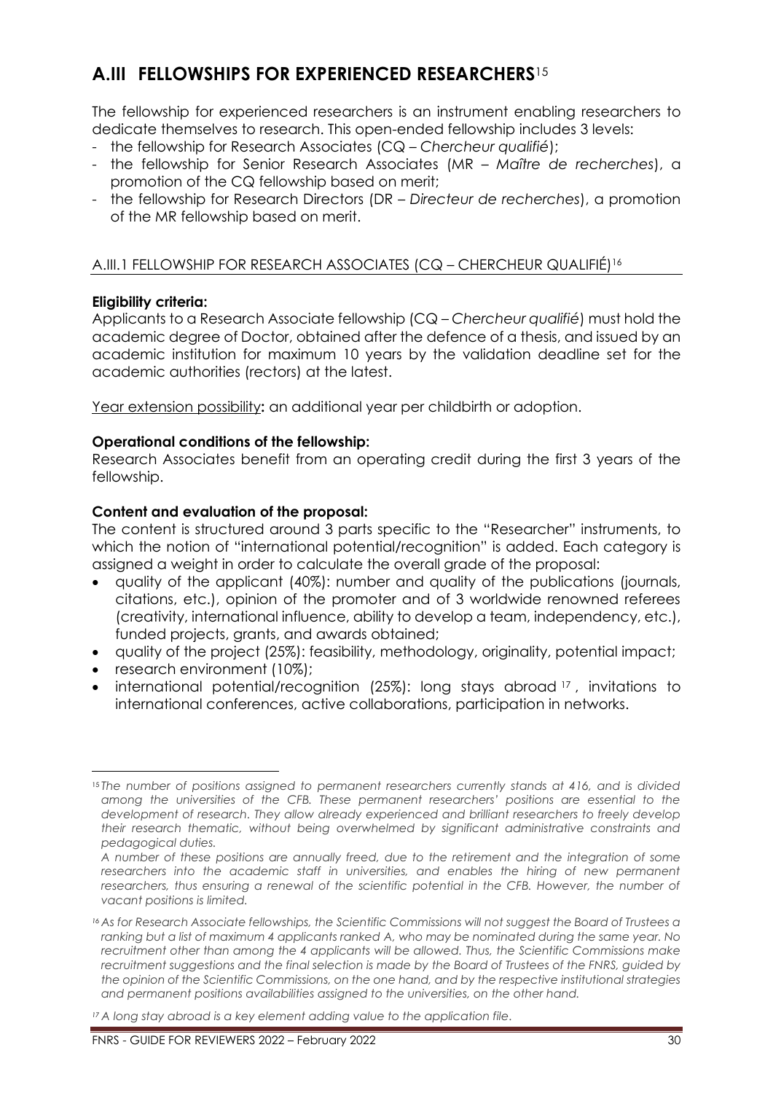# <span id="page-29-0"></span>**A.III FELLOWSHIPS FOR EXPERIENCED RESEARCHERS**<sup>15</sup>

The fellowship for experienced researchers is an instrument enabling researchers to dedicate themselves to research. This open-ended fellowship includes 3 levels:

- the fellowship for Research Associates (CQ *Chercheur qualifié*);
- the fellowship for Senior Research Associates (MR *Maître de recherches*), a promotion of the CQ fellowship based on merit;
- the fellowship for Research Directors (DR *Directeur de recherches*), a promotion of the MR fellowship based on merit.

# <span id="page-29-1"></span>A.III.1 FELLOWSHIP FOR RESEARCH ASSOCIATES (CQ – CHERCHEUR QUALIFIÉ)<sup>16</sup>

# **Eligibility criteria:**

Applicants to a Research Associate fellowship (CQ – *Chercheur qualifié*) must hold the academic degree of Doctor, obtained after the defence of a thesis, and issued by an academic institution for maximum 10 years by the validation deadline set for the academic authorities (rectors) at the latest.

Year extension possibility**:** an additional year per childbirth or adoption.

# **Operational conditions of the fellowship:**

Research Associates benefit from an operating credit during the first 3 years of the fellowship.

# **Content and evaluation of the proposal:**

The content is structured around 3 parts specific to the "Researcher" instruments, to which the notion of "international potential/recognition" is added. Each category is assigned a weight in order to calculate the overall grade of the proposal:

- quality of the applicant (40%): number and quality of the publications (journals, citations, etc.), opinion of the promoter and of 3 worldwide renowned referees (creativity, international influence, ability to develop a team, independency, etc.), funded projects, grants, and awards obtained;
- quality of the project (25%): feasibility, methodology, originality, potential impact;
- research environment (10%);
- international potential/recognition (25%): long stays abroad<sup>17</sup>, invitations to international conferences, active collaborations, participation in networks.

<sup>15</sup> *The number of positions assigned to permanent researchers currently stands at 416, and is divided among the universities of the CFB. These permanent researchers' positions are essential to the development of research. They allow already experienced and brilliant researchers to freely develop their research thematic, without being overwhelmed by significant administrative constraints and pedagogical duties.*

*A number of these positions are annually freed, due to the retirement and the integration of some*  researchers into the academic staff in universities, and enables the hiring of new permanent researchers, thus ensuring a renewal of the scientific potential in the CFB. However, the number of *vacant positions is limited.*

*<sup>16</sup> As for Research Associate fellowships, the Scientific Commissions will not suggest the Board of Trustees a ranking but a list of maximum 4 applicants ranked A, who may be nominated during the same year. No recruitment other than among the 4 applicants will be allowed. Thus, the Scientific Commissions make recruitment suggestions and the final selection is made by the Board of Trustees of the FNRS, guided by the opinion of the Scientific Commissions, on the one hand, and by the respective institutional strategies and permanent positions availabilities assigned to the universities, on the other hand.*

*<sup>17</sup> A long stay abroad is a key element adding value to the application file.*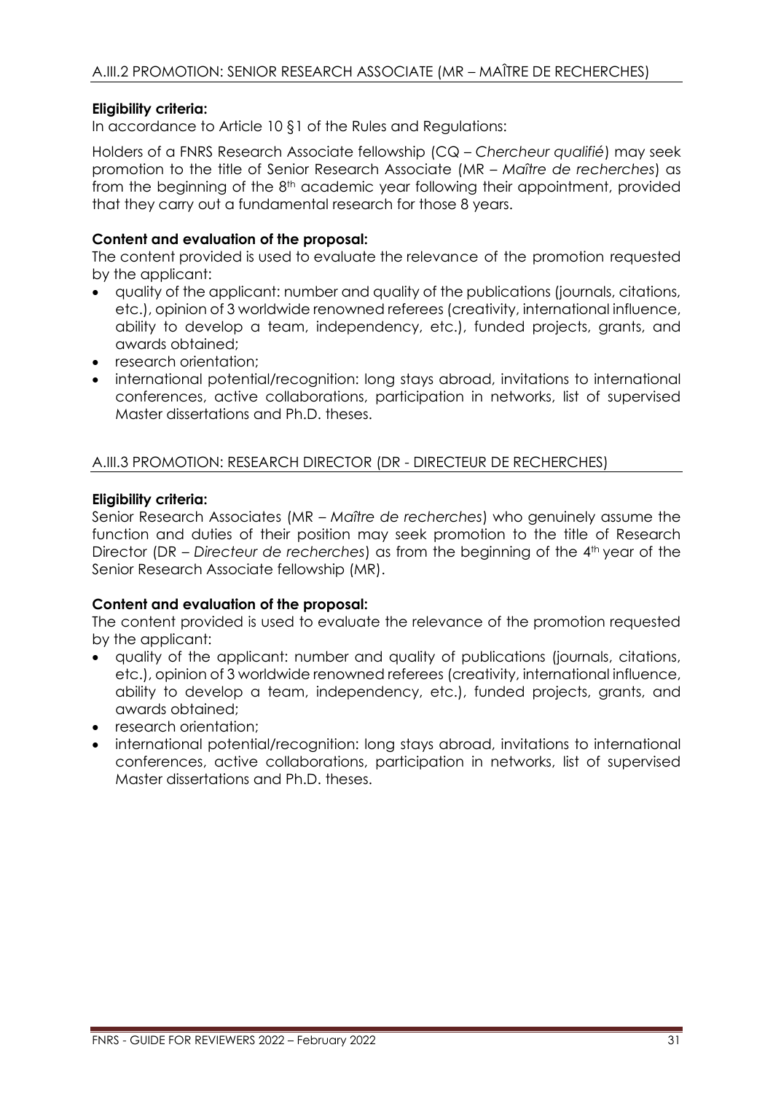# <span id="page-30-0"></span>**Eligibility criteria:**

In accordance to Article 10 §1 of the Rules and Regulations:

Holders of a FNRS Research Associate fellowship (CQ – *Chercheur qualifié*) may seek promotion to the title of Senior Research Associate (MR – *Maître de recherches*) as from the beginning of the 8<sup>th</sup> academic year following their appointment, provided that they carry out a fundamental research for those 8 years.

# **Content and evaluation of the proposal:**

The content provided is used to evaluate the relevance of the promotion requested by the applicant:

- quality of the applicant: number and quality of the publications (journals, citations, etc.), opinion of 3 worldwide renowned referees (creativity, international influence, ability to develop a team, independency, etc.), funded projects, grants, and awards obtained;
- research orientation:
- international potential/recognition: long stays abroad, invitations to international conferences, active collaborations, participation in networks, list of supervised Master dissertations and Ph.D. theses.

# <span id="page-30-1"></span>A.III.3 PROMOTION: RESEARCH DIRECTOR (DR - DIRECTEUR DE RECHERCHES)

# **Eligibility criteria:**

Senior Research Associates (MR – *Maître de recherches*) who genuinely assume the function and duties of their position may seek promotion to the title of Research Director (DR – Directeur de recherches) as from the beginning of the 4<sup>th</sup> year of the Senior Research Associate fellowship (MR).

# **Content and evaluation of the proposal:**

The content provided is used to evaluate the relevance of the promotion requested by the applicant:

- quality of the applicant: number and quality of publications (journals, citations, etc.), opinion of 3 worldwide renowned referees (creativity, international influence, ability to develop a team, independency, etc.), funded projects, grants, and awards obtained;
- research orientation;
- international potential/recognition: long stays abroad, invitations to international conferences, active collaborations, participation in networks, list of supervised Master dissertations and Ph.D. theses.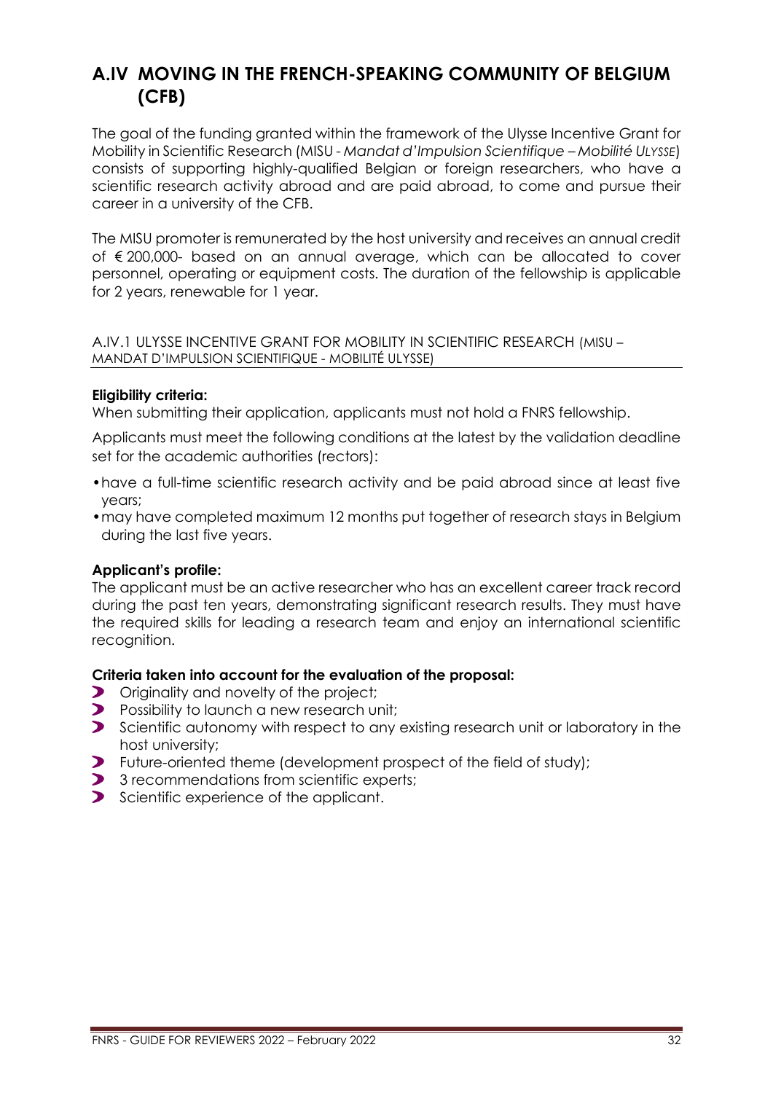# <span id="page-31-0"></span>**A.IV MOVING IN THE FRENCH-SPEAKING COMMUNITY OF BELGIUM (CFB)**

The goal of the funding granted within the framework of the Ulysse Incentive Grant for Mobility in Scientific Research (MISU - *Mandat d'Impulsion Scientifique – Mobilité ULYSSE*) consists of supporting highly-qualified Belgian or foreign researchers, who have a scientific research activity abroad and are paid abroad, to come and pursue their career in a university of the CFB.

The MISU promoter is remunerated by the host university and receives an annual credit of € 200,000- based on an annual average, which can be allocated to cover personnel, operating or equipment costs. The duration of the fellowship is applicable for 2 years, renewable for 1 year.

### <span id="page-31-1"></span>A.IV.1 ULYSSE INCENTIVE GRANT FOR MOBILITY IN SCIENTIFIC RESEARCH (MISU – MANDAT D'IMPULSION SCIENTIFIQUE - MOBILITÉ ULYSSE)

# **Eligibility criteria:**

When submitting their application, applicants must not hold a FNRS fellowship.

Applicants must meet the following conditions at the latest by the validation deadline set for the academic authorities (rectors):

- •have a full-time scientific research activity and be paid abroad since at least five years;
- •may have completed maximum 12 months put together of research stays in Belgium during the last five years.

# **Applicant's profile:**

The applicant must be an active researcher who has an excellent career track record during the past ten years, demonstrating significant research results. They must have the required skills for leading a research team and enjoy an international scientific recognition.

### **Criteria taken into account for the evaluation of the proposal:**

- $\blacktriangleright$ Originality and novelty of the project;
- $\blacktriangleright$ Possibility to launch a new research unit;
- Scientific autonomy with respect to any existing research unit or laboratory in the host university;
- $\blacktriangleright$ Future-oriented theme (development prospect of the field of study);
- 3 recommendations from scientific experts;
- Scientific experience of the applicant.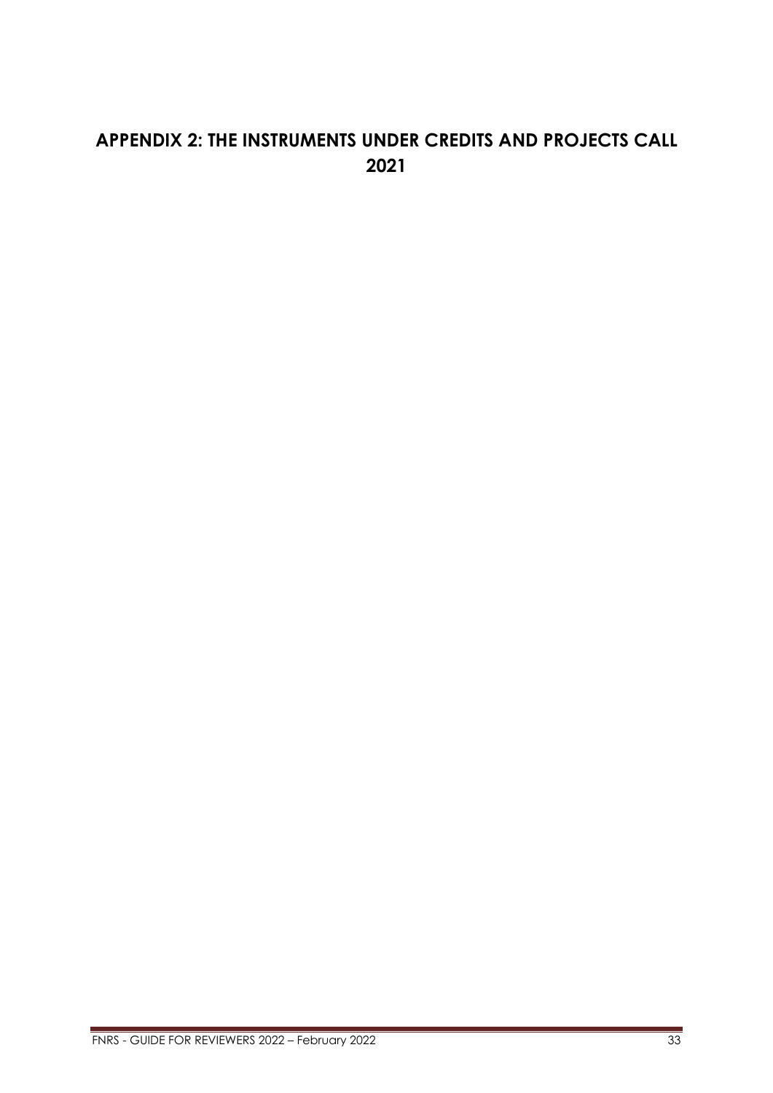# <span id="page-32-0"></span>**APPENDIX 2: THE INSTRUMENTS UNDER CREDITS AND PROJECTS CALL 2021**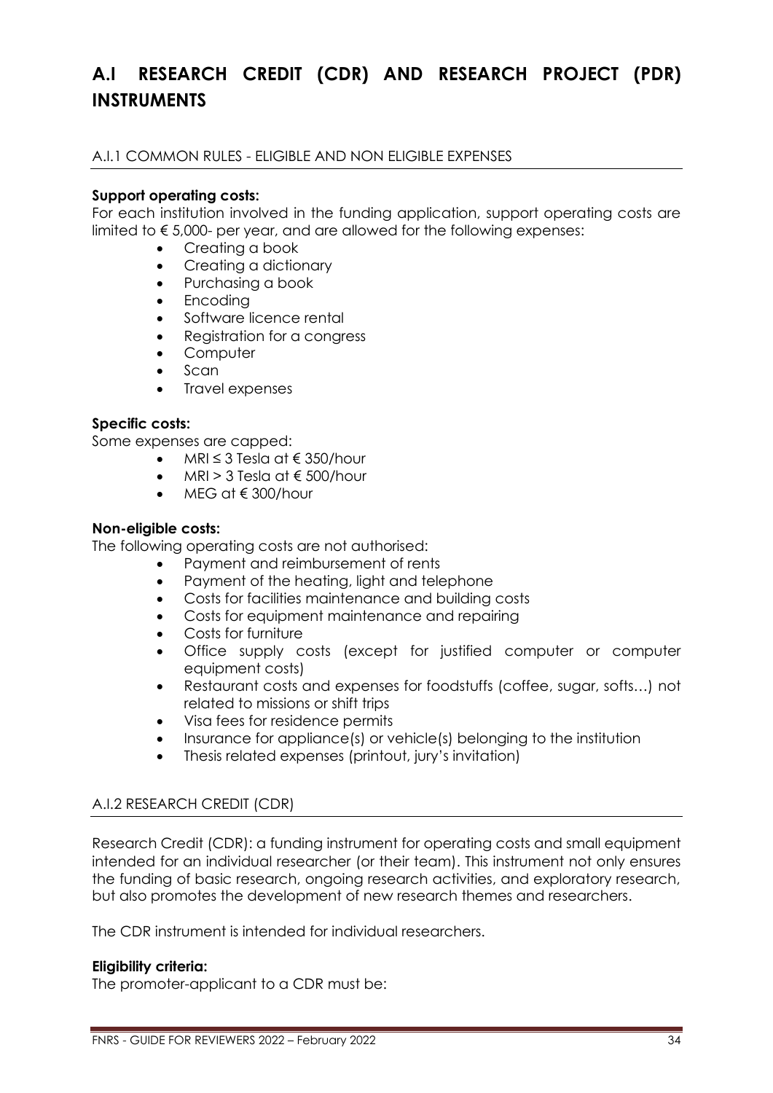# <span id="page-33-0"></span>**A.I RESEARCH CREDIT (CDR) AND RESEARCH PROJECT (PDR) INSTRUMENTS**

<span id="page-33-1"></span>A.I.1 COMMON RULES - ELIGIBLE AND NON ELIGIBLE EXPENSES

# **Support operating costs:**

For each institution involved in the funding application, support operating costs are limited to  $\epsilon$  5,000- per year, and are allowed for the following expenses:

- Creating a book
- Creating a dictionary
- Purchasing a book
- Encoding
- Software licence rental
- Reaistration for a congress
- Computer
- Scan
- Travel expenses

# **Specific costs:**

Some expenses are capped:

- MRI ≤ 3 Tesla at € 350/hour
- MRI > 3 Tesla at  $\epsilon$  500/hour
- MFG at  $\notin$  300/hour

### **Non-eligible costs:**

The following operating costs are not authorised:

- Payment and reimbursement of rents
	- Payment of the heating, light and telephone
	- Costs for facilities maintenance and building costs
	- Costs for equipment maintenance and repairing
	- Costs for furniture
	- Office supply costs (except for justified computer or computer equipment costs)
	- Restaurant costs and expenses for foodstuffs (coffee, sugar, softs…) not related to missions or shift trips
	- Visa fees for residence permits
	- Insurance for appliance(s) or vehicle(s) belonging to the institution
	- Thesis related expenses (printout, jury's invitation)

# <span id="page-33-2"></span>A.I.2 RESEARCH CREDIT (CDR)

Research Credit (CDR): a funding instrument for operating costs and small equipment intended for an individual researcher (or their team). This instrument not only ensures the funding of basic research, ongoing research activities, and exploratory research, but also promotes the development of new research themes and researchers.

The CDR instrument is intended for individual researchers.

### **Eligibility criteria:**

The promoter-applicant to a CDR must be: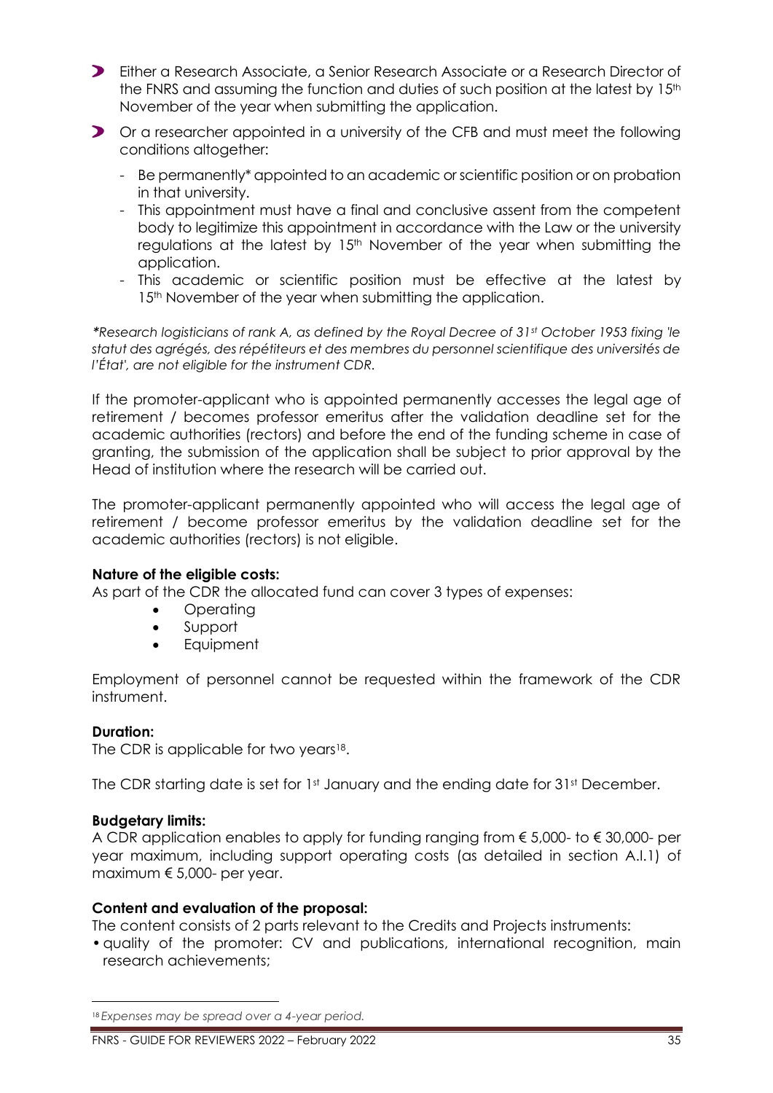- Either a Research Associate, a Senior Research Associate or a Research Director of the FNRS and assuming the function and duties of such position at the latest by  $15<sup>th</sup>$ November of the year when submitting the application.
- Or a researcher appointed in a university of the CFB and must meet the following conditions altogether:
	- Be permanently\* appointed to an academic or scientific position or on probation in that university.
	- This appointment must have a final and conclusive assent from the competent body to legitimize this appointment in accordance with the Law or the university regulations at the latest by 15<sup>th</sup> November of the year when submitting the application.
	- This academic or scientific position must be effective at the latest by 15<sup>th</sup> November of the year when submitting the application.

*\*Research logisticians of rank A, as defined by the Royal Decree of 31st October 1953 fixing 'le statut des agrégés, des répétiteurs et des membres du personnel scientifique des universités de l'État', are not eligible for the instrument CDR.*

If the promoter-applicant who is appointed permanently accesses the legal age of retirement / becomes professor emeritus after the validation deadline set for the academic authorities (rectors) and before the end of the funding scheme in case of granting, the submission of the application shall be subject to prior approval by the Head of institution where the research will be carried out.

The promoter-applicant permanently appointed who will access the legal age of retirement / become professor emeritus by the validation deadline set for the academic authorities (rectors) is not eligible.

### **Nature of the eligible costs:**

As part of the CDR the allocated fund can cover 3 types of expenses:

- Operating
- Support
- **Equipment**

Employment of personnel cannot be requested within the framework of the CDR instrument.

### **Duration:**

The CDR is applicable for two years $18$ .

The CDR starting date is set for 1st January and the ending date for 31st December.

### **Budgetary limits:**

A CDR application enables to apply for funding ranging from € 5,000- to € 30,000- per year maximum, including support operating costs (as detailed in section A.I.1) of maximum € 5,000- per year.

### **Content and evaluation of the proposal:**

The content consists of 2 parts relevant to the Credits and Projects instruments:

•quality of the promoter: CV and publications, international recognition, main research achievements;

<sup>18</sup> *Expenses may be spread over a 4-year period.*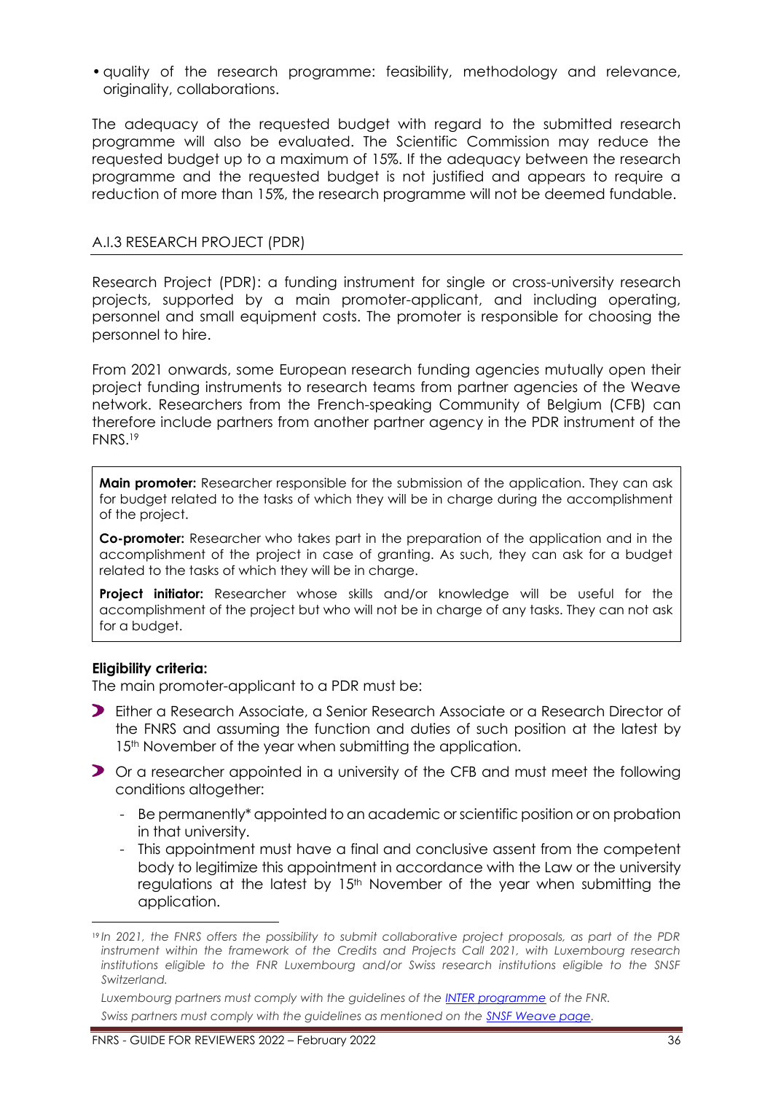•quality of the research programme: feasibility, methodology and relevance, originality, collaborations.

The adequacy of the requested budget with regard to the submitted research programme will also be evaluated. The Scientific Commission may reduce the requested budget up to a maximum of 15%. If the adequacy between the research programme and the requested budget is not justified and appears to require a reduction of more than 15%, the research programme will not be deemed fundable.

# <span id="page-35-0"></span>A.I.3 RESEARCH PROJECT (PDR)

Research Project (PDR): a funding instrument for single or cross-university research projects, supported by a main promoter-applicant, and including operating, personnel and small equipment costs. The promoter is responsible for choosing the personnel to hire.

From 2021 onwards, some European research funding agencies mutually open their project funding instruments to research teams from partner agencies of the Weave network. Researchers from the French-speaking Community of Belgium (CFB) can therefore include partners from another partner agency in the PDR instrument of the FNRS. 19

**Main promoter:** Researcher responsible for the submission of the application. They can ask for budget related to the tasks of which they will be in charge during the accomplishment of the project.

**Co-promoter:** Researcher who takes part in the preparation of the application and in the accomplishment of the project in case of granting. As such, they can ask for a budget related to the tasks of which they will be in charge.

**Project initiator:** Researcher whose skills and/or knowledge will be useful for the accomplishment of the project but who will not be in charge of any tasks. They can not ask for a budget.

### **Eligibility criteria:**

The main promoter-applicant to a PDR must be:

- Either a Research Associate, a Senior Research Associate or a Research Director of the FNRS and assuming the function and duties of such position at the latest by 15<sup>th</sup> November of the year when submitting the application.
- Or a researcher appointed in a university of the CFB and must meet the following conditions altogether:
	- Be permanently\* appointed to an academic or scientific position or on probation in that university.
	- This appointment must have a final and conclusive assent from the competent body to legitimize this appointment in accordance with the Law or the university regulations at the latest by 15<sup>th</sup> November of the year when submitting the application.

<sup>19</sup> *In 2021, the FNRS offers the possibility to submit collaborative project proposals, as part of the PDR instrument within the framework of the Credits and Projects Call 2021, with Luxembourg research institutions eligible to the FNR Luxembourg and/or Swiss research institutions eligible to the SNSF Switzerland.*

*Luxembourg partners must comply with the guidelines of the [INTER programme](https://www.fnr.lu/funding-instruments/inter/) of the FNR. Swiss partners must comply with the guidelines as mentioned on the [SNSF Weave page.](http://www.snf.ch/fr/encouragement/projets/weave-lead-agency/weave/Pages/default.aspx)*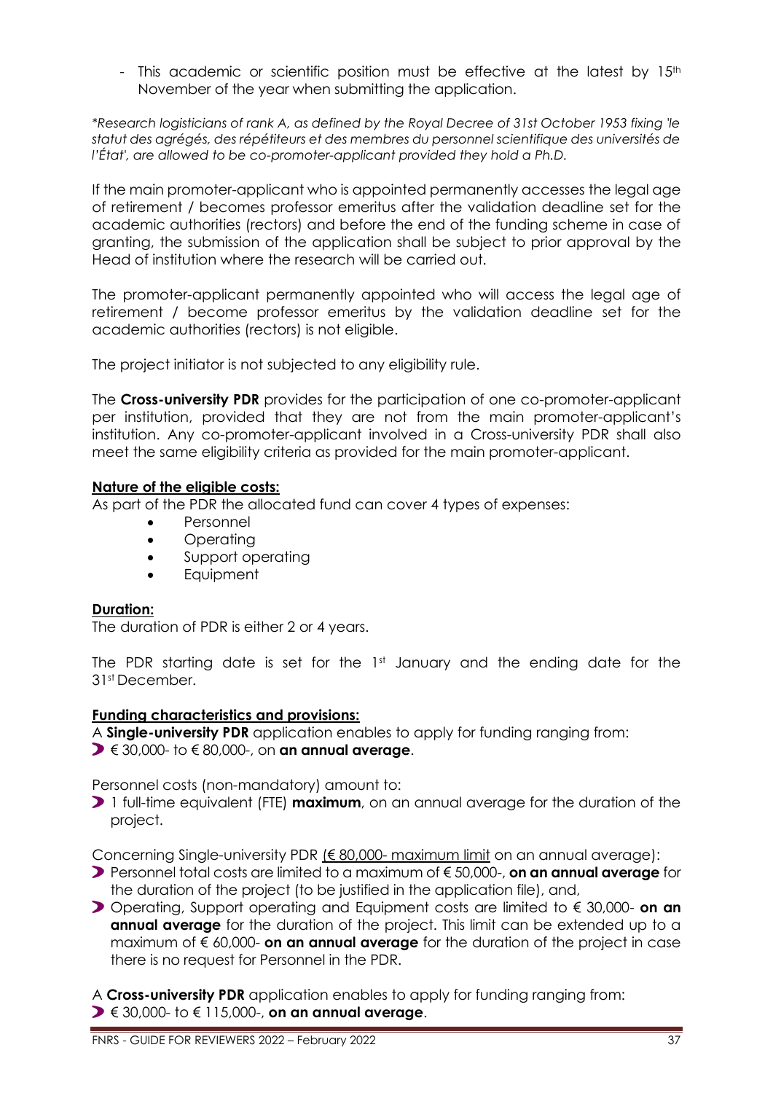- This academic or scientific position must be effective at the latest by  $15<sup>th</sup>$ November of the year when submitting the application.

*\*Research logisticians of rank A, as defined by the Royal Decree of 31st October 1953 fixing 'le statut des agrégés, des répétiteurs et des membres du personnel scientifique des universités de l'État', are allowed to be co-promoter-applicant provided they hold a Ph.D.*

If the main promoter-applicant who is appointed permanently accesses the legal age of retirement / becomes professor emeritus after the validation deadline set for the academic authorities (rectors) and before the end of the funding scheme in case of granting, the submission of the application shall be subject to prior approval by the Head of institution where the research will be carried out.

The promoter-applicant permanently appointed who will access the legal age of retirement / become professor emeritus by the validation deadline set for the academic authorities (rectors) is not eligible.

The project initiator is not subjected to any eligibility rule.

The **Cross-university PDR** provides for the participation of one co-promoter-applicant per institution, provided that they are not from the main promoter-applicant's institution. Any co-promoter-applicant involved in a Cross-university PDR shall also meet the same eligibility criteria as provided for the main promoter-applicant.

# **Nature of the eligible costs:**

As part of the PDR the allocated fund can cover 4 types of expenses:

- Personnel
- Operating
- Support operating
- **Equipment**

### **Duration:**

The duration of PDR is either 2 or 4 years.

The PDR starting date is set for the 1st January and the ending date for the 31st December.

### **Funding characteristics and provisions:**

A **Single-university PDR** application enables to apply for funding ranging from:

€ 30,000- to € 80,000-, on **an annual average**.

Personnel costs (non-mandatory) amount to:

1 full-time equivalent (FTE) **maximum**, on an annual average for the duration of the project.

Concerning Single-university PDR (€ 80,000- maximum limit on an annual average):

- Personnel total costs are limited to a maximum of € 50,000-, **on an annual average** for the duration of the project (to be justified in the application file), and,
- Operating, Support operating and Equipment costs are limited to € 30,000- **on an annual average** for the duration of the project. This limit can be extended up to a maximum of € 60,000- **on an annual average** for the duration of the project in case there is no request for Personnel in the PDR.

A **Cross-university PDR** application enables to apply for funding ranging from: € 30,000- to € 115,000-, **on an annual average**.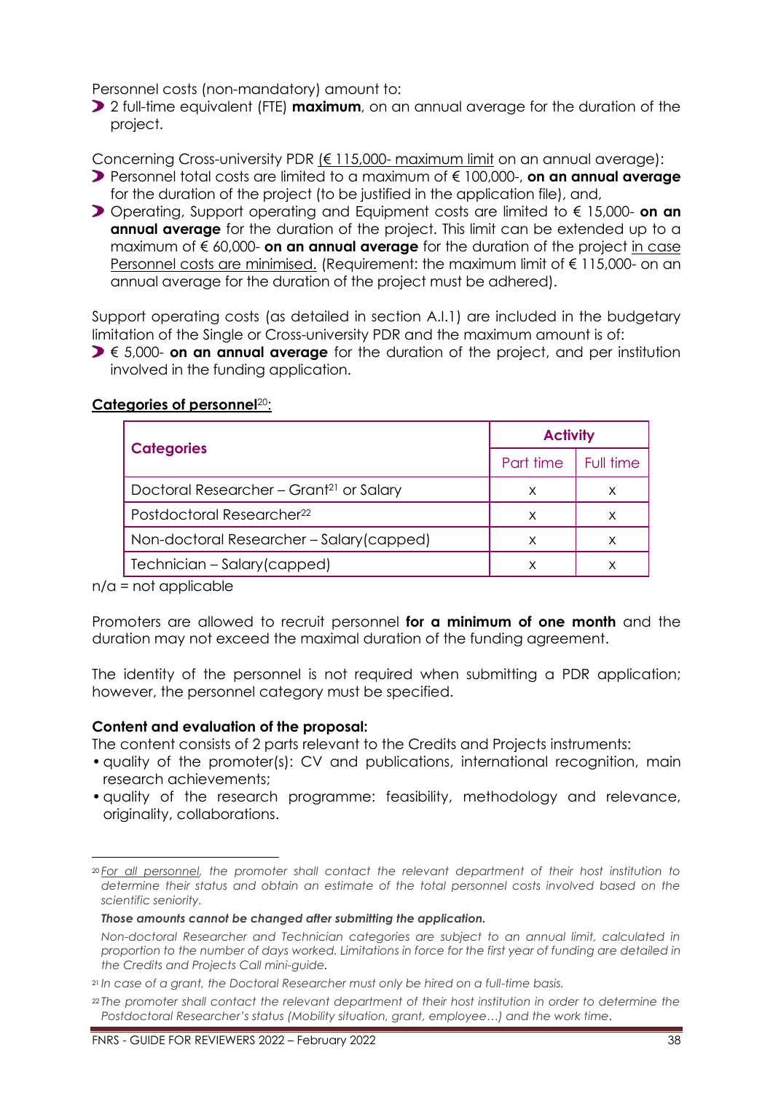Personnel costs (non-mandatory) amount to:

2 full-time equivalent (FTE) **maximum**, on an annual average for the duration of the project.

Concerning Cross-university PDR (€ 115,000- maximum limit on an annual average):

- Personnel total costs are limited to a maximum of € 100,000-, **on an annual average** for the duration of the project (to be justified in the application file), and,
- Operating, Support operating and Equipment costs are limited to € 15,000- **on an annual average** for the duration of the project. This limit can be extended up to a maximum of € 60,000- **on an annual average** for the duration of the project in case Personnel costs are minimised. (Requirement: the maximum limit of € 115,000- on an annual average for the duration of the project must be adhered).

Support operating costs (as detailed in section A.I.1) are included in the budgetary limitation of the Single or Cross-university PDR and the maximum amount is of:

**D** € 5,000- **on an annual average** for the duration of the project, and per institution involved in the funding application.

|                                                     | <b>Activity</b> |           |
|-----------------------------------------------------|-----------------|-----------|
| <b>Categories</b>                                   | Part time       | Full time |
| Doctoral Researcher - Grant <sup>21</sup> or Salary | X               | х         |
| Postdoctoral Researcher <sup>22</sup>               | X               |           |
| Non-doctoral Researcher - Salary (capped)           | X               |           |
| Technician - Salary (capped)                        |                 |           |

# **Categories of personnel**20:

 $n/a$  = not applicable

Promoters are allowed to recruit personnel **for a minimum of one month** and the duration may not exceed the maximal duration of the funding agreement.

The identity of the personnel is not required when submitting a PDR application; however, the personnel category must be specified.

# **Content and evaluation of the proposal:**

The content consists of 2 parts relevant to the Credits and Projects instruments:

- quality of the promoter(s): CV and publications, international recognition, main research achievements;
- •quality of the research programme: feasibility, methodology and relevance, originality, collaborations.

<sup>20</sup> *For all personnel, the promoter shall contact the relevant department of their host institution to determine their status and obtain an estimate of the total personnel costs involved based on the scientific seniority.*

*Those amounts cannot be changed after submitting the application.*

*Non-doctoral Researcher and Technician categories are subject to an annual limit, calculated in proportion to the number of days worked. Limitations in force for the first year of funding are detailed in the Credits and Projects Call mini-guide.*

<sup>21</sup> *In case of a grant, the Doctoral Researcher must only be hired on a full-time basis.*

<sup>22</sup> *The promoter shall contact the relevant department of their host institution in order to determine the Postdoctoral Researcher's status (Mobility situation, grant, employee…) and the work time.*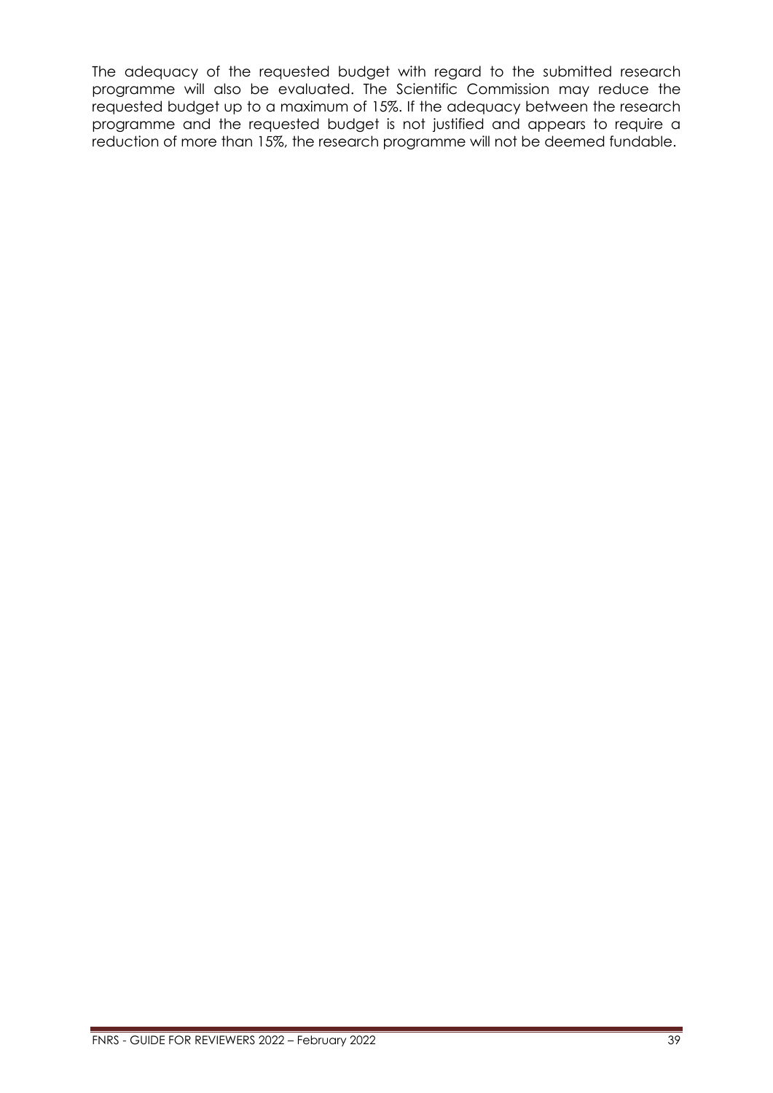The adequacy of the requested budget with regard to the submitted research programme will also be evaluated. The Scientific Commission may reduce the requested budget up to a maximum of 15%. If the adequacy between the research programme and the requested budget is not justified and appears to require a reduction of more than 15%, the research programme will not be deemed fundable.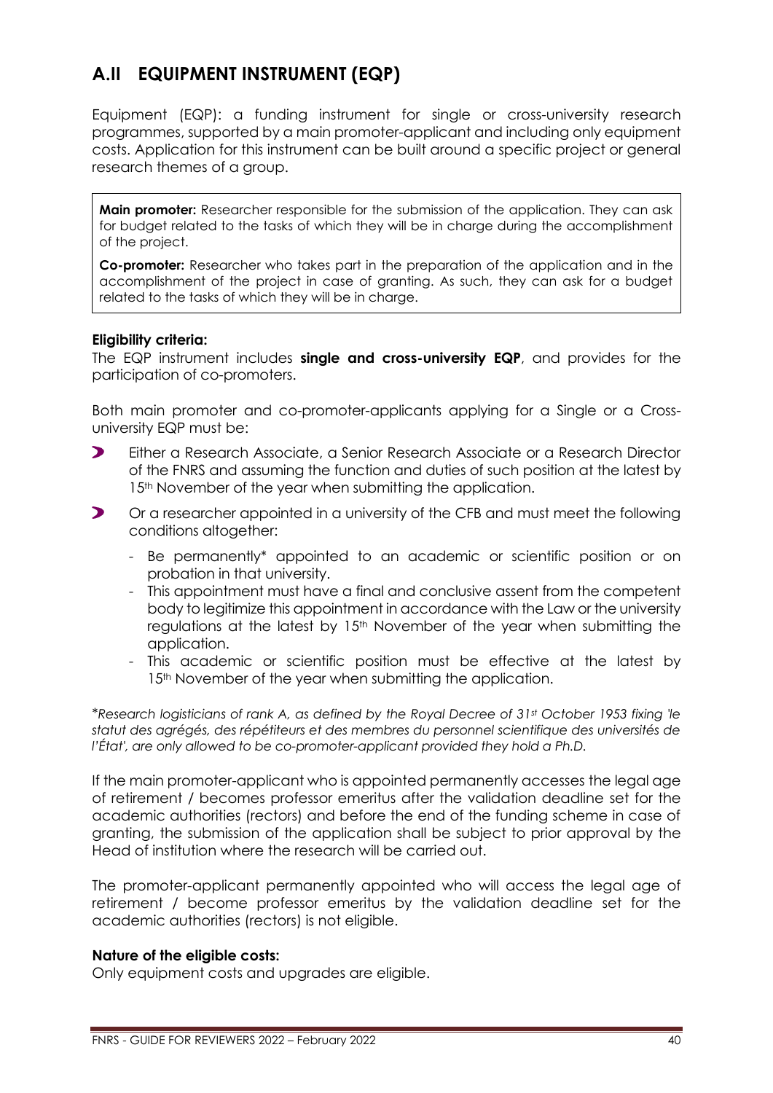# <span id="page-39-0"></span>**A.II EQUIPMENT INSTRUMENT (EQP)**

Equipment (EQP): a funding instrument for single or cross-university research programmes, supported by a main promoter-applicant and including only equipment costs. Application for this instrument can be built around a specific project or general research themes of a group.

**Main promoter:** Researcher responsible for the submission of the application. They can ask for budget related to the tasks of which they will be in charge during the accomplishment of the project.

**Co-promoter:** Researcher who takes part in the preparation of the application and in the accomplishment of the project in case of granting. As such, they can ask for a budget related to the tasks of which they will be in charge.

### **Eligibility criteria:**

The EQP instrument includes **single and cross-university EQP**, and provides for the participation of co-promoters.

Both main promoter and co-promoter-applicants applying for a Single or a Crossuniversity EQP must be:

- $\blacktriangleright$ Either a Research Associate, a Senior Research Associate or a Research Director of the FNRS and assuming the function and duties of such position at the latest by 15<sup>th</sup> November of the year when submitting the application.
- $\blacktriangleright$ Or a researcher appointed in a university of the CFB and must meet the following conditions altogether:
	- Be permanently\* appointed to an academic or scientific position or on probation in that university.
	- This appointment must have a final and conclusive assent from the competent body to legitimize this appointment in accordance with the Law or the university regulations at the latest by 15<sup>th</sup> November of the year when submitting the application.
	- This academic or scientific position must be effective at the latest by 15<sup>th</sup> November of the year when submitting the application.

\**Research logisticians of rank A, as defined by the Royal Decree of 31st October 1953 fixing 'le statut des agrégés, des répétiteurs et des membres du personnel scientifique des universités de l'État', are only allowed to be co-promoter-applicant provided they hold a Ph.D.*

If the main promoter-applicant who is appointed permanently accesses the legal age of retirement / becomes professor emeritus after the validation deadline set for the academic authorities (rectors) and before the end of the funding scheme in case of granting, the submission of the application shall be subject to prior approval by the Head of institution where the research will be carried out.

The promoter-applicant permanently appointed who will access the legal age of retirement / become professor emeritus by the validation deadline set for the academic authorities (rectors) is not eligible.

### **Nature of the eligible costs:**

Only equipment costs and upgrades are eligible.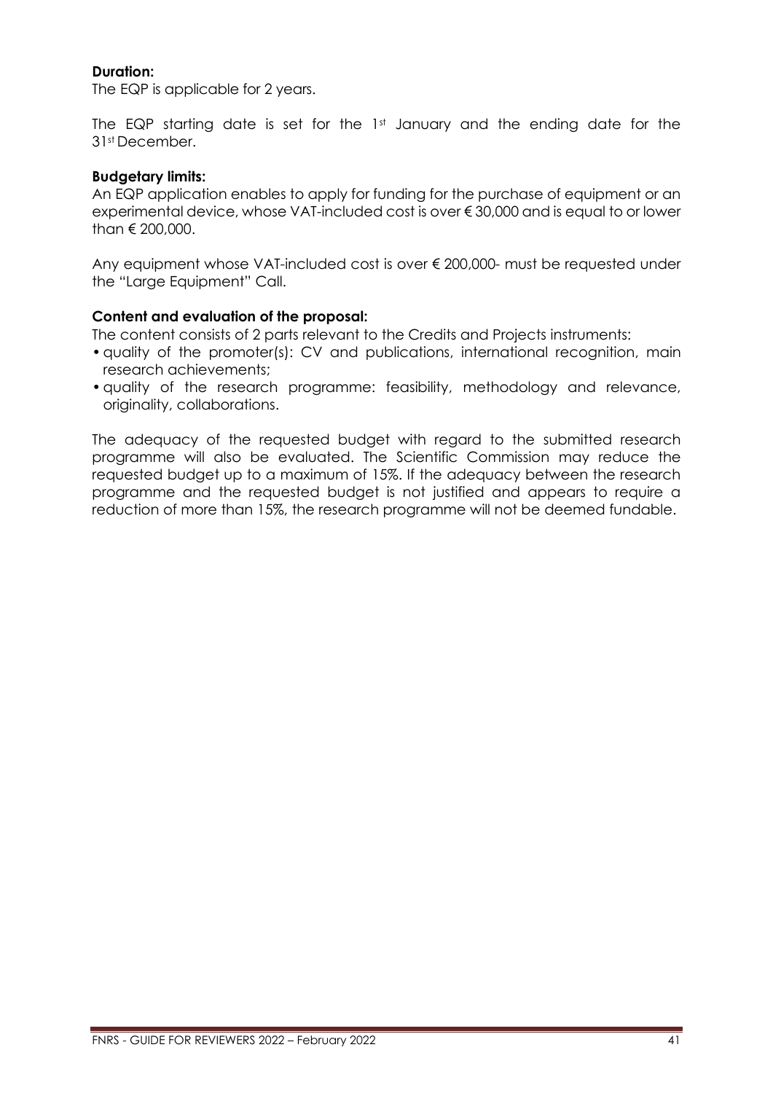# **Duration:**

The EQP is applicable for 2 years.

The EQP starting date is set for the 1st January and the ending date for the 31st December.

# **Budgetary limits:**

An EQP application enables to apply for funding for the purchase of equipment or an experimental device, whose VAT-included cost is over € 30,000 and is equal to or lower than € 200,000.

Any equipment whose VAT-included cost is over € 200,000- must be requested under the "Large Equipment" Call.

# **Content and evaluation of the proposal:**

The content consists of 2 parts relevant to the Credits and Projects instruments:

- •quality of the promoter(s): CV and publications, international recognition, main research achievements;
- •quality of the research programme: feasibility, methodology and relevance, originality, collaborations.

The adequacy of the requested budget with regard to the submitted research programme will also be evaluated. The Scientific Commission may reduce the requested budget up to a maximum of 15%. If the adequacy between the research programme and the requested budget is not justified and appears to require a reduction of more than 15%, the research programme will not be deemed fundable.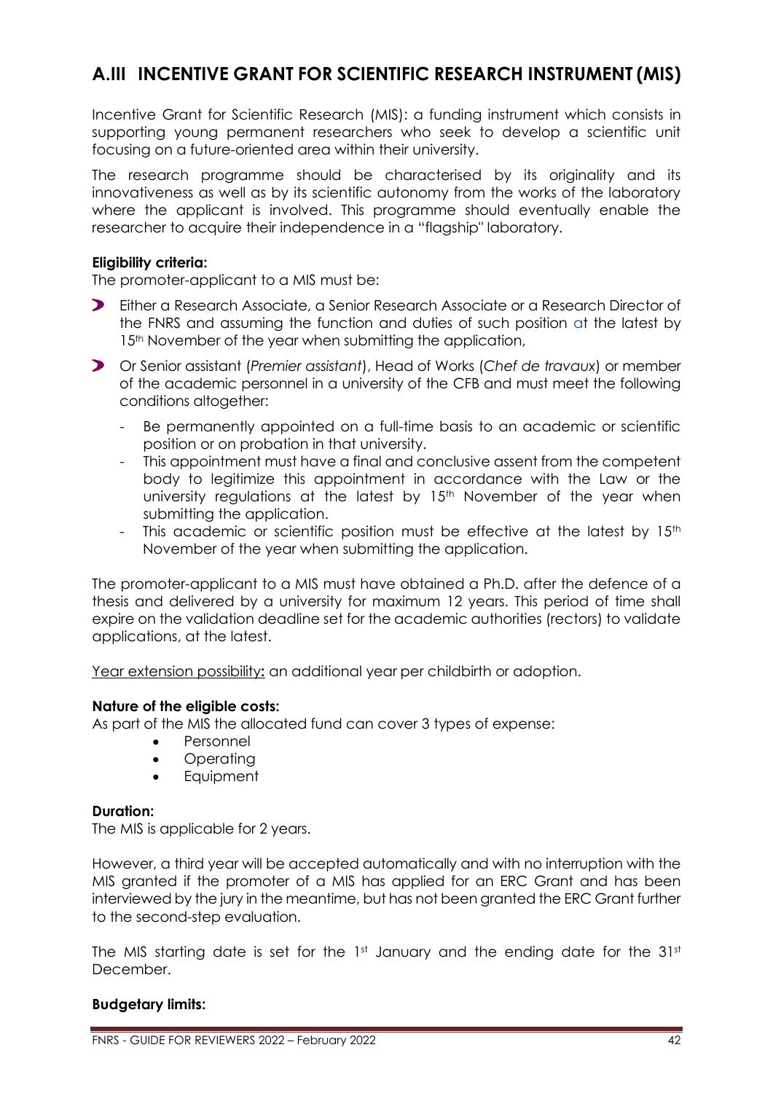# <span id="page-41-0"></span>**A.III INCENTIVE GRANT FOR SCIENTIFIC RESEARCH INSTRUMENT (MIS)**

Incentive Grant for Scientific Research (MIS): a funding instrument which consists in supporting young permanent researchers who seek to develop a scientific unit focusing on a future-oriented area within their university.

The research programme should be characterised by its originality and its innovativeness as well as by its scientific autonomy from the works of the laboratory where the applicant is involved. This programme should eventually enable the researcher to acquire their independence in a "flagship" laboratory.

### **Eligibility criteria:**

The promoter-applicant to a MIS must be:

- Either a Research Associate, a Senior Research Associate or a Research Director of the FNRS and assuming the function and duties of such position at the latest by 15<sup>th</sup> November of the year when submitting the application,
- Or Senior assistant (*Premier assistant*), Head of Works (*Chef de travaux*) or member of the academic personnel in a university of the CFB and must meet the following conditions altogether:
	- Be permanently appointed on a full-time basis to an academic or scientific position or on probation in that university.
	- This appointment must have a final and conclusive assent from the competent body to legitimize this appointment in accordance with the Law or the university regulations at the latest by 15<sup>th</sup> November of the year when submitting the application.
	- This academic or scientific position must be effective at the latest by 15<sup>th</sup> November of the year when submitting the application.

The promoter-applicant to a MIS must have obtained a Ph.D. after the defence of a thesis and delivered by a university for maximum 12 years. This period of time shall expire on the validation deadline set for the academic authorities (rectors) to validate applications, at the latest.

Year extension possibility**:** an additional year per childbirth or adoption.

### **Nature of the eligible costs:**

As part of the MIS the allocated fund can cover 3 types of expense:

- Personnel
- Operating
- Equipment

### **Duration:**

The MIS is applicable for 2 years.

However, a third year will be accepted automatically and with no interruption with the MIS granted if the promoter of a MIS has applied for an ERC Grant and has been interviewed by the jury in the meantime, but has not been granted the ERC Grant further to the second-step evaluation.

The MIS starting date is set for the 1st January and the ending date for the 31st December.

# **Budgetary limits:**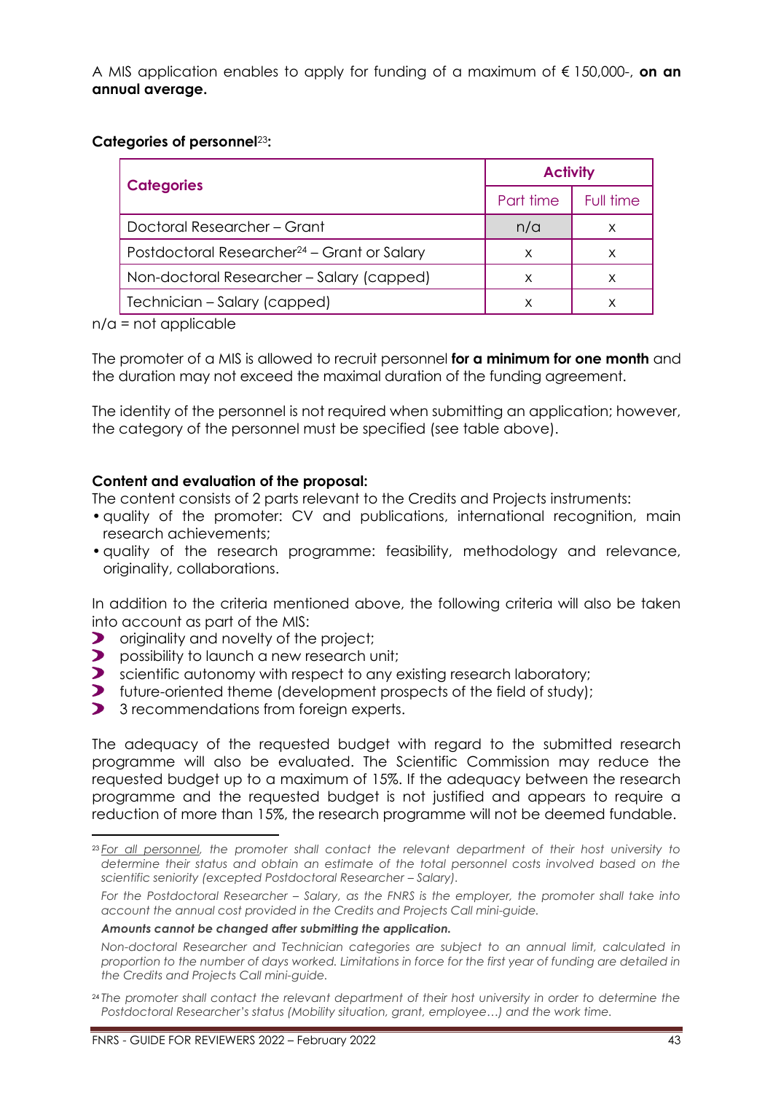A MIS application enables to apply for funding of a maximum of € 150,000-, **on an annual average.**

# **Categories of personnel**23**:**

|                                                         | <b>Activity</b> |           |
|---------------------------------------------------------|-----------------|-----------|
| <b>Categories</b>                                       | Part time       | Full time |
| Doctoral Researcher – Grant                             | n/a             |           |
| Postdoctoral Researcher <sup>24</sup> – Grant or Salary | x               | х         |
| Non-doctoral Researcher - Salary (capped)               | X               |           |
| Technician – Salary (capped)                            | х               |           |

 $n/a$  = not applicable

The promoter of a MIS is allowed to recruit personnel **for a minimum for one month** and the duration may not exceed the maximal duration of the funding agreement.

The identity of the personnel is not required when submitting an application; however, the category of the personnel must be specified (see table above).

# **Content and evaluation of the proposal:**

The content consists of 2 parts relevant to the Credits and Projects instruments:

- •quality of the promoter: CV and publications, international recognition, main research achievements;
- •quality of the research programme: feasibility, methodology and relevance, originality, collaborations.

In addition to the criteria mentioned above, the following criteria will also be taken into account as part of the MIS:

- $\blacktriangleright$ originality and novelty of the project;
- $\blacktriangleright$ possibility to launch a new research unit;
- Solientific autonomy with respect to any existing research laboratory;
- $\blacktriangleright$ future-oriented theme (development prospects of the field of study);
- $\blacktriangleright$ 3 recommendations from foreign experts.

The adequacy of the requested budget with regard to the submitted research programme will also be evaluated. The Scientific Commission may reduce the requested budget up to a maximum of 15%. If the adequacy between the research programme and the requested budget is not justified and appears to require a reduction of more than 15%, the research programme will not be deemed fundable.

#### *Amounts cannot be changed after submitting the application.*

<sup>23</sup> *For all personnel, the promoter shall contact the relevant department of their host university to determine their status and obtain an estimate of the total personnel costs involved based on the scientific seniority (excepted Postdoctoral Researcher - Salary).* 

*For the Postdoctoral Researcher – Salary, as the FNRS is the employer, the promoter shall take into account the annual cost provided in the Credits and Projects Call mini-guide.*

*Non-doctoral Researcher and Technician categories are subject to an annual limit, calculated in proportion to the number of days worked. Limitations in force for the first year of funding are detailed in the Credits and Projects Call mini-guide.*

<sup>24</sup> *The promoter shall contact the relevant department of their host university in order to determine the Postdoctoral Researcher's status (Mobility situation, grant, employee…) and the work time.*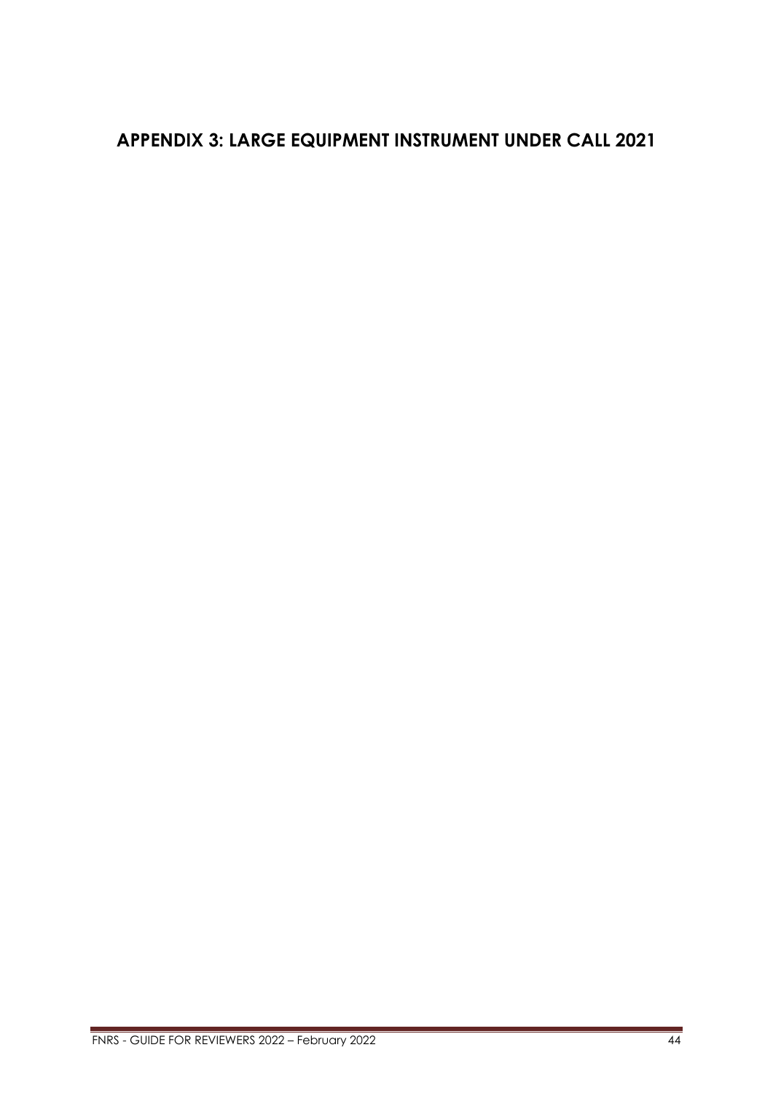# <span id="page-43-0"></span>**APPENDIX 3: LARGE EQUIPMENT INSTRUMENT UNDER CALL 2021**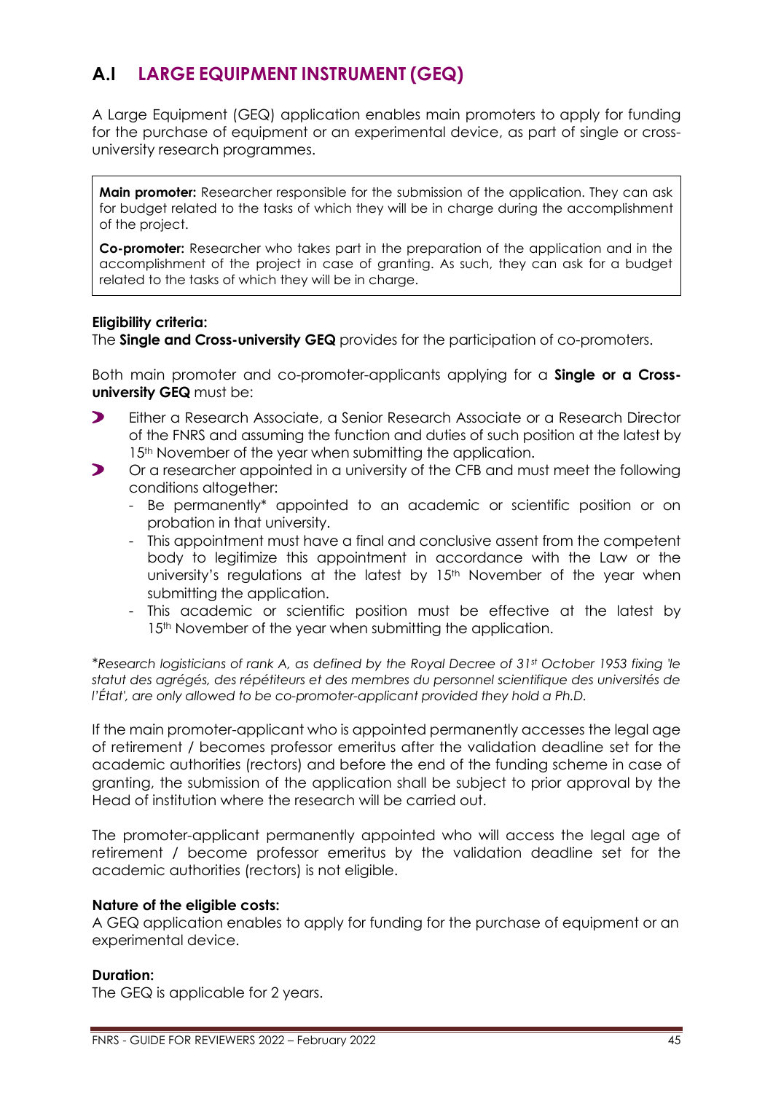# <span id="page-44-0"></span>**A.I LARGE EQUIPMENT INSTRUMENT (GEQ)**

A Large Equipment (GEQ) application enables main promoters to apply for funding for the purchase of equipment or an experimental device, as part of single or crossuniversity research programmes.

**Main promoter:** Researcher responsible for the submission of the application. They can ask for budget related to the tasks of which they will be in charge during the accomplishment of the project.

**Co-promoter:** Researcher who takes part in the preparation of the application and in the accomplishment of the project in case of granting. As such, they can ask for a budget related to the tasks of which they will be in charge.

### **Eligibility criteria:**

The **Single and Cross-university GEQ** provides for the participation of co-promoters.

Both main promoter and co-promoter-applicants applying for a **Single or a Crossuniversity GEQ** must be:

- $\blacktriangleright$ Either a Research Associate, a Senior Research Associate or a Research Director of the FNRS and assuming the function and duties of such position at the latest by 15<sup>th</sup> November of the year when submitting the application.
- $\blacktriangleright$ Or a researcher appointed in a university of the CFB and must meet the following conditions altogether:
	- Be permanently\* appointed to an academic or scientific position or on probation in that university.
	- This appointment must have a final and conclusive assent from the competent body to legitimize this appointment in accordance with the Law or the university's regulations at the latest by 15<sup>th</sup> November of the year when submitting the application.
	- This academic or scientific position must be effective at the latest by 15<sup>th</sup> November of the year when submitting the application.

\**Research logisticians of rank A, as defined by the Royal Decree of 31st October 1953 fixing 'le statut des agrégés, des répétiteurs et des membres du personnel scientifique des universités de l'État', are only allowed to be co-promoter-applicant provided they hold a Ph.D.*

If the main promoter-applicant who is appointed permanently accesses the legal age of retirement / becomes professor emeritus after the validation deadline set for the academic authorities (rectors) and before the end of the funding scheme in case of granting, the submission of the application shall be subject to prior approval by the Head of institution where the research will be carried out.

The promoter-applicant permanently appointed who will access the legal age of retirement / become professor emeritus by the validation deadline set for the academic authorities (rectors) is not eligible.

### **Nature of the eligible costs:**

A GEQ application enables to apply for funding for the purchase of equipment or an experimental device.

### **Duration:**

The GEQ is applicable for 2 years.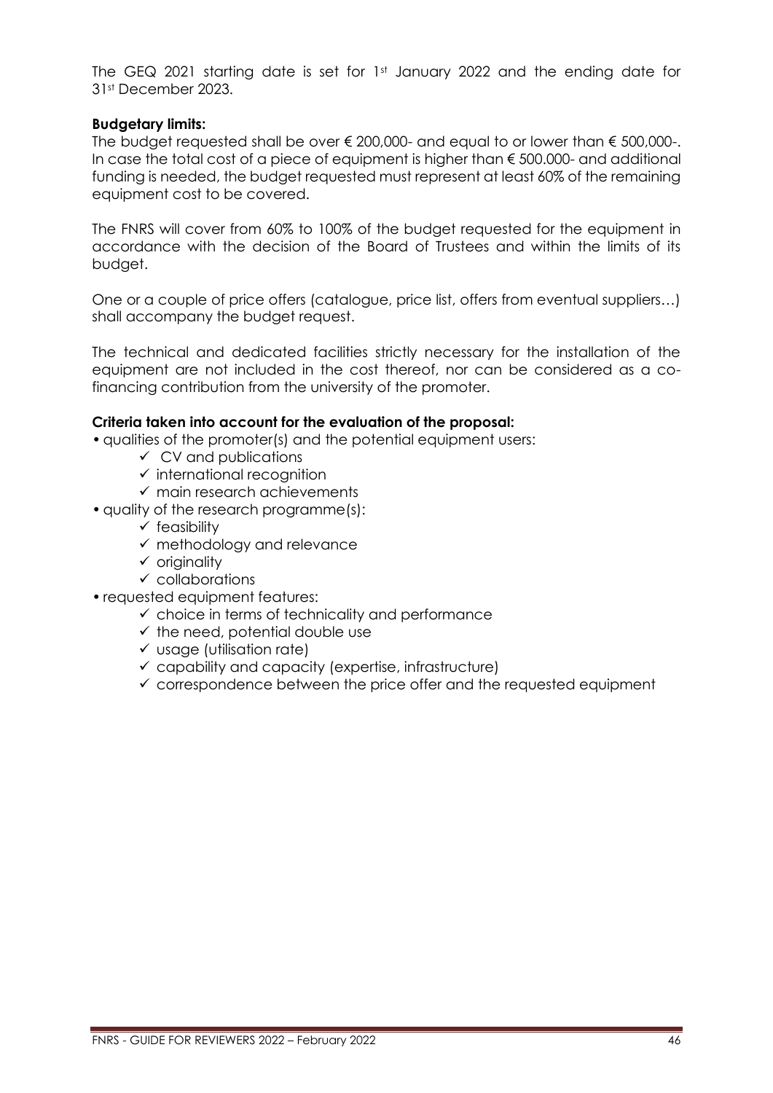The GEQ 2021 starting date is set for 1<sup>st</sup> January 2022 and the ending date for 31st December 2023.

### **Budgetary limits:**

The budget requested shall be over  $\epsilon$  200,000- and equal to or lower than  $\epsilon$  500,000-. In case the total cost of a piece of equipment is higher than  $\epsilon$  500.000- and additional funding is needed, the budget requested must represent at least 60% of the remaining equipment cost to be covered.

The FNRS will cover from 60% to 100% of the budget requested for the equipment in accordance with the decision of the Board of Trustees and within the limits of its budget.

One or a couple of price offers (catalogue, price list, offers from eventual suppliers…) shall accompany the budget request.

The technical and dedicated facilities strictly necessary for the installation of the equipment are not included in the cost thereof, nor can be considered as a cofinancing contribution from the university of the promoter.

# **Criteria taken into account for the evaluation of the proposal:**

•qualities of the promoter(s) and the potential equipment users:

- $\checkmark$  CV and publications
- ✓ international recognition
- $\checkmark$  main research achievements
- quality of the research programme(s):
	- $\checkmark$  feasibility
	- ✓ methodology and relevance
	- ✓ originality
	- $\checkmark$  collaborations
- requested equipment features:
	- $\checkmark$  choice in terms of technicality and performance
	- $\checkmark$  the need, potential double use
	- ✓ usage (utilisation rate)
	- $\checkmark$  capability and capacity (expertise, infrastructure)
	- $\checkmark$  correspondence between the price offer and the requested equipment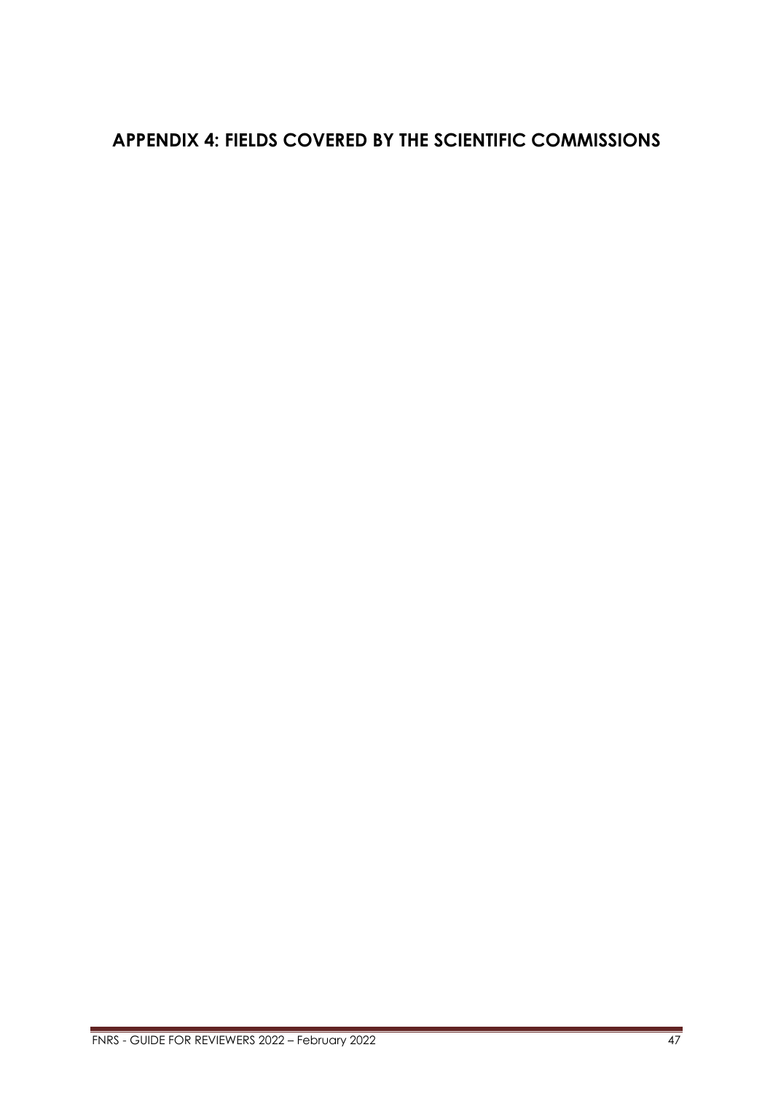# <span id="page-46-0"></span>**APPENDIX 4: FIELDS COVERED BY THE SCIENTIFIC COMMISSIONS**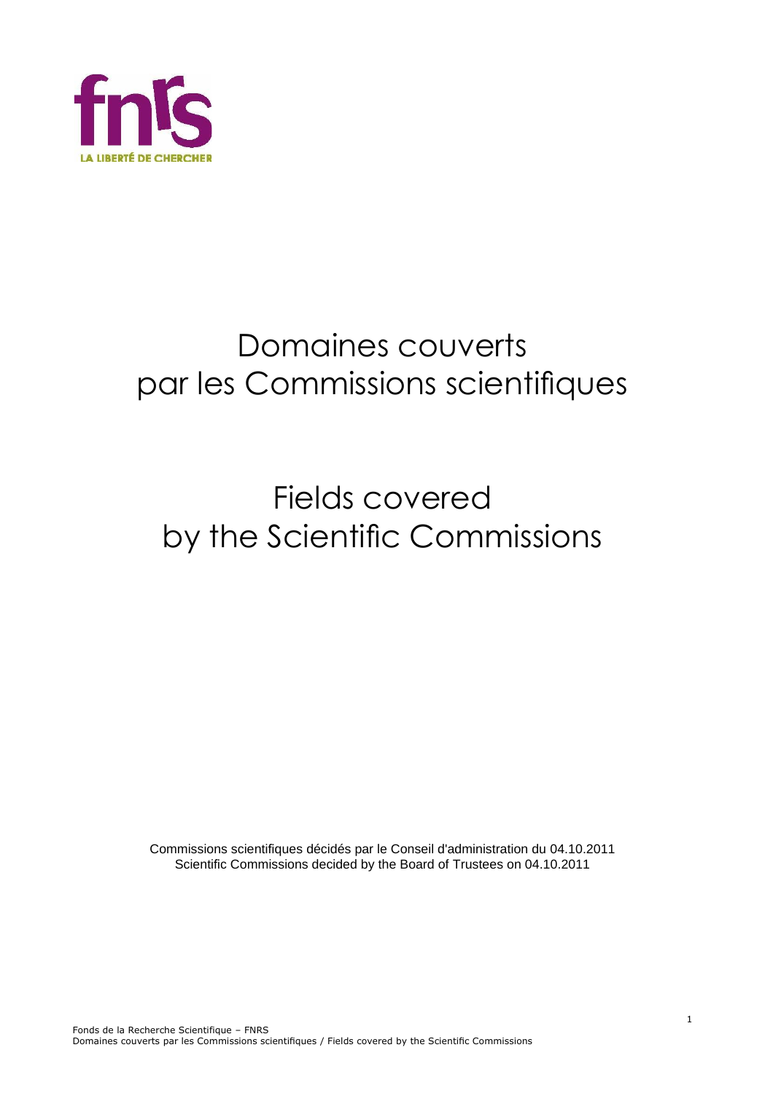

# Domaines couverts par les Commissions scientifiques

# Fields covered by the Scientific Commissions

Commissions scientifiques décidés par le Conseil d'administration du 04.10.2011 Scientific Commissions decided by the Board of Trustees on 04.10.2011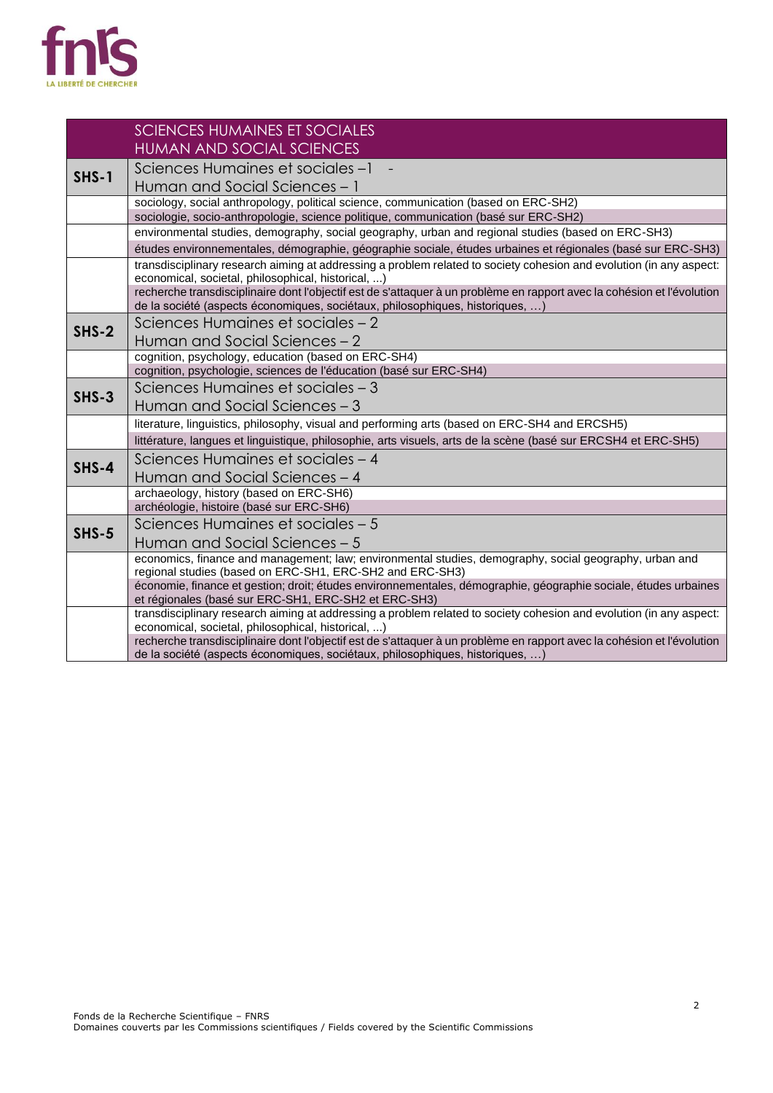

|         | <b>SCIENCES HUMAINES ET SOCIALES</b>                                                                                                                                                                     |
|---------|----------------------------------------------------------------------------------------------------------------------------------------------------------------------------------------------------------|
|         | <b>HUMAN AND SOCIAL SCIENCES</b>                                                                                                                                                                         |
| $SHS-1$ | Sciences Humaines et sociales-1                                                                                                                                                                          |
|         | Human and Social Sciences - 1                                                                                                                                                                            |
|         | sociology, social anthropology, political science, communication (based on ERC-SH2)                                                                                                                      |
|         | sociologie, socio-anthropologie, science politique, communication (basé sur ERC-SH2)                                                                                                                     |
|         | environmental studies, demography, social geography, urban and regional studies (based on ERC-SH3)                                                                                                       |
|         | études environnementales, démographie, géographie sociale, études urbaines et régionales (basé sur ERC-SH3)                                                                                              |
|         | transdisciplinary research aiming at addressing a problem related to society cohesion and evolution (in any aspect:<br>economical, societal, philosophical, historical, )                                |
|         | recherche transdisciplinaire dont l'objectif est de s'attaquer à un problème en rapport avec la cohésion et l'évolution<br>de la société (aspects économiques, sociétaux, philosophiques, historiques, ) |
|         | Sciences Humaines et sociales - 2                                                                                                                                                                        |
| $SHS-2$ | Human and Social Sciences - 2                                                                                                                                                                            |
|         | cognition, psychology, education (based on ERC-SH4)                                                                                                                                                      |
|         | cognition, psychologie, sciences de l'éducation (basé sur ERC-SH4)                                                                                                                                       |
| $SHS-3$ | Sciences Humaines et sociales - 3                                                                                                                                                                        |
|         | Human and Social Sciences - 3                                                                                                                                                                            |
|         | literature, linguistics, philosophy, visual and performing arts (based on ERC-SH4 and ERCSH5)                                                                                                            |
|         | littérature, langues et linguistique, philosophie, arts visuels, arts de la scène (basé sur ERCSH4 et ERC-SH5)                                                                                           |
| $SHS-4$ | Sciences Humaines et sociales - 4                                                                                                                                                                        |
|         | Human and Social Sciences - 4                                                                                                                                                                            |
|         | archaeology, history (based on ERC-SH6)                                                                                                                                                                  |
|         | archéologie, histoire (basé sur ERC-SH6)                                                                                                                                                                 |
| $SHS-5$ | Sciences Humaines et sociales - 5                                                                                                                                                                        |
|         | Human and Social Sciences - 5                                                                                                                                                                            |
|         | economics, finance and management; law; environmental studies, demography, social geography, urban and<br>regional studies (based on ERC-SH1, ERC-SH2 and ERC-SH3)                                       |
|         | économie, finance et gestion; droit; études environnementales, démographie, géographie sociale, études urbaines<br>et régionales (basé sur ERC-SH1, ERC-SH2 et ERC-SH3)                                  |
|         | transdisciplinary research aiming at addressing a problem related to society cohesion and evolution (in any aspect:                                                                                      |
|         | economical, societal, philosophical, historical, )                                                                                                                                                       |
|         | recherche transdisciplinaire dont l'objectif est de s'attaquer à un problème en rapport avec la cohésion et l'évolution<br>de la société (aspects économiques, sociétaux, philosophiques, historiques, ) |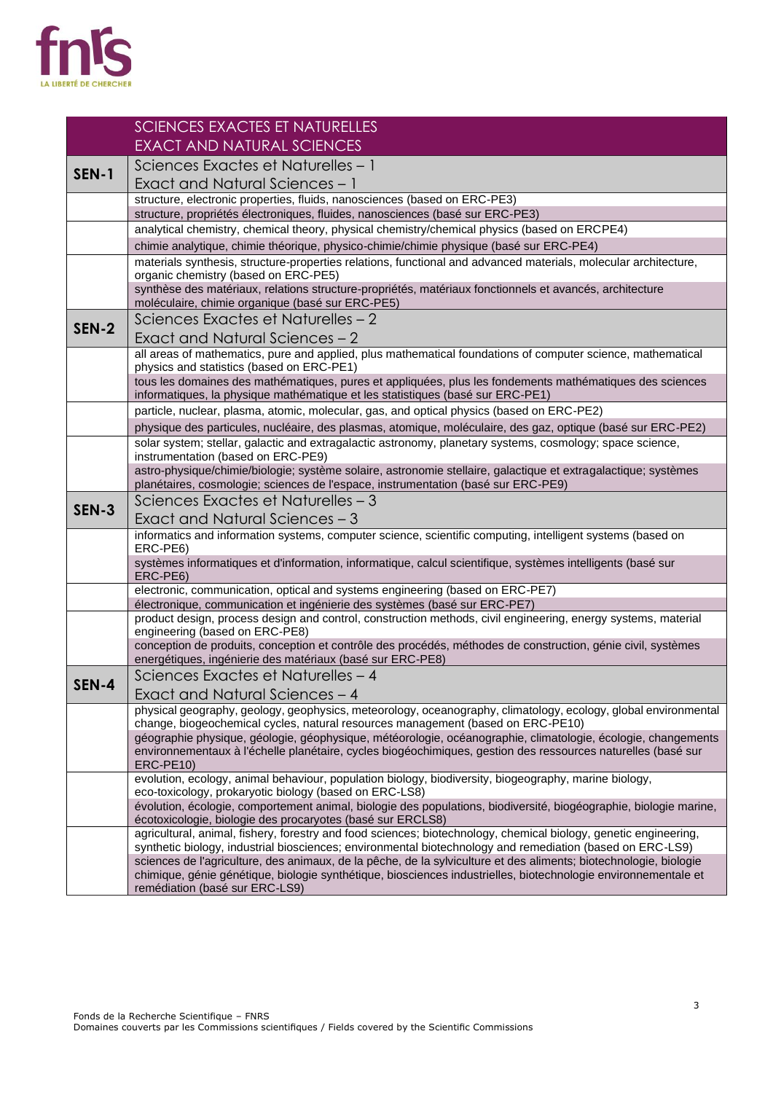

|              | <b>SCIENCES EXACTES ET NATURELLES</b>                                                                                                                                                                                          |  |
|--------------|--------------------------------------------------------------------------------------------------------------------------------------------------------------------------------------------------------------------------------|--|
|              | <b>EXACT AND NATURAL SCIENCES</b>                                                                                                                                                                                              |  |
| <b>SEN-1</b> | Sciences Exactes et Naturelles - 1                                                                                                                                                                                             |  |
|              | Exact and Natural Sciences - 1                                                                                                                                                                                                 |  |
|              | structure, electronic properties, fluids, nanosciences (based on ERC-PE3)                                                                                                                                                      |  |
|              | structure, propriétés électroniques, fluides, nanosciences (basé sur ERC-PE3)                                                                                                                                                  |  |
|              | analytical chemistry, chemical theory, physical chemistry/chemical physics (based on ERCPE4)<br>chimie analytique, chimie théorique, physico-chimie/chimie physique (basé sur ERC-PE4)                                         |  |
|              | materials synthesis, structure-properties relations, functional and advanced materials, molecular architecture,                                                                                                                |  |
|              | organic chemistry (based on ERC-PE5)                                                                                                                                                                                           |  |
|              | synthèse des matériaux, relations structure-propriétés, matériaux fonctionnels et avancés, architecture<br>moléculaire, chimie organique (basé sur ERC-PE5)                                                                    |  |
| SEN-2        | Sciences Exactes et Naturelles - 2                                                                                                                                                                                             |  |
|              | Exact and Natural Sciences - 2                                                                                                                                                                                                 |  |
|              | all areas of mathematics, pure and applied, plus mathematical foundations of computer science, mathematical                                                                                                                    |  |
|              | physics and statistics (based on ERC-PE1)<br>tous les domaines des mathématiques, pures et appliquées, plus les fondements mathématiques des sciences                                                                          |  |
|              | informatiques, la physique mathématique et les statistiques (basé sur ERC-PE1)                                                                                                                                                 |  |
|              | particle, nuclear, plasma, atomic, molecular, gas, and optical physics (based on ERC-PE2)                                                                                                                                      |  |
|              | physique des particules, nucléaire, des plasmas, atomique, moléculaire, des gaz, optique (basé sur ERC-PE2)                                                                                                                    |  |
|              | solar system; stellar, galactic and extragalactic astronomy, planetary systems, cosmology; space science,<br>instrumentation (based on ERC-PE9)                                                                                |  |
|              | astro-physique/chimie/biologie; système solaire, astronomie stellaire, galactique et extragalactique; systèmes                                                                                                                 |  |
|              | planétaires, cosmologie; sciences de l'espace, instrumentation (basé sur ERC-PE9)                                                                                                                                              |  |
| <b>SEN-3</b> | Sciences Exactes et Naturelles - 3                                                                                                                                                                                             |  |
|              | Exact and Natural Sciences - 3                                                                                                                                                                                                 |  |
|              | informatics and information systems, computer science, scientific computing, intelligent systems (based on<br>ERC-PE6)                                                                                                         |  |
|              | systèmes informatiques et d'information, informatique, calcul scientifique, systèmes intelligents (basé sur                                                                                                                    |  |
|              | ERC-PE6)<br>electronic, communication, optical and systems engineering (based on ERC-PE7)                                                                                                                                      |  |
|              | électronique, communication et ingénierie des systèmes (basé sur ERC-PE7)                                                                                                                                                      |  |
|              | product design, process design and control, construction methods, civil engineering, energy systems, material<br>engineering (based on ERC-PE8)                                                                                |  |
|              | conception de produits, conception et contrôle des procédés, méthodes de construction, génie civil, systèmes                                                                                                                   |  |
|              | energétiques, ingénierie des matériaux (basé sur ERC-PE8)<br>Sciences Exactes et Naturelles - 4                                                                                                                                |  |
| SEN-4        | Exact and Natural Sciences - 4                                                                                                                                                                                                 |  |
|              | physical geography, geology, geophysics, meteorology, oceanography, climatology, ecology, global environmental                                                                                                                 |  |
|              | change, biogeochemical cycles, natural resources management (based on ERC-PE10)                                                                                                                                                |  |
|              | géographie physique, géologie, géophysique, météorologie, océanographie, climatologie, écologie, changements<br>environnementaux à l'échelle planétaire, cycles biogéochimiques, gestion des ressources naturelles (basé sur   |  |
|              | ERC-PE10)                                                                                                                                                                                                                      |  |
|              | evolution, ecology, animal behaviour, population biology, biodiversity, biogeography, marine biology,<br>eco-toxicology, prokaryotic biology (based on ERC-LS8)                                                                |  |
|              | évolution, écologie, comportement animal, biologie des populations, biodiversité, biogéographie, biologie marine,<br>écotoxicologie, biologie des procaryotes (basé sur ERCLS8)                                                |  |
|              | agricultural, animal, fishery, forestry and food sciences; biotechnology, chemical biology, genetic engineering,                                                                                                               |  |
|              | synthetic biology, industrial biosciences; environmental biotechnology and remediation (based on ERC-LS9)<br>sciences de l'agriculture, des animaux, de la pêche, de la sylviculture et des aliments; biotechnologie, biologie |  |
|              | chimique, génie génétique, biologie synthétique, biosciences industrielles, biotechnologie environnementale et<br>remédiation (basé sur ERC-LS9)                                                                               |  |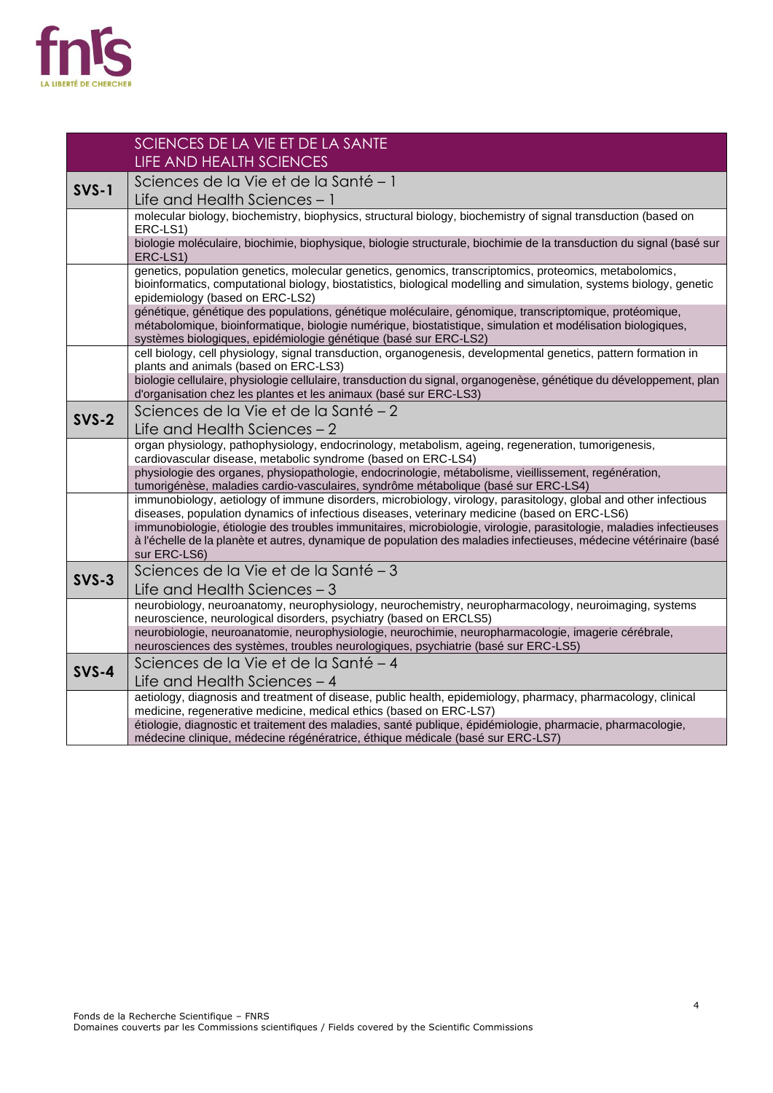

|         | SCIENCES DE LA VIE ET DE LA SANTE                                                                                                                                                                                                                                                         |
|---------|-------------------------------------------------------------------------------------------------------------------------------------------------------------------------------------------------------------------------------------------------------------------------------------------|
|         | LIFE AND HEALTH SCIENCES                                                                                                                                                                                                                                                                  |
| $SVS-1$ | Sciences de la Vie et de la Santé - 1                                                                                                                                                                                                                                                     |
|         | Life and Health Sciences - 1                                                                                                                                                                                                                                                              |
|         | molecular biology, biochemistry, biophysics, structural biology, biochemistry of signal transduction (based on                                                                                                                                                                            |
|         | ERC-LS1)<br>biologie moléculaire, biochimie, biophysique, biologie structurale, biochimie de la transduction du signal (basé sur                                                                                                                                                          |
|         | ERC-LS1)                                                                                                                                                                                                                                                                                  |
|         | genetics, population genetics, molecular genetics, genomics, transcriptomics, proteomics, metabolomics,<br>bioinformatics, computational biology, biostatistics, biological modelling and simulation, systems biology, genetic<br>epidemiology (based on ERC-LS2)                         |
|         | génétique, génétique des populations, génétique moléculaire, génomique, transcriptomique, protéomique,<br>métabolomique, bioinformatique, biologie numérique, biostatistique, simulation et modélisation biologiques,<br>systèmes biologiques, epidémiologie génétique (basé sur ERC-LS2) |
|         | cell biology, cell physiology, signal transduction, organogenesis, developmental genetics, pattern formation in<br>plants and animals (based on ERC-LS3)                                                                                                                                  |
|         | biologie cellulaire, physiologie cellulaire, transduction du signal, organogenèse, génétique du développement, plan<br>d'organisation chez les plantes et les animaux (basé sur ERC-LS3)                                                                                                  |
| $SVS-2$ | Sciences de la Vie et de la Santé - 2                                                                                                                                                                                                                                                     |
|         | Life and Health Sciences $-2$                                                                                                                                                                                                                                                             |
|         | organ physiology, pathophysiology, endocrinology, metabolism, ageing, regeneration, tumorigenesis,<br>cardiovascular disease, metabolic syndrome (based on ERC-LS4)                                                                                                                       |
|         | physiologie des organes, physiopathologie, endocrinologie, métabolisme, vieillissement, regénération,<br>tumorigénèse, maladies cardio-vasculaires, syndrôme métabolique (basé sur ERC-LS4)                                                                                               |
|         | immunobiology, aetiology of immune disorders, microbiology, virology, parasitology, global and other infectious<br>diseases, population dynamics of infectious diseases, veterinary medicine (based on ERC-LS6)                                                                           |
|         | immunobiologie, étiologie des troubles immunitaires, microbiologie, virologie, parasitologie, maladies infectieuses<br>à l'échelle de la planète et autres, dynamique de population des maladies infectieuses, médecine vétérinaire (basé<br>sur ERC-LS6)                                 |
| $SVS-3$ | Sciences de la Vie et de la Santé - 3                                                                                                                                                                                                                                                     |
|         | Life and Health Sciences - 3                                                                                                                                                                                                                                                              |
|         | neurobiology, neuroanatomy, neurophysiology, neurochemistry, neuropharmacology, neuroimaging, systems<br>neuroscience, neurological disorders, psychiatry (based on ERCLS5)                                                                                                               |
|         | neurobiologie, neuroanatomie, neurophysiologie, neurochimie, neuropharmacologie, imagerie cérébrale,<br>neurosciences des systèmes, troubles neurologiques, psychiatrie (basé sur ERC-LS5)                                                                                                |
| $SVS-4$ | Sciences de la Vie et de la Santé - 4                                                                                                                                                                                                                                                     |
|         | Life and Health Sciences - 4                                                                                                                                                                                                                                                              |
|         | aetiology, diagnosis and treatment of disease, public health, epidemiology, pharmacy, pharmacology, clinical<br>medicine, regenerative medicine, medical ethics (based on ERC-LS7)                                                                                                        |
|         | étiologie, diagnostic et traitement des maladies, santé publique, épidémiologie, pharmacie, pharmacologie,<br>médecine clinique, médecine régénératrice, éthique médicale (basé sur ERC-LS7)                                                                                              |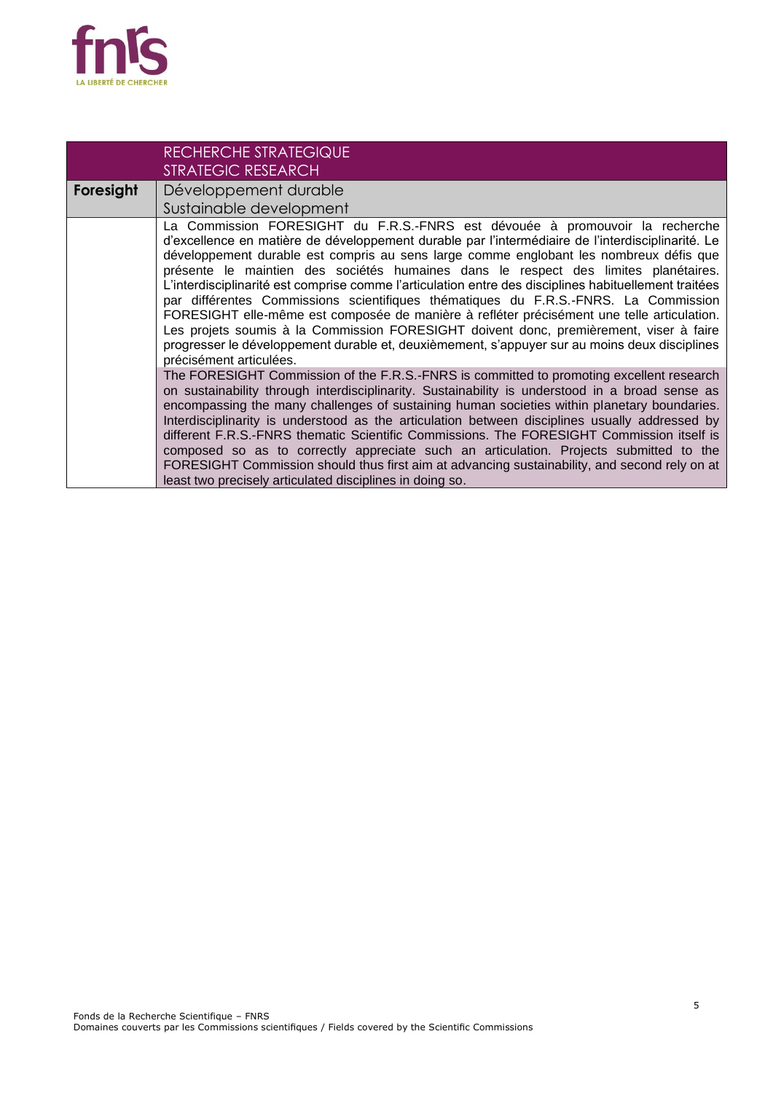

|           | RECHERCHE STRATEGIQUE<br><b>STRATEGIC RESEARCH</b>                                                                                                                                                                                                                                                                                                                                                                                                                                                                                                                                                                                                                                                                                                                                                                                                                                     |
|-----------|----------------------------------------------------------------------------------------------------------------------------------------------------------------------------------------------------------------------------------------------------------------------------------------------------------------------------------------------------------------------------------------------------------------------------------------------------------------------------------------------------------------------------------------------------------------------------------------------------------------------------------------------------------------------------------------------------------------------------------------------------------------------------------------------------------------------------------------------------------------------------------------|
| Foresight | Développement durable<br>Sustainable development                                                                                                                                                                                                                                                                                                                                                                                                                                                                                                                                                                                                                                                                                                                                                                                                                                       |
|           | La Commission FORESIGHT du F.R.S.-FNRS est dévouée à promouvoir la recherche<br>d'excellence en matière de développement durable par l'intermédiaire de l'interdisciplinarité. Le<br>développement durable est compris au sens large comme englobant les nombreux défis que<br>présente le maintien des sociétés humaines dans le respect des limites planétaires.<br>L'interdisciplinarité est comprise comme l'articulation entre des disciplines habituellement traitées<br>par différentes Commissions scientifiques thématiques du F.R.S.-FNRS. La Commission<br>FORESIGHT elle-même est composée de manière à refléter précisément une telle articulation.<br>Les projets soumis à la Commission FORESIGHT doivent donc, premièrement, viser à faire<br>progresser le développement durable et, deuxièmement, s'appuyer sur au moins deux disciplines<br>précisément articulées. |
|           | The FORESIGHT Commission of the F.R.S.-FNRS is committed to promoting excellent research<br>on sustainability through interdisciplinarity. Sustainability is understood in a broad sense as<br>encompassing the many challenges of sustaining human societies within planetary boundaries.<br>Interdisciplinarity is understood as the articulation between disciplines usually addressed by<br>different F.R.S.-FNRS thematic Scientific Commissions. The FORESIGHT Commission itself is<br>composed so as to correctly appreciate such an articulation. Projects submitted to the<br>FORESIGHT Commission should thus first aim at advancing sustainability, and second rely on at<br>least two precisely articulated disciplines in doing so.                                                                                                                                       |